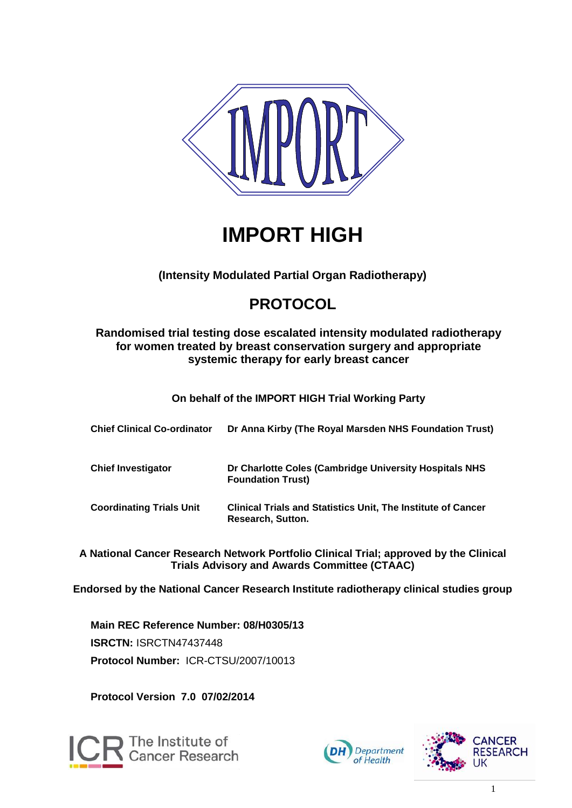

# **IMPORT HIGH**

### **(Intensity Modulated Partial Organ Radiotherapy)**

## **PROTOCOL**

#### **Randomised trial testing dose escalated intensity modulated radiotherapy for women treated by breast conservation surgery and appropriate systemic therapy for early breast cancer**

**On behalf of the IMPORT HIGH Trial Working Party**

| <b>Chief Clinical Co-ordinator</b> | Dr Anna Kirby (The Royal Marsden NHS Foundation Trust)                                   |
|------------------------------------|------------------------------------------------------------------------------------------|
| <b>Chief Investigator</b>          | Dr Charlotte Coles (Cambridge University Hospitals NHS<br><b>Foundation Trust)</b>       |
| <b>Coordinating Trials Unit</b>    | <b>Clinical Trials and Statistics Unit, The Institute of Cancer</b><br>Research, Sutton. |

**A National Cancer Research Network Portfolio Clinical Trial; approved by the Clinical Trials Advisory and Awards Committee (CTAAC)**

**Endorsed by the National Cancer Research Institute radiotherapy clinical studies group**

**Main REC Reference Number: 08/H0305/13 ISRCTN:** ISRCTN47437448 **Protocol Number:** ICR-CTSU/2007/10013

**Protocol Version 7.0 07/02/2014**





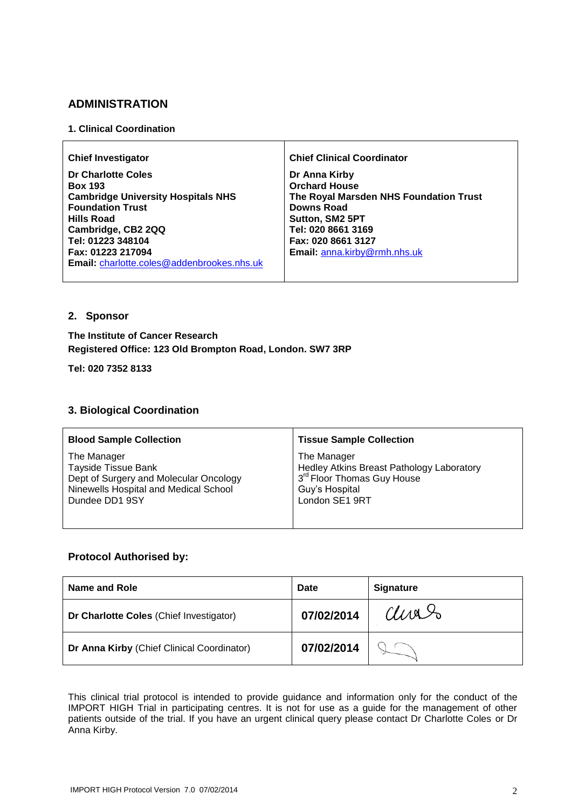#### **ADMINISTRATION**

#### **1. Clinical Coordination**

| <b>Chief Investigator</b>                                                                                                                                                                                                                              | <b>Chief Clinical Coordinator</b>                                                                                                                                                            |
|--------------------------------------------------------------------------------------------------------------------------------------------------------------------------------------------------------------------------------------------------------|----------------------------------------------------------------------------------------------------------------------------------------------------------------------------------------------|
| <b>Dr Charlotte Coles</b><br><b>Box 193</b><br><b>Cambridge University Hospitals NHS</b><br><b>Foundation Trust</b><br><b>Hills Road</b><br>Cambridge, CB2 2QQ<br>Tel: 01223 348104<br>Fax: 01223 217094<br>Email: charlotte.coles@addenbrookes.nhs.uk | Dr Anna Kirby<br><b>Orchard House</b><br>The Royal Marsden NHS Foundation Trust<br>Downs Road<br>Sutton, SM2 5PT<br>Tel: 020 8661 3169<br>Fax: 020 8661 3127<br>Email: anna.kirby@rmh.nhs.uk |

#### **2. Sponsor**

#### **The Institute of Cancer Research Registered Office: 123 Old Brompton Road, London. SW7 3RP**

**Tel: 020 7352 8133**

#### **3. Biological Coordination**

| <b>Blood Sample Collection</b>         | <b>Tissue Sample Collection</b>           |
|----------------------------------------|-------------------------------------------|
| The Manager                            | The Manager                               |
| <b>Tayside Tissue Bank</b>             | Hedley Atkins Breast Pathology Laboratory |
| Dept of Surgery and Molecular Oncology | 3 <sup>rd</sup> Floor Thomas Guy House    |
| Ninewells Hospital and Medical School  | Guy's Hospital                            |
| Dundee DD1 9SY                         | London SE1 9RT                            |

#### **Protocol Authorised by:**

| Name and Role                              | Date       | <b>Signature</b> |
|--------------------------------------------|------------|------------------|
| Dr Charlotte Coles (Chief Investigator)    | 07/02/2014 | anas             |
| Dr Anna Kirby (Chief Clinical Coordinator) | 07/02/2014 |                  |

This clinical trial protocol is intended to provide guidance and information only for the conduct of the IMPORT HIGH Trial in participating centres. It is not for use as a guide for the management of other patients outside of the trial. If you have an urgent clinical query please contact Dr Charlotte Coles or Dr Anna Kirby.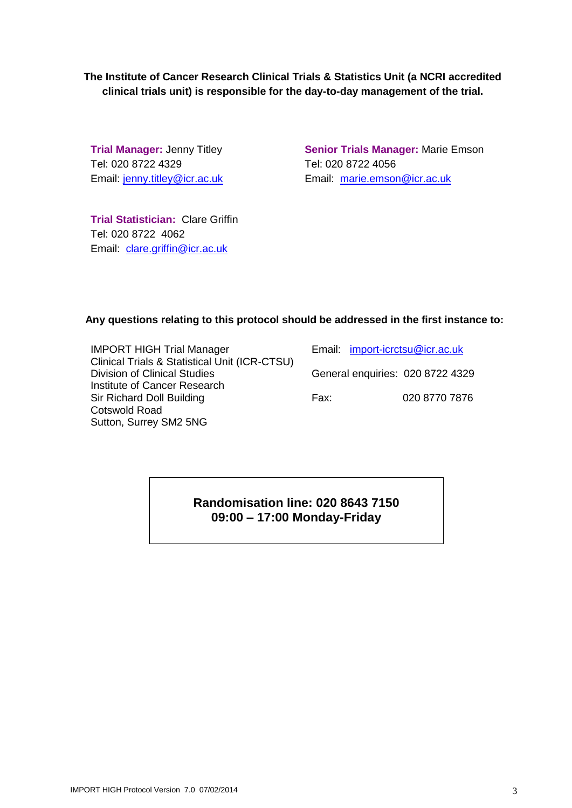**The Institute of Cancer Research Clinical Trials & Statistics Unit (a NCRI accredited clinical trials unit) is responsible for the day-to-day management of the trial.**

**Trial Manager:** Jenny Titley Tel: 020 8722 4329 Email: [jenny.titley@icr.ac.uk](mailto:jenny.titley@icr.ac.uk)

**Senior Trials Manager:** Marie Emson Tel: 020 8722 4056 Email: [marie.emson@icr.ac.uk](mailto:marie.emson@icr.ac.uk)

**Trial Statistician:** Clare Griffin Tel: 020 8722 4062 Email: [clare.griffin@icr.ac.uk](mailto:clare.griffin@icr.ac.uk)

#### **Any questions relating to this protocol should be addressed in the first instance to:**

| <b>IMPORT HIGH Trial Manager</b>                         |  |
|----------------------------------------------------------|--|
| <b>Clinical Trials &amp; Statistical Unit (ICR-CTSU)</b> |  |
| <b>Division of Clinical Studies</b>                      |  |
| Institute of Cancer Research                             |  |
| Sir Richard Doll Building                                |  |
| <b>Cotswold Road</b>                                     |  |
| Sutton, Surrey SM2 5NG                                   |  |

| Email: import-icrctsu@icr.ac.uk  |               |
|----------------------------------|---------------|
| General enquiries: 020 8722 4329 |               |
| Fax:                             | 020 8770 7876 |

**Randomisation line: 020 8643 7150 09:00 – 17:00 Monday-Friday**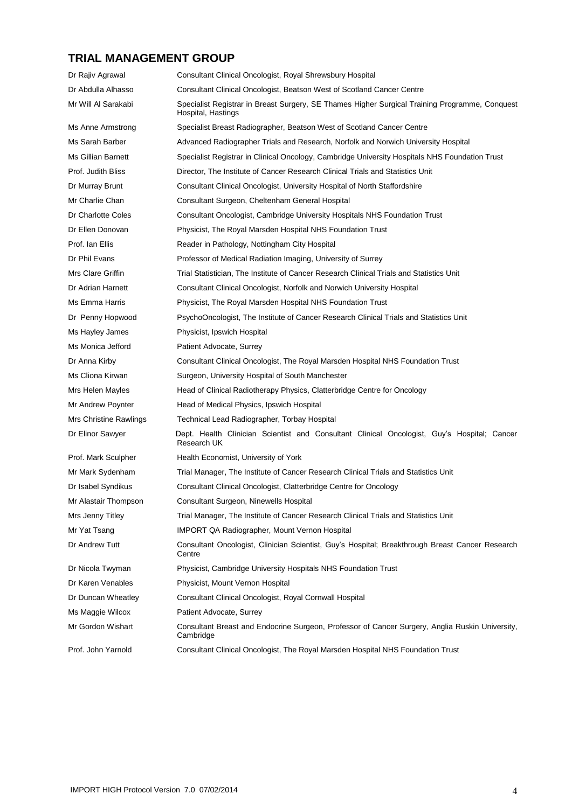### **TRIAL MANAGEMENT GROUP**

| Dr Rajiv Agrawal       | Consultant Clinical Oncologist, Royal Shrewsbury Hospital                                                            |  |
|------------------------|----------------------------------------------------------------------------------------------------------------------|--|
| Dr Abdulla Alhasso     | Consultant Clinical Oncologist, Beatson West of Scotland Cancer Centre                                               |  |
| Mr Will Al Sarakabi    | Specialist Registrar in Breast Surgery, SE Thames Higher Surgical Training Programme, Conquest<br>Hospital, Hastings |  |
| Ms Anne Armstrong      | Specialist Breast Radiographer, Beatson West of Scotland Cancer Centre                                               |  |
| Ms Sarah Barber        | Advanced Radiographer Trials and Research, Norfolk and Norwich University Hospital                                   |  |
| Ms Gillian Barnett     | Specialist Registrar in Clinical Oncology, Cambridge University Hospitals NHS Foundation Trust                       |  |
| Prof. Judith Bliss     | Director, The Institute of Cancer Research Clinical Trials and Statistics Unit                                       |  |
| Dr Murray Brunt        | Consultant Clinical Oncologist, University Hospital of North Staffordshire                                           |  |
| Mr Charlie Chan        | Consultant Surgeon, Cheltenham General Hospital                                                                      |  |
| Dr Charlotte Coles     | Consultant Oncologist, Cambridge University Hospitals NHS Foundation Trust                                           |  |
| Dr Ellen Donovan       | Physicist, The Royal Marsden Hospital NHS Foundation Trust                                                           |  |
| Prof. Ian Ellis        | Reader in Pathology, Nottingham City Hospital                                                                        |  |
| Dr Phil Evans          | Professor of Medical Radiation Imaging, University of Surrey                                                         |  |
| Mrs Clare Griffin      | Trial Statistician, The Institute of Cancer Research Clinical Trials and Statistics Unit                             |  |
| Dr Adrian Harnett      | Consultant Clinical Oncologist, Norfolk and Norwich University Hospital                                              |  |
| Ms Emma Harris         | Physicist, The Royal Marsden Hospital NHS Foundation Trust                                                           |  |
| Dr Penny Hopwood       | PsychoOncologist, The Institute of Cancer Research Clinical Trials and Statistics Unit                               |  |
| Ms Hayley James        | Physicist, Ipswich Hospital                                                                                          |  |
| Ms Monica Jefford      | Patient Advocate, Surrey                                                                                             |  |
| Dr Anna Kirby          | Consultant Clinical Oncologist, The Royal Marsden Hospital NHS Foundation Trust                                      |  |
| Ms Cliona Kirwan       | Surgeon, University Hospital of South Manchester                                                                     |  |
| Mrs Helen Mayles       | Head of Clinical Radiotherapy Physics, Clatterbridge Centre for Oncology                                             |  |
| Mr Andrew Poynter      | Head of Medical Physics, Ipswich Hospital                                                                            |  |
| Mrs Christine Rawlings | Technical Lead Radiographer, Torbay Hospital                                                                         |  |
| Dr Elinor Sawyer       | Dept. Health Clinician Scientist and Consultant Clinical Oncologist, Guy's Hospital; Cancer<br>Research UK           |  |
| Prof. Mark Sculpher    | Health Economist, University of York                                                                                 |  |
| Mr Mark Sydenham       | Trial Manager, The Institute of Cancer Research Clinical Trials and Statistics Unit                                  |  |
| Dr Isabel Syndikus     | Consultant Clinical Oncologist, Clatterbridge Centre for Oncology                                                    |  |
| Mr Alastair Thompson   | Consultant Surgeon, Ninewells Hospital                                                                               |  |
| Mrs Jenny Titley       | Trial Manager, The Institute of Cancer Research Clinical Trials and Statistics Unit                                  |  |
| Mr Yat Tsang           | <b>IMPORT QA Radiographer, Mount Vernon Hospital</b>                                                                 |  |
| Dr Andrew Tutt         | Consultant Oncologist, Clinician Scientist, Guy's Hospital; Breakthrough Breast Cancer Research<br>Centre            |  |
| Dr Nicola Twyman       | Physicist, Cambridge University Hospitals NHS Foundation Trust                                                       |  |
| Dr Karen Venables      | Physicist, Mount Vernon Hospital                                                                                     |  |
| Dr Duncan Wheatley     | Consultant Clinical Oncologist, Royal Cornwall Hospital                                                              |  |
| Ms Maggie Wilcox       | Patient Advocate, Surrey                                                                                             |  |
| Mr Gordon Wishart      | Consultant Breast and Endocrine Surgeon, Professor of Cancer Surgery, Anglia Ruskin University,<br>Cambridge         |  |
| Prof. John Yarnold     | Consultant Clinical Oncologist, The Royal Marsden Hospital NHS Foundation Trust                                      |  |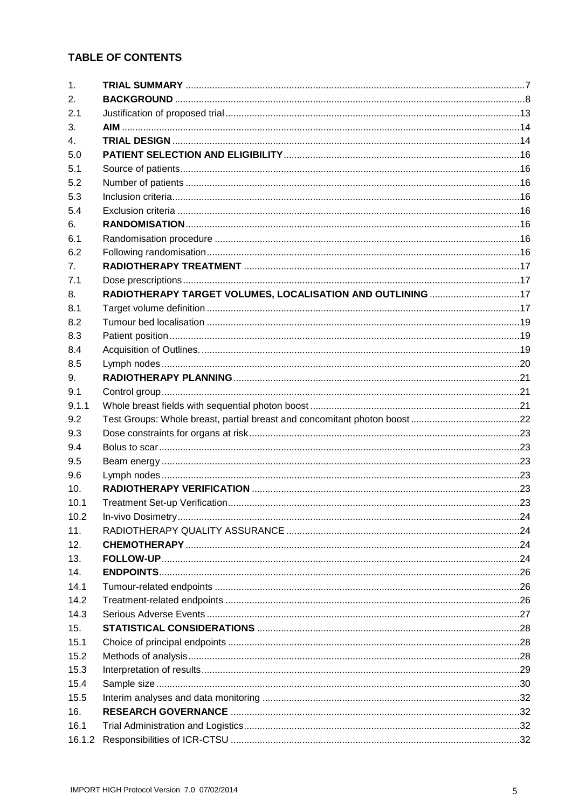#### **TABLE OF CONTENTS**

| 1 <sub>1</sub> |                                                            |  |
|----------------|------------------------------------------------------------|--|
| 2.             |                                                            |  |
| 2.1            |                                                            |  |
| 3.             |                                                            |  |
| $\mathbf{4}$ . |                                                            |  |
| 5.0            |                                                            |  |
| 5.1            |                                                            |  |
| 5.2            |                                                            |  |
| 5.3            |                                                            |  |
| 5.4            |                                                            |  |
| 6.             |                                                            |  |
| 6.1            |                                                            |  |
| 6.2            |                                                            |  |
| 7 <sub>1</sub> |                                                            |  |
| 7.1            |                                                            |  |
| 8.             | RADIOTHERAPY TARGET VOLUMES, LOCALISATION AND OUTLINING 17 |  |
| 8.1            |                                                            |  |
| 8.2            |                                                            |  |
| 8.3            |                                                            |  |
| 8.4            |                                                            |  |
| 8.5            |                                                            |  |
| 9 <sub>1</sub> |                                                            |  |
| 9.1            |                                                            |  |
| 9.1.1          |                                                            |  |
| 9.2            |                                                            |  |
| 9.3            |                                                            |  |
|                |                                                            |  |
| 9.4            |                                                            |  |
| 9.5            |                                                            |  |
| 9.6            |                                                            |  |
| 10.            |                                                            |  |
| 10.1           |                                                            |  |
| 10.2           |                                                            |  |
| 11.            |                                                            |  |
| 12.            |                                                            |  |
| 13.            |                                                            |  |
| 14.            |                                                            |  |
| 14.1           |                                                            |  |
| 14.2           |                                                            |  |
| 14.3           |                                                            |  |
| 15.            |                                                            |  |
| 15.1           |                                                            |  |
| 15.2           |                                                            |  |
| 15.3           |                                                            |  |
| 15.4           |                                                            |  |
| 15.5           |                                                            |  |
| 16.            |                                                            |  |
| 16.1           |                                                            |  |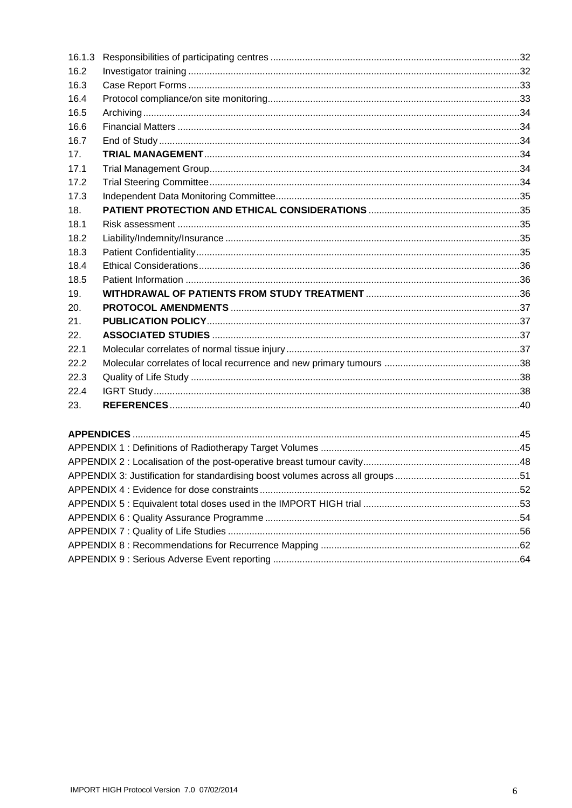| 16.1.3 |  |  |  |
|--------|--|--|--|
| 16.2   |  |  |  |
| 16.3   |  |  |  |
| 16.4   |  |  |  |
| 16.5   |  |  |  |
| 16.6   |  |  |  |
| 16.7   |  |  |  |
| 17.    |  |  |  |
| 17.1   |  |  |  |
| 17.2   |  |  |  |
| 17.3   |  |  |  |
| 18.    |  |  |  |
| 18.1   |  |  |  |
| 18.2   |  |  |  |
| 18.3   |  |  |  |
| 18.4   |  |  |  |
| 18.5   |  |  |  |
| 19.    |  |  |  |
| 20.    |  |  |  |
| 21.    |  |  |  |
| 22.    |  |  |  |
| 22.1   |  |  |  |
| 22.2   |  |  |  |
| 22.3   |  |  |  |
| 22.4   |  |  |  |
| 23.    |  |  |  |
|        |  |  |  |
|        |  |  |  |
|        |  |  |  |
|        |  |  |  |
|        |  |  |  |
|        |  |  |  |
|        |  |  |  |
|        |  |  |  |
|        |  |  |  |
|        |  |  |  |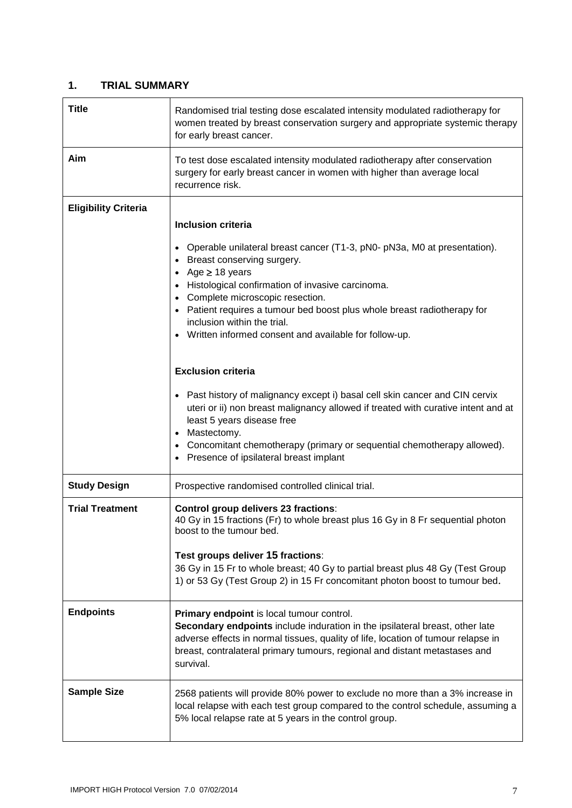#### <span id="page-6-0"></span>**1. TRIAL SUMMARY**

| <b>Title</b>                | Randomised trial testing dose escalated intensity modulated radiotherapy for<br>women treated by breast conservation surgery and appropriate systemic therapy<br>for early breast cancer.                                                                                                                                                                                                                             |  |
|-----------------------------|-----------------------------------------------------------------------------------------------------------------------------------------------------------------------------------------------------------------------------------------------------------------------------------------------------------------------------------------------------------------------------------------------------------------------|--|
| Aim                         | To test dose escalated intensity modulated radiotherapy after conservation<br>surgery for early breast cancer in women with higher than average local<br>recurrence risk.                                                                                                                                                                                                                                             |  |
| <b>Eligibility Criteria</b> | <b>Inclusion criteria</b><br>Operable unilateral breast cancer (T1-3, pN0- pN3a, M0 at presentation).<br>Breast conserving surgery.<br>Age $\geq$ 18 years<br>Histological confirmation of invasive carcinoma.<br>Complete microscopic resection.<br>Patient requires a tumour bed boost plus whole breast radiotherapy for<br>inclusion within the trial.<br>• Written informed consent and available for follow-up. |  |
|                             | <b>Exclusion criteria</b><br>Past history of malignancy except i) basal cell skin cancer and CIN cervix<br>uteri or ii) non breast malignancy allowed if treated with curative intent and at<br>least 5 years disease free<br>Mastectomy.<br>$\bullet$<br>Concomitant chemotherapy (primary or sequential chemotherapy allowed).<br>• Presence of ipsilateral breast implant                                          |  |
| <b>Study Design</b>         | Prospective randomised controlled clinical trial.                                                                                                                                                                                                                                                                                                                                                                     |  |
| <b>Trial Treatment</b>      | Control group delivers 23 fractions:<br>40 Gy in 15 fractions (Fr) to whole breast plus 16 Gy in 8 Fr sequential photon<br>boost to the tumour bed.<br>Test groups deliver 15 fractions:<br>36 Gy in 15 Fr to whole breast; 40 Gy to partial breast plus 48 Gy (Test Group<br>1) or 53 Gy (Test Group 2) in 15 Fr concomitant photon boost to tumour bed.                                                             |  |
| <b>Endpoints</b>            | Primary endpoint is local tumour control.<br>Secondary endpoints include induration in the ipsilateral breast, other late<br>adverse effects in normal tissues, quality of life, location of tumour relapse in<br>breast, contralateral primary tumours, regional and distant metastases and<br>survival.                                                                                                             |  |
| <b>Sample Size</b>          | 2568 patients will provide 80% power to exclude no more than a 3% increase in<br>local relapse with each test group compared to the control schedule, assuming a<br>5% local relapse rate at 5 years in the control group.                                                                                                                                                                                            |  |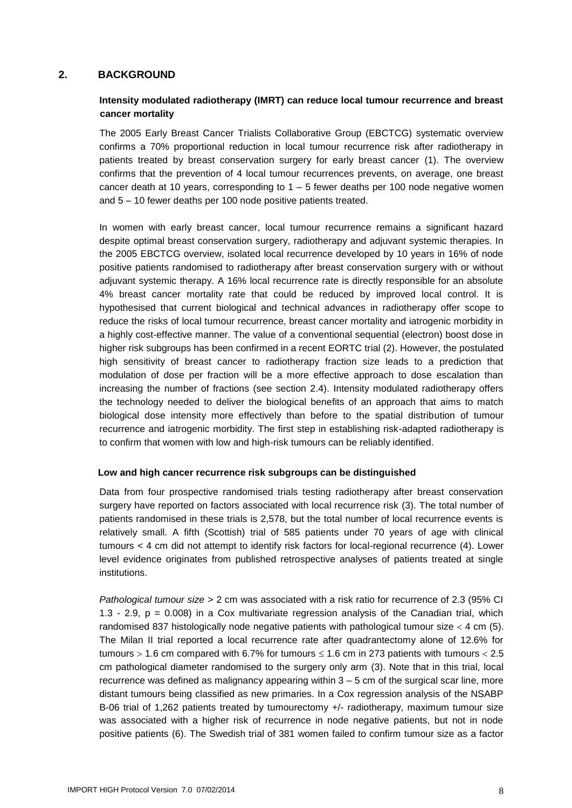#### <span id="page-7-0"></span>**2. BACKGROUND**

#### **Intensity modulated radiotherapy (IMRT) can reduce local tumour recurrence and breast cancer mortality**

The 2005 Early Breast Cancer Trialists Collaborative Group (EBCTCG) systematic overview confirms a 70% proportional reduction in local tumour recurrence risk after radiotherapy in patients treated by breast conservation surgery for early breast cancer (1). The overview confirms that the prevention of 4 local tumour recurrences prevents, on average, one breast cancer death at 10 years, corresponding to  $1 - 5$  fewer deaths per 100 node negative women and 5 – 10 fewer deaths per 100 node positive patients treated.

In women with early breast cancer, local tumour recurrence remains a significant hazard despite optimal breast conservation surgery, radiotherapy and adjuvant systemic therapies. In the 2005 EBCTCG overview, isolated local recurrence developed by 10 years in 16% of node positive patients randomised to radiotherapy after breast conservation surgery with or without adjuvant systemic therapy. A 16% local recurrence rate is directly responsible for an absolute 4% breast cancer mortality rate that could be reduced by improved local control. It is hypothesised that current biological and technical advances in radiotherapy offer scope to reduce the risks of local tumour recurrence, breast cancer mortality and iatrogenic morbidity in a highly cost-effective manner. The value of a conventional sequential (electron) boost dose in higher risk subgroups has been confirmed in a recent EORTC trial (2). However, the postulated high sensitivity of breast cancer to radiotherapy fraction size leads to a prediction that modulation of dose per fraction will be a more effective approach to dose escalation than increasing the number of fractions (see section 2.4). Intensity modulated radiotherapy offers the technology needed to deliver the biological benefits of an approach that aims to match biological dose intensity more effectively than before to the spatial distribution of tumour recurrence and iatrogenic morbidity. The first step in establishing risk-adapted radiotherapy is to confirm that women with low and high-risk tumours can be reliably identified.

#### **Low and high cancer recurrence risk subgroups can be distinguished**

Data from four prospective randomised trials testing radiotherapy after breast conservation surgery have reported on factors associated with local recurrence risk (3). The total number of patients randomised in these trials is 2,578, but the total number of local recurrence events is relatively small. A fifth (Scottish) trial of 585 patients under 70 years of age with clinical tumours < 4 cm did not attempt to identify risk factors for local-regional recurrence (4). Lower level evidence originates from published retrospective analyses of patients treated at single institutions.

*Pathological tumour size* > 2 cm was associated with a risk ratio for recurrence of 2.3 (95% CI 1.3 - 2.9, p = 0.008) in a Cox multivariate regression analysis of the Canadian trial, which randomised 837 histologically node negative patients with pathological tumour size  $<$  4 cm (5). The Milan II trial reported a local recurrence rate after quadrantectomy alone of 12.6% for tumours  $> 1.6$  cm compared with 6.7% for tumours  $\leq 1.6$  cm in 273 patients with tumours  $< 2.5$ cm pathological diameter randomised to the surgery only arm (3). Note that in this trial, local recurrence was defined as malignancy appearing within 3 – 5 cm of the surgical scar line, more distant tumours being classified as new primaries. In a Cox regression analysis of the NSABP B-06 trial of 1,262 patients treated by tumourectomy +/- radiotherapy, maximum tumour size was associated with a higher risk of recurrence in node negative patients, but not in node positive patients (6). The Swedish trial of 381 women failed to confirm tumour size as a factor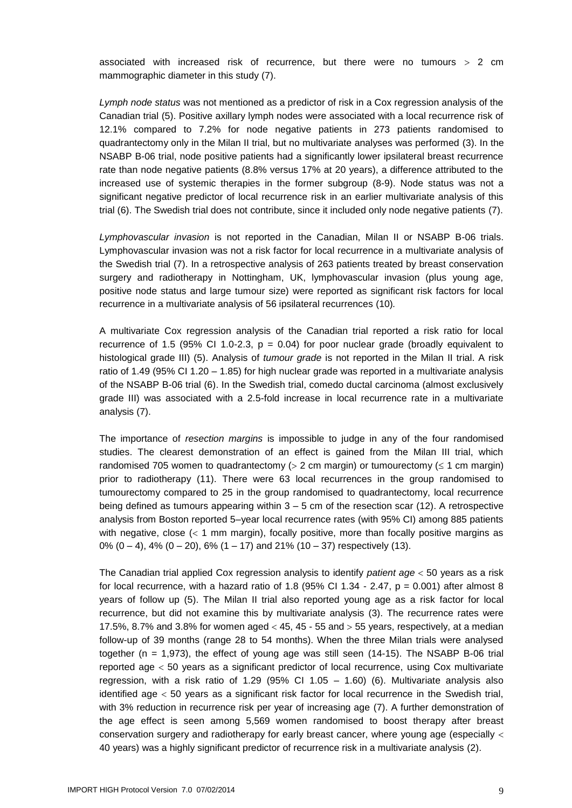associated with increased risk of recurrence, but there were no tumours  $> 2$  cm mammographic diameter in this study (7).

*Lymph node status* was not mentioned as a predictor of risk in a Cox regression analysis of the Canadian trial (5). Positive axillary lymph nodes were associated with a local recurrence risk of 12.1% compared to 7.2% for node negative patients in 273 patients randomised to quadrantectomy only in the Milan II trial, but no multivariate analyses was performed (3). In the NSABP B-06 trial, node positive patients had a significantly lower ipsilateral breast recurrence rate than node negative patients (8.8% versus 17% at 20 years), a difference attributed to the increased use of systemic therapies in the former subgroup (8-9). Node status was not a significant negative predictor of local recurrence risk in an earlier multivariate analysis of this trial (6). The Swedish trial does not contribute, since it included only node negative patients (7).

*Lymphovascular invasion* is not reported in the Canadian, Milan II or NSABP B-06 trials. Lymphovascular invasion was not a risk factor for local recurrence in a multivariate analysis of the Swedish trial (7). In a retrospective analysis of 263 patients treated by breast conservation surgery and radiotherapy in Nottingham, UK, lymphovascular invasion (plus young age, positive node status and large tumour size) were reported as significant risk factors for local recurrence in a multivariate analysis of 56 ipsilateral recurrences (10)*.*

A multivariate Cox regression analysis of the Canadian trial reported a risk ratio for local recurrence of 1.5 (95% CI 1.0-2.3,  $p = 0.04$ ) for poor nuclear grade (broadly equivalent to histological grade III) (5). Analysis of *tumour grade* is not reported in the Milan II trial. A risk ratio of 1.49 (95% CI 1.20 – 1.85) for high nuclear grade was reported in a multivariate analysis of the NSABP B-06 trial (6). In the Swedish trial, comedo ductal carcinoma (almost exclusively grade III) was associated with a 2.5-fold increase in local recurrence rate in a multivariate analysis (7).

The importance of *resection margins* is impossible to judge in any of the four randomised studies. The clearest demonstration of an effect is gained from the Milan III trial, which randomised 705 women to quadrantectomy ( $> 2$  cm margin) or tumourectomy ( $\leq 1$  cm margin) prior to radiotherapy (11). There were 63 local recurrences in the group randomised to tumourectomy compared to 25 in the group randomised to quadrantectomy, local recurrence being defined as tumours appearing within  $3 - 5$  cm of the resection scar (12). A retrospective analysis from Boston reported 5–year local recurrence rates (with 95% CI) among 885 patients with negative, close  $\left( < 1 \right)$  mm margin), focally positive, more than focally positive margins as 0%  $(0 - 4)$ , 4%  $(0 - 20)$ , 6%  $(1 - 17)$  and 21%  $(10 - 37)$  respectively  $(13)$ .

The Canadian trial applied Cox regression analysis to identify *patient age* 50 years as a risk for local recurrence, with a hazard ratio of 1.8 (95% CI 1.34 - 2.47,  $p = 0.001$ ) after almost 8 years of follow up (5). The Milan II trial also reported young age as a risk factor for local recurrence, but did not examine this by multivariate analysis (3). The recurrence rates were 17.5%, 8.7% and 3.8% for women aged  $<$  45, 45 - 55 and  $>$  55 years, respectively, at a median follow-up of 39 months (range 28 to 54 months). When the three Milan trials were analysed together (n = 1,973), the effect of young age was still seen (14-15). The NSABP B-06 trial reported age 50 years as a significant predictor of local recurrence, using Cox multivariate regression, with a risk ratio of 1.29 (95% CI 1.05 - 1.60) (6). Multivariate analysis also identified age  $<$  50 years as a significant risk factor for local recurrence in the Swedish trial, with 3% reduction in recurrence risk per year of increasing age (7). A further demonstration of the age effect is seen among 5,569 women randomised to boost therapy after breast conservation surgery and radiotherapy for early breast cancer, where young age (especially < 40 years) was a highly significant predictor of recurrence risk in a multivariate analysis (2).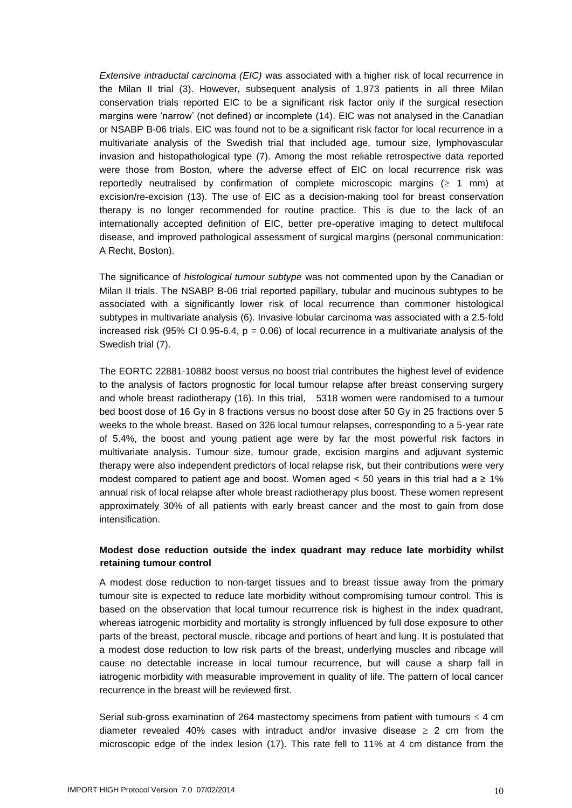*Extensive intraductal carcinoma (EIC)* was associated with a higher risk of local recurrence in the Milan II trial (3). However, subsequent analysis of 1,973 patients in all three Milan conservation trials reported EIC to be a significant risk factor only if the surgical resection margins were 'narrow' (not defined) or incomplete (14). EIC was not analysed in the Canadian or NSABP B-06 trials. EIC was found not to be a significant risk factor for local recurrence in a multivariate analysis of the Swedish trial that included age, tumour size, lymphovascular invasion and histopathological type (7). Among the most reliable retrospective data reported were those from Boston, where the adverse effect of EIC on local recurrence risk was reportedly neutralised by confirmation of complete microscopic margins  $( \geq 1 \text{ mm})$  at excision/re-excision (13). The use of EIC as a decision-making tool for breast conservation therapy is no longer recommended for routine practice. This is due to the lack of an internationally accepted definition of EIC, better pre-operative imaging to detect multifocal disease, and improved pathological assessment of surgical margins (personal communication: A Recht, Boston).

The significance of *histological tumour subtype* was not commented upon by the Canadian or Milan II trials. The NSABP B-06 trial reported papillary, tubular and mucinous subtypes to be associated with a significantly lower risk of local recurrence than commoner histological subtypes in multivariate analysis (6). Invasive lobular carcinoma was associated with a 2.5-fold increased risk (95% CI 0.95-6.4,  $p = 0.06$ ) of local recurrence in a multivariate analysis of the Swedish trial (7).

The EORTC 22881-10882 boost versus no boost trial contributes the highest level of evidence to the analysis of factors prognostic for local tumour relapse after breast conserving surgery and whole breast radiotherapy (16). In this trial, 5318 women were randomised to a tumour bed boost dose of 16 Gy in 8 fractions versus no boost dose after 50 Gy in 25 fractions over 5 weeks to the whole breast. Based on 326 local tumour relapses, corresponding to a 5-year rate of 5.4%, the boost and young patient age were by far the most powerful risk factors in multivariate analysis. Tumour size, tumour grade, excision margins and adjuvant systemic therapy were also independent predictors of local relapse risk, but their contributions were very modest compared to patient age and boost. Women aged < 50 years in this trial had a  $\geq 1\%$ annual risk of local relapse after whole breast radiotherapy plus boost. These women represent approximately 30% of all patients with early breast cancer and the most to gain from dose intensification.

#### **Modest dose reduction outside the index quadrant may reduce late morbidity whilst retaining tumour control**

A modest dose reduction to non-target tissues and to breast tissue away from the primary tumour site is expected to reduce late morbidity without compromising tumour control. This is based on the observation that local tumour recurrence risk is highest in the index quadrant, whereas iatrogenic morbidity and mortality is strongly influenced by full dose exposure to other parts of the breast, pectoral muscle, ribcage and portions of heart and lung. It is postulated that a modest dose reduction to low risk parts of the breast, underlying muscles and ribcage will cause no detectable increase in local tumour recurrence, but will cause a sharp fall in iatrogenic morbidity with measurable improvement in quality of life. The pattern of local cancer recurrence in the breast will be reviewed first.

Serial sub-gross examination of 264 mastectomy specimens from patient with tumours  $\leq 4$  cm diameter revealed 40% cases with intraduct and/or invasive disease  $\geq 2$  cm from the microscopic edge of the index lesion (17). This rate fell to 11% at 4 cm distance from the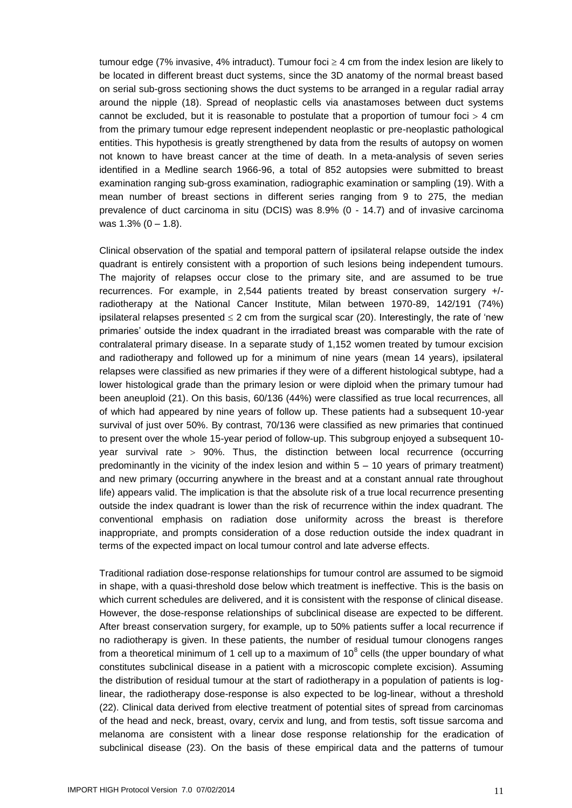tumour edge (7% invasive, 4% intraduct). Tumour foci  $\geq 4$  cm from the index lesion are likely to be located in different breast duct systems, since the 3D anatomy of the normal breast based on serial sub-gross sectioning shows the duct systems to be arranged in a regular radial array around the nipple (18). Spread of neoplastic cells via anastamoses between duct systems cannot be excluded, but it is reasonable to postulate that a proportion of tumour foci  $>$  4 cm from the primary tumour edge represent independent neoplastic or pre-neoplastic pathological entities. This hypothesis is greatly strengthened by data from the results of autopsy on women not known to have breast cancer at the time of death. In a meta-analysis of seven series identified in a Medline search 1966-96, a total of 852 autopsies were submitted to breast examination ranging sub-gross examination, radiographic examination or sampling (19). With a mean number of breast sections in different series ranging from 9 to 275, the median prevalence of duct carcinoma in situ (DCIS) was 8.9% (0 - 14.7) and of invasive carcinoma was  $1.3\%$  (0 – 1.8).

Clinical observation of the spatial and temporal pattern of ipsilateral relapse outside the index quadrant is entirely consistent with a proportion of such lesions being independent tumours. The majority of relapses occur close to the primary site, and are assumed to be true recurrences. For example, in 2,544 patients treated by breast conservation surgery +/ radiotherapy at the National Cancer Institute, Milan between 1970-89, 142/191 (74%) ipsilateral relapses presented  $\leq 2$  cm from the surgical scar (20). Interestingly, the rate of 'new primaries' outside the index quadrant in the irradiated breast was comparable with the rate of contralateral primary disease. In a separate study of 1,152 women treated by tumour excision and radiotherapy and followed up for a minimum of nine years (mean 14 years), ipsilateral relapses were classified as new primaries if they were of a different histological subtype, had a lower histological grade than the primary lesion or were diploid when the primary tumour had been aneuploid (21). On this basis, 60/136 (44%) were classified as true local recurrences, all of which had appeared by nine years of follow up. These patients had a subsequent 10-year survival of just over 50%. By contrast, 70/136 were classified as new primaries that continued to present over the whole 15-year period of follow-up. This subgroup enjoyed a subsequent 10 year survival rate  $>$  90%. Thus, the distinction between local recurrence (occurring predominantly in the vicinity of the index lesion and within 5 – 10 years of primary treatment) and new primary (occurring anywhere in the breast and at a constant annual rate throughout life) appears valid. The implication is that the absolute risk of a true local recurrence presenting outside the index quadrant is lower than the risk of recurrence within the index quadrant. The conventional emphasis on radiation dose uniformity across the breast is therefore inappropriate, and prompts consideration of a dose reduction outside the index quadrant in terms of the expected impact on local tumour control and late adverse effects.

Traditional radiation dose-response relationships for tumour control are assumed to be sigmoid in shape, with a quasi-threshold dose below which treatment is ineffective. This is the basis on which current schedules are delivered, and it is consistent with the response of clinical disease. However, the dose-response relationships of subclinical disease are expected to be different. After breast conservation surgery, for example, up to 50% patients suffer a local recurrence if no radiotherapy is given. In these patients, the number of residual tumour clonogens ranges from a theoretical minimum of 1 cell up to a maximum of 10 $^8$  cells (the upper boundary of what constitutes subclinical disease in a patient with a microscopic complete excision). Assuming the distribution of residual tumour at the start of radiotherapy in a population of patients is loglinear, the radiotherapy dose-response is also expected to be log-linear, without a threshold (22). Clinical data derived from elective treatment of potential sites of spread from carcinomas of the head and neck, breast, ovary, cervix and lung, and from testis, soft tissue sarcoma and melanoma are consistent with a linear dose response relationship for the eradication of subclinical disease (23). On the basis of these empirical data and the patterns of tumour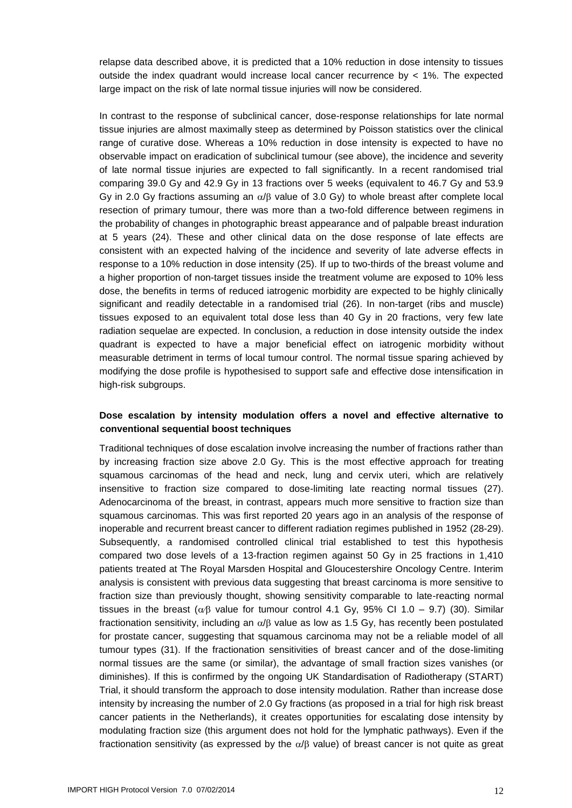relapse data described above, it is predicted that a 10% reduction in dose intensity to tissues outside the index quadrant would increase local cancer recurrence by  $\lt$  1%. The expected large impact on the risk of late normal tissue injuries will now be considered.

In contrast to the response of subclinical cancer, dose-response relationships for late normal tissue injuries are almost maximally steep as determined by Poisson statistics over the clinical range of curative dose. Whereas a 10% reduction in dose intensity is expected to have no observable impact on eradication of subclinical tumour (see above), the incidence and severity of late normal tissue injuries are expected to fall significantly. In a recent randomised trial comparing 39.0 Gy and 42.9 Gy in 13 fractions over 5 weeks (equivalent to 46.7 Gy and 53.9 Gy in 2.0 Gy fractions assuming an  $\alpha$ / $\beta$  value of 3.0 Gy) to whole breast after complete local resection of primary tumour, there was more than a two-fold difference between regimens in the probability of changes in photographic breast appearance and of palpable breast induration at 5 years (24). These and other clinical data on the dose response of late effects are consistent with an expected halving of the incidence and severity of late adverse effects in response to a 10% reduction in dose intensity (25). If up to two-thirds of the breast volume and a higher proportion of non-target tissues inside the treatment volume are exposed to 10% less dose, the benefits in terms of reduced iatrogenic morbidity are expected to be highly clinically significant and readily detectable in a randomised trial (26). In non-target (ribs and muscle) tissues exposed to an equivalent total dose less than 40 Gy in 20 fractions, very few late radiation sequelae are expected. In conclusion, a reduction in dose intensity outside the index quadrant is expected to have a major beneficial effect on iatrogenic morbidity without measurable detriment in terms of local tumour control. The normal tissue sparing achieved by modifying the dose profile is hypothesised to support safe and effective dose intensification in high-risk subgroups.

#### **Dose escalation by intensity modulation offers a novel and effective alternative to conventional sequential boost techniques**

Traditional techniques of dose escalation involve increasing the number of fractions rather than by increasing fraction size above 2.0 Gy. This is the most effective approach for treating squamous carcinomas of the head and neck, lung and cervix uteri, which are relatively insensitive to fraction size compared to dose-limiting late reacting normal tissues (27). Adenocarcinoma of the breast, in contrast, appears much more sensitive to fraction size than squamous carcinomas. This was first reported 20 years ago in an analysis of the response of inoperable and recurrent breast cancer to different radiation regimes published in 1952 (28-29). Subsequently, a randomised controlled clinical trial established to test this hypothesis compared two dose levels of a 13-fraction regimen against 50 Gy in 25 fractions in 1,410 patients treated at The Royal Marsden Hospital and Gloucestershire Oncology Centre. Interim analysis is consistent with previous data suggesting that breast carcinoma is more sensitive to fraction size than previously thought, showing sensitivity comparable to late-reacting normal tissues in the breast ( $\alpha\beta$  value for tumour control 4.1 Gy, 95% CI 1.0 – 9.7) (30). Similar fractionation sensitivity, including an  $\alpha/\beta$  value as low as 1.5 Gy, has recently been postulated for prostate cancer, suggesting that squamous carcinoma may not be a reliable model of all tumour types (31). If the fractionation sensitivities of breast cancer and of the dose-limiting normal tissues are the same (or similar), the advantage of small fraction sizes vanishes (or diminishes). If this is confirmed by the ongoing UK Standardisation of Radiotherapy (START) Trial, it should transform the approach to dose intensity modulation. Rather than increase dose intensity by increasing the number of 2.0 Gy fractions (as proposed in a trial for high risk breast cancer patients in the Netherlands), it creates opportunities for escalating dose intensity by modulating fraction size (this argument does not hold for the lymphatic pathways). Even if the fractionation sensitivity (as expressed by the  $\alpha/\beta$  value) of breast cancer is not quite as great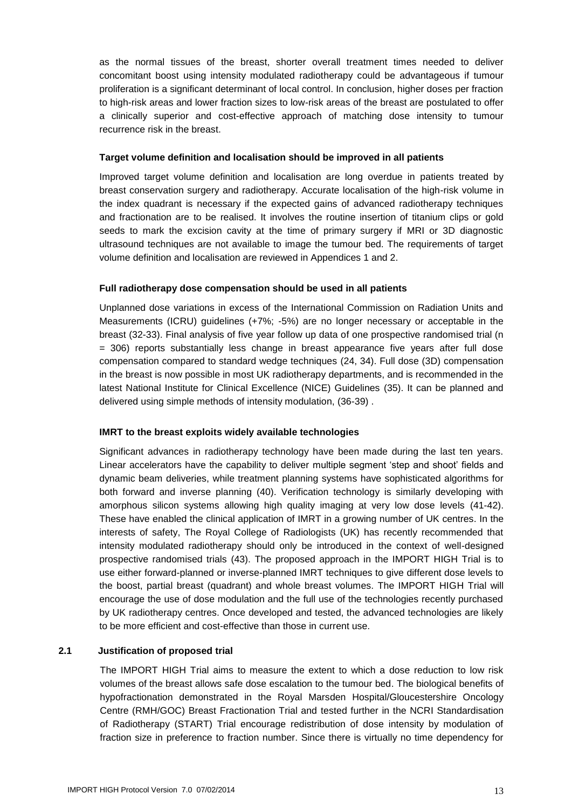as the normal tissues of the breast, shorter overall treatment times needed to deliver concomitant boost using intensity modulated radiotherapy could be advantageous if tumour proliferation is a significant determinant of local control. In conclusion, higher doses per fraction to high-risk areas and lower fraction sizes to low-risk areas of the breast are postulated to offer a clinically superior and cost-effective approach of matching dose intensity to tumour recurrence risk in the breast.

#### **Target volume definition and localisation should be improved in all patients**

Improved target volume definition and localisation are long overdue in patients treated by breast conservation surgery and radiotherapy. Accurate localisation of the high-risk volume in the index quadrant is necessary if the expected gains of advanced radiotherapy techniques and fractionation are to be realised. It involves the routine insertion of titanium clips or gold seeds to mark the excision cavity at the time of primary surgery if MRI or 3D diagnostic ultrasound techniques are not available to image the tumour bed. The requirements of target volume definition and localisation are reviewed in Appendices 1 and 2.

#### **Full radiotherapy dose compensation should be used in all patients**

Unplanned dose variations in excess of the International Commission on Radiation Units and Measurements (ICRU) guidelines (+7%; -5%) are no longer necessary or acceptable in the breast (32-33). Final analysis of five year follow up data of one prospective randomised trial (n = 306) reports substantially less change in breast appearance five years after full dose compensation compared to standard wedge techniques (24, 34). Full dose (3D) compensation in the breast is now possible in most UK radiotherapy departments, and is recommended in the latest National Institute for Clinical Excellence (NICE) Guidelines (35). It can be planned and delivered using simple methods of intensity modulation, (36-39) .

#### **IMRT to the breast exploits widely available technologies**

Significant advances in radiotherapy technology have been made during the last ten years. Linear accelerators have the capability to deliver multiple segment 'step and shoot' fields and dynamic beam deliveries, while treatment planning systems have sophisticated algorithms for both forward and inverse planning (40). Verification technology is similarly developing with amorphous silicon systems allowing high quality imaging at very low dose levels (41-42). These have enabled the clinical application of IMRT in a growing number of UK centres. In the interests of safety, The Royal College of Radiologists (UK) has recently recommended that intensity modulated radiotherapy should only be introduced in the context of well-designed prospective randomised trials (43). The proposed approach in the IMPORT HIGH Trial is to use either forward-planned or inverse-planned IMRT techniques to give different dose levels to the boost, partial breast (quadrant) and whole breast volumes. The IMPORT HIGH Trial will encourage the use of dose modulation and the full use of the technologies recently purchased by UK radiotherapy centres. Once developed and tested, the advanced technologies are likely to be more efficient and cost-effective than those in current use.

#### <span id="page-12-0"></span>**2.1 Justification of proposed trial**

The IMPORT HIGH Trial aims to measure the extent to which a dose reduction to low risk volumes of the breast allows safe dose escalation to the tumour bed. The biological benefits of hypofractionation demonstrated in the Royal Marsden Hospital/Gloucestershire Oncology Centre (RMH/GOC) Breast Fractionation Trial and tested further in the NCRI Standardisation of Radiotherapy (START) Trial encourage redistribution of dose intensity by modulation of fraction size in preference to fraction number. Since there is virtually no time dependency for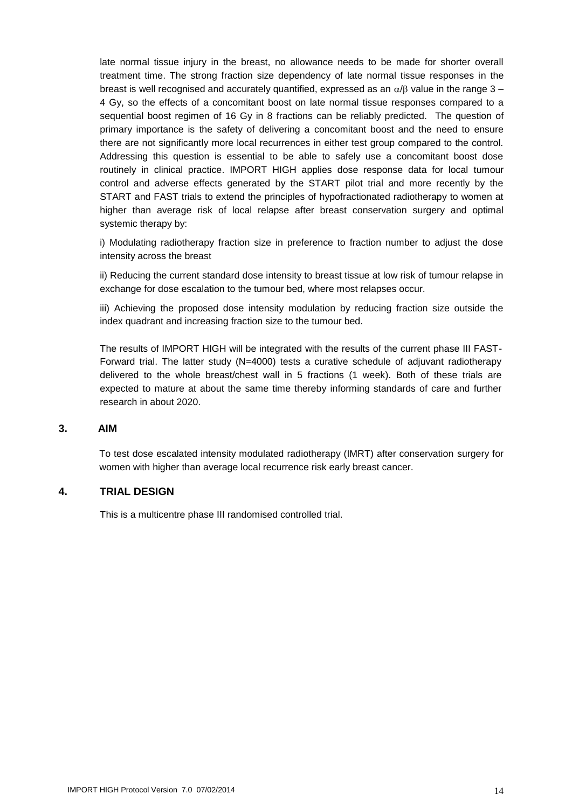late normal tissue injury in the breast, no allowance needs to be made for shorter overall treatment time. The strong fraction size dependency of late normal tissue responses in the breast is well recognised and accurately quantified, expressed as an  $\alpha/\beta$  value in the range 3 – 4 Gy, so the effects of a concomitant boost on late normal tissue responses compared to a sequential boost regimen of 16 Gy in 8 fractions can be reliably predicted. The question of primary importance is the safety of delivering a concomitant boost and the need to ensure there are not significantly more local recurrences in either test group compared to the control. Addressing this question is essential to be able to safely use a concomitant boost dose routinely in clinical practice. IMPORT HIGH applies dose response data for local tumour control and adverse effects generated by the START pilot trial and more recently by the START and FAST trials to extend the principles of hypofractionated radiotherapy to women at higher than average risk of local relapse after breast conservation surgery and optimal systemic therapy by:

i) Modulating radiotherapy fraction size in preference to fraction number to adjust the dose intensity across the breast

ii) Reducing the current standard dose intensity to breast tissue at low risk of tumour relapse in exchange for dose escalation to the tumour bed, where most relapses occur.

iii) Achieving the proposed dose intensity modulation by reducing fraction size outside the index quadrant and increasing fraction size to the tumour bed.

The results of IMPORT HIGH will be integrated with the results of the current phase III FAST-Forward trial. The latter study (N=4000) tests a curative schedule of adjuvant radiotherapy delivered to the whole breast/chest wall in 5 fractions (1 week). Both of these trials are expected to mature at about the same time thereby informing standards of care and further research in about 2020.

#### <span id="page-13-0"></span>**3. AIM**

To test dose escalated intensity modulated radiotherapy (IMRT) after conservation surgery for women with higher than average local recurrence risk early breast cancer.

#### <span id="page-13-1"></span>**4. TRIAL DESIGN**

This is a multicentre phase III randomised controlled trial.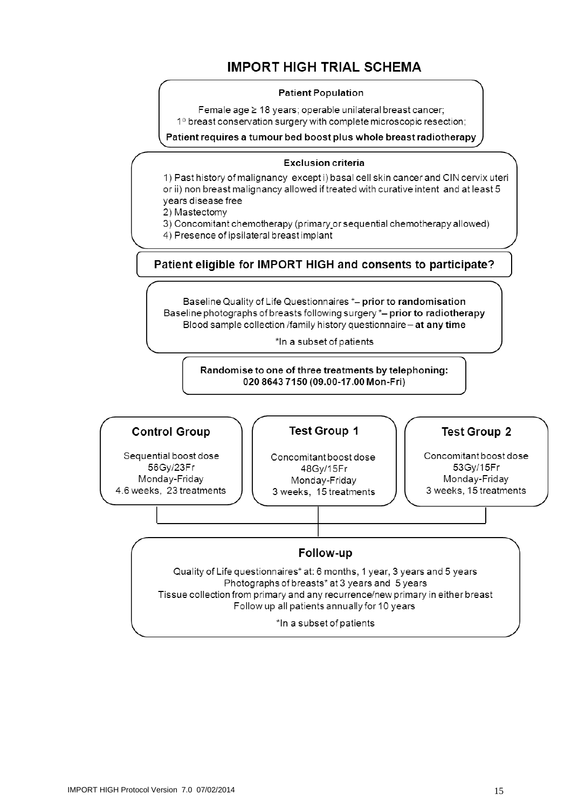### **IMPORT HIGH TRIAL SCHEMA**

#### **Patient Population**

Female age ≥ 18 years; operable unilateral breast cancer; 1º breast conservation surgery with complete microscopic resection;

Patient requires a tumour bed boost plus whole breast radiotherapy

#### **Exclusion criteria**

1) Past history of malignancy except i) basal cell skin cancer and CIN cervix uteri or ii) non breast malignancy allowed if treated with curative intent and at least 5 years disease free

2) Mastectomy

3) Concomitant chemotherapy (primary or sequential chemotherapy allowed)

4) Presence of ipsilateral breast implant

Patient eligible for IMPORT HIGH and consents to participate?

Baseline Quality of Life Questionnaires \*- prior to randomisation Baseline photographs of breasts following surgery \*- prior to radiotherapy Blood sample collection /family history questionnaire - at any time

\*In a subset of patients

Randomise to one of three treatments by telephoning: 020 8643 7150 (09.00-17.00 Mon-Fri)

#### **Control Group**

Sequential boost dose 56Gy/23Fr Monday-Friday 4.6 weeks. 23 treatments

#### **Test Group 1**

Concomitant boost dose 48Gv/15Fr Monday-Friday 3 weeks, 15 treatments

#### **Test Group 2**

Concomitant boost dose 53Gy/15Fr Monday-Friday 3 weeks, 15 treatments

#### Follow-up

Quality of Life questionnaires\* at: 6 months, 1 year, 3 years and 5 years Photographs of breasts\* at 3 years and 5 years Tissue collection from primary and any recurrence/new primary in either breast Follow up all patients annually for 10 years

\*In a subset of patients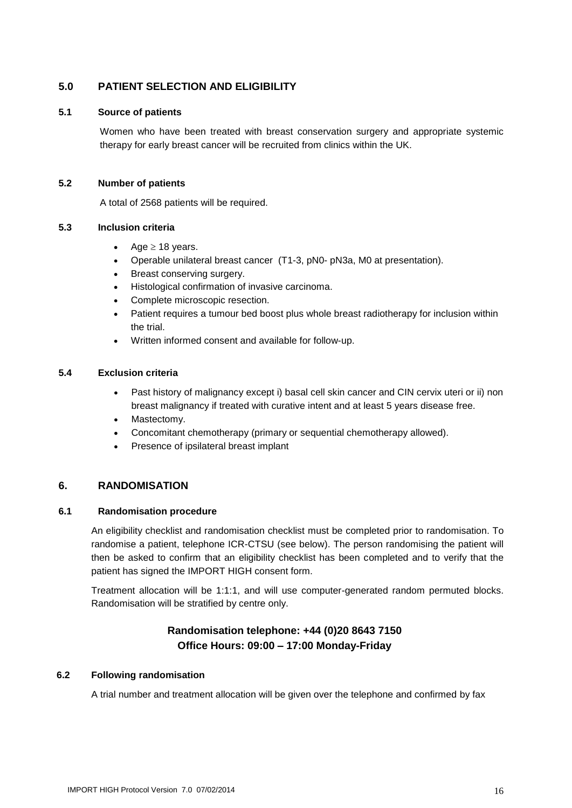#### <span id="page-15-0"></span>**5.0 PATIENT SELECTION AND ELIGIBILITY**

#### <span id="page-15-1"></span>**5.1 Source of patients**

Women who have been treated with breast conservation surgery and appropriate systemic therapy for early breast cancer will be recruited from clinics within the UK.

#### <span id="page-15-2"></span>**5.2 Number of patients**

A total of 2568 patients will be required.

#### <span id="page-15-3"></span>**5.3 Inclusion criteria**

- Age  $\geq$  18 years.
- Operable unilateral breast cancer (T1-3, pN0- pN3a, M0 at presentation).
- Breast conserving surgery.
- Histological confirmation of invasive carcinoma.
- Complete microscopic resection.
- Patient requires a tumour bed boost plus whole breast radiotherapy for inclusion within the trial.
- Written informed consent and available for follow-up.

#### <span id="page-15-4"></span>**5.4 Exclusion criteria**

- Past history of malignancy except i) basal cell skin cancer and CIN cervix uteri or ii) non breast malignancy if treated with curative intent and at least 5 years disease free.
- Mastectomy.
- Concomitant chemotherapy (primary or sequential chemotherapy allowed).
- Presence of ipsilateral breast implant

#### <span id="page-15-5"></span>**6. RANDOMISATION**

#### <span id="page-15-6"></span>**6.1 Randomisation procedure**

An eligibility checklist and randomisation checklist must be completed prior to randomisation. To randomise a patient, telephone ICR-CTSU (see below). The person randomising the patient will then be asked to confirm that an eligibility checklist has been completed and to verify that the patient has signed the IMPORT HIGH consent form.

Treatment allocation will be 1:1:1, and will use computer-generated random permuted blocks. Randomisation will be stratified by centre only.

#### **Randomisation telephone: +44 (0)20 8643 7150 Office Hours: 09:00 – 17:00 Monday-Friday**

#### <span id="page-15-7"></span>**6.2 Following randomisation**

A trial number and treatment allocation will be given over the telephone and confirmed by fax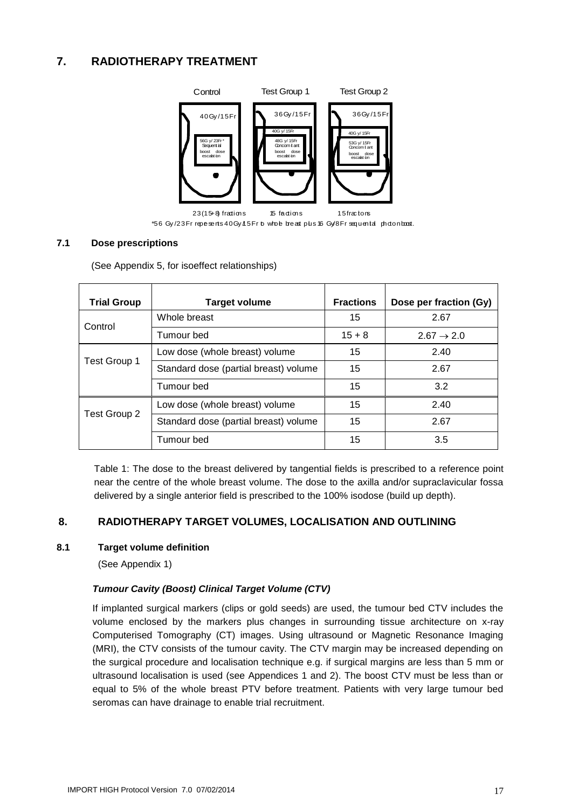### <span id="page-16-0"></span>**7. RADIOTHERAPY TREATMENT**



\*56 Gy/23 Fr repesents 40 Gy 115 Fr to whole breast plus 16 Gy/8 Fr sequental photon boost.

#### <span id="page-16-1"></span>**7.1 Dose prescriptions**

(See Appendix 5, for isoeffect relationships)

| <b>Trial Group</b> | <b>Target volume</b>                  | <b>Fractions</b> | Dose per fraction (Gy) |
|--------------------|---------------------------------------|------------------|------------------------|
| Control            | Whole breast                          | 15               | 2.67                   |
|                    | Tumour bed                            | $15 + 8$         | $2.67 \rightarrow 2.0$ |
|                    | Low dose (whole breast) volume        | 15               | 2.40                   |
| Test Group 1       | Standard dose (partial breast) volume | 15               | 2.67                   |
|                    | Tumour bed                            | 15               | 3.2                    |
|                    | Low dose (whole breast) volume        | 15               | 2.40                   |
| Test Group 2       | Standard dose (partial breast) volume | 15               | 2.67                   |
|                    | Tumour bed                            | 15               | 3.5                    |

Table 1: The dose to the breast delivered by tangential fields is prescribed to a reference point near the centre of the whole breast volume. The dose to the axilla and/or supraclavicular fossa delivered by a single anterior field is prescribed to the 100% isodose (build up depth).

#### <span id="page-16-2"></span>**8. RADIOTHERAPY TARGET VOLUMES, LOCALISATION AND OUTLINING**

#### <span id="page-16-3"></span>**8.1 Target volume definition**

(See Appendix 1)

#### *Tumour Cavity (Boost) Clinical Target Volume (CTV)*

If implanted surgical markers (clips or gold seeds) are used, the tumour bed CTV includes the volume enclosed by the markers plus changes in surrounding tissue architecture on x-ray Computerised Tomography (CT) images. Using ultrasound or Magnetic Resonance Imaging (MRI), the CTV consists of the tumour cavity. The CTV margin may be increased depending on the surgical procedure and localisation technique e.g. if surgical margins are less than 5 mm or ultrasound localisation is used (see Appendices 1 and 2). The boost CTV must be less than or equal to 5% of the whole breast PTV before treatment. Patients with very large tumour bed seromas can have drainage to enable trial recruitment.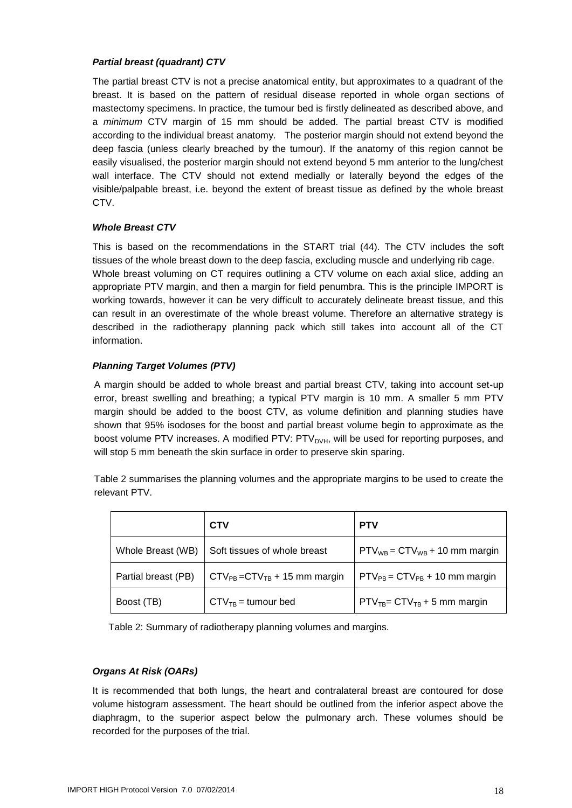#### *Partial breast (quadrant) CTV*

The partial breast CTV is not a precise anatomical entity, but approximates to a quadrant of the breast. It is based on the pattern of residual disease reported in whole organ sections of mastectomy specimens. In practice, the tumour bed is firstly delineated as described above, and a *minimum* CTV margin of 15 mm should be added. The partial breast CTV is modified according to the individual breast anatomy. The posterior margin should not extend beyond the deep fascia (unless clearly breached by the tumour). If the anatomy of this region cannot be easily visualised, the posterior margin should not extend beyond 5 mm anterior to the lung/chest wall interface. The CTV should not extend medially or laterally beyond the edges of the visible/palpable breast, i.e. beyond the extent of breast tissue as defined by the whole breast CTV.

#### *Whole Breast CTV*

This is based on the recommendations in the START trial (44). The CTV includes the soft tissues of the whole breast down to the deep fascia, excluding muscle and underlying rib cage. Whole breast voluming on CT requires outlining a CTV volume on each axial slice, adding an appropriate PTV margin, and then a margin for field penumbra. This is the principle IMPORT is working towards, however it can be very difficult to accurately delineate breast tissue, and this can result in an overestimate of the whole breast volume. Therefore an alternative strategy is described in the radiotherapy planning pack which still takes into account all of the CT information.

#### *Planning Target Volumes (PTV)*

A margin should be added to whole breast and partial breast CTV, taking into account set-up error, breast swelling and breathing; a typical PTV margin is 10 mm. A smaller 5 mm PTV margin should be added to the boost CTV, as volume definition and planning studies have shown that 95% isodoses for the boost and partial breast volume begin to approximate as the boost volume PTV increases. A modified PTV: PTV<sub>DVH</sub>, will be used for reporting purposes, and will stop 5 mm beneath the skin surface in order to preserve skin sparing.

Table 2 summarises the planning volumes and the appropriate margins to be used to create the relevant PTV.

|                     | <b>CTV</b>                           | <b>PTV</b>                           |
|---------------------|--------------------------------------|--------------------------------------|
| Whole Breast (WB)   | Soft tissues of whole breast         | $PTV_{WB} = CTV_{WB} + 10$ mm margin |
| Partial breast (PB) | $CTV_{PB} = CTV_{TB} + 15$ mm margin | $PTV_{PB} = CTV_{PB} + 10$ mm margin |
| Boost (TB)          | $CTV_{TB}$ = tumour bed              | $PTV_{TB} = CTV_{TB} + 5$ mm margin  |

Table 2: Summary of radiotherapy planning volumes and margins.

#### *Organs At Risk (OARs)*

It is recommended that both lungs, the heart and contralateral breast are contoured for dose volume histogram assessment. The heart should be outlined from the inferior aspect above the diaphragm, to the superior aspect below the pulmonary arch. These volumes should be recorded for the purposes of the trial.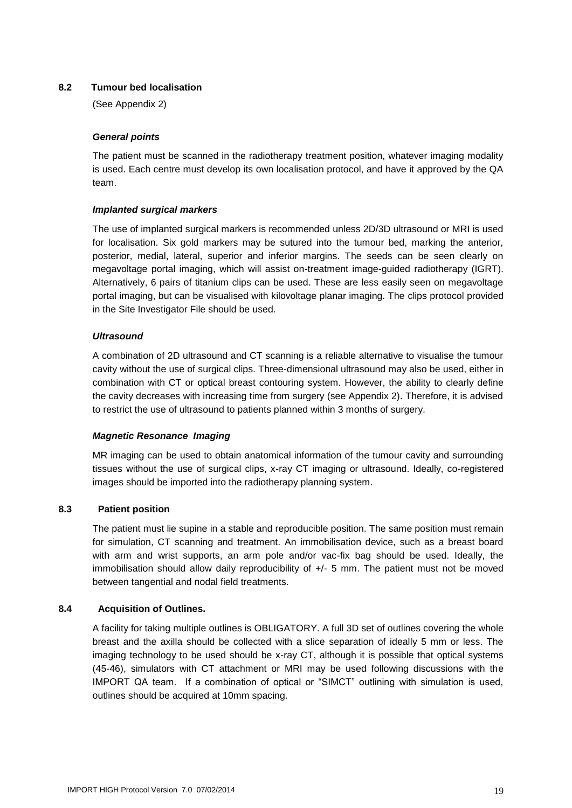#### <span id="page-18-0"></span>**8.2 Tumour bed localisation**

(See Appendix 2)

#### *General points*

The patient must be scanned in the radiotherapy treatment position, whatever imaging modality is used. Each centre must develop its own localisation protocol, and have it approved by the QA team.

#### *Implanted surgical markers*

The use of implanted surgical markers is recommended unless 2D/3D ultrasound or MRI is used for localisation. Six gold markers may be sutured into the tumour bed, marking the anterior, posterior, medial, lateral, superior and inferior margins. The seeds can be seen clearly on megavoltage portal imaging, which will assist on-treatment image-guided radiotherapy (IGRT). Alternatively, 6 pairs of titanium clips can be used. These are less easily seen on megavoltage portal imaging, but can be visualised with kilovoltage planar imaging. The clips protocol provided in the Site Investigator File should be used.

#### *Ultrasound*

A combination of 2D ultrasound and CT scanning is a reliable alternative to visualise the tumour cavity without the use of surgical clips. Three-dimensional ultrasound may also be used, either in combination with CT or optical breast contouring system. However, the ability to clearly define the cavity decreases with increasing time from surgery (see Appendix 2). Therefore, it is advised to restrict the use of ultrasound to patients planned within 3 months of surgery.

#### *Magnetic Resonance Imaging*

MR imaging can be used to obtain anatomical information of the tumour cavity and surrounding tissues without the use of surgical clips, x-ray CT imaging or ultrasound. Ideally, co-registered images should be imported into the radiotherapy planning system.

#### <span id="page-18-1"></span>**8.3 Patient position**

The patient must lie supine in a stable and reproducible position. The same position must remain for simulation, CT scanning and treatment. An immobilisation device, such as a breast board with arm and wrist supports, an arm pole and/or vac-fix bag should be used. Ideally, the immobilisation should allow daily reproducibility of +/- 5 mm. The patient must not be moved between tangential and nodal field treatments.

#### <span id="page-18-2"></span>**8.4 Acquisition of Outlines.**

A facility for taking multiple outlines is OBLIGATORY. A full 3D set of outlines covering the whole breast and the axilla should be collected with a slice separation of ideally 5 mm or less. The imaging technology to be used should be x-ray CT, although it is possible that optical systems (45-46), simulators with CT attachment or MRI may be used following discussions with the IMPORT QA team. If a combination of optical or "SIMCT" outlining with simulation is used, outlines should be acquired at 10mm spacing.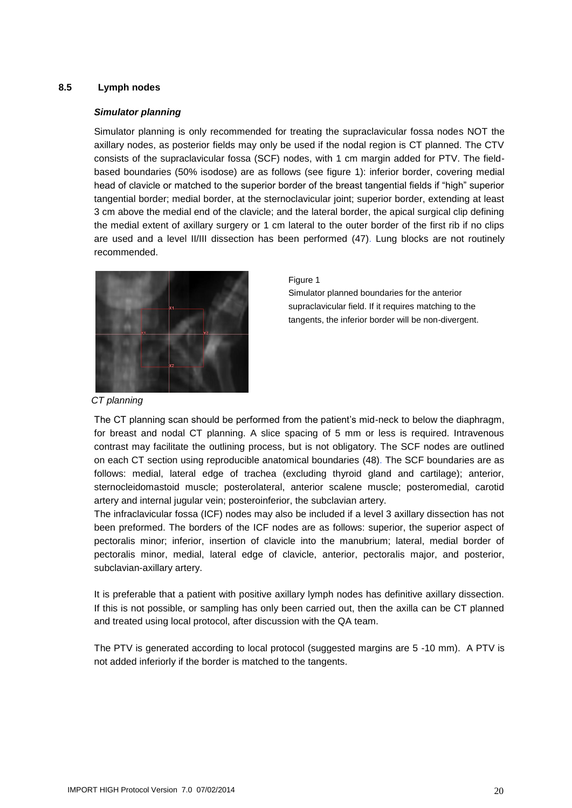#### <span id="page-19-0"></span>**8.5 Lymph nodes**

#### *Simulator planning*

Simulator planning is only recommended for treating the supraclavicular fossa nodes NOT the axillary nodes, as posterior fields may only be used if the nodal region is CT planned. The CTV consists of the supraclavicular fossa (SCF) nodes, with 1 cm margin added for PTV. The fieldbased boundaries (50% isodose) are as follows (see figure 1): inferior border, covering medial head of clavicle or matched to the superior border of the breast tangential fields if "high" superior tangential border; medial border, at the sternoclavicular joint; superior border, extending at least 3 cm above the medial end of the clavicle; and the lateral border, the apical surgical clip defining the medial extent of axillary surgery or 1 cm lateral to the outer border of the first rib if no clips are used and a level II/III dissection has been performed (47). Lung blocks are not routinely recommended.



#### Figure 1

Simulator planned boundaries for the anterior supraclavicular field. If it requires matching to the tangents, the inferior border will be non-divergent.

*CT planning*

The CT planning scan should be performed from the patient's mid-neck to below the diaphragm, for breast and nodal CT planning. A slice spacing of 5 mm or less is required. Intravenous contrast may facilitate the outlining process, but is not obligatory. The SCF nodes are outlined on each CT section using reproducible anatomical boundaries (48). The SCF boundaries are as follows: medial, lateral edge of trachea (excluding thyroid gland and cartilage); anterior, sternocleidomastoid muscle; posterolateral, anterior scalene muscle; posteromedial, carotid artery and internal jugular vein; posteroinferior, the subclavian artery.

The infraclavicular fossa (ICF) nodes may also be included if a level 3 axillary dissection has not been preformed. The borders of the ICF nodes are as follows: superior, the superior aspect of pectoralis minor; inferior, insertion of clavicle into the manubrium; lateral, medial border of pectoralis minor, medial, lateral edge of clavicle, anterior, pectoralis major, and posterior, subclavian-axillary artery.

It is preferable that a patient with positive axillary lymph nodes has definitive axillary dissection. If this is not possible, or sampling has only been carried out, then the axilla can be CT planned and treated using local protocol, after discussion with the QA team.

The PTV is generated according to local protocol (suggested margins are 5 -10 mm). A PTV is not added inferiorly if the border is matched to the tangents.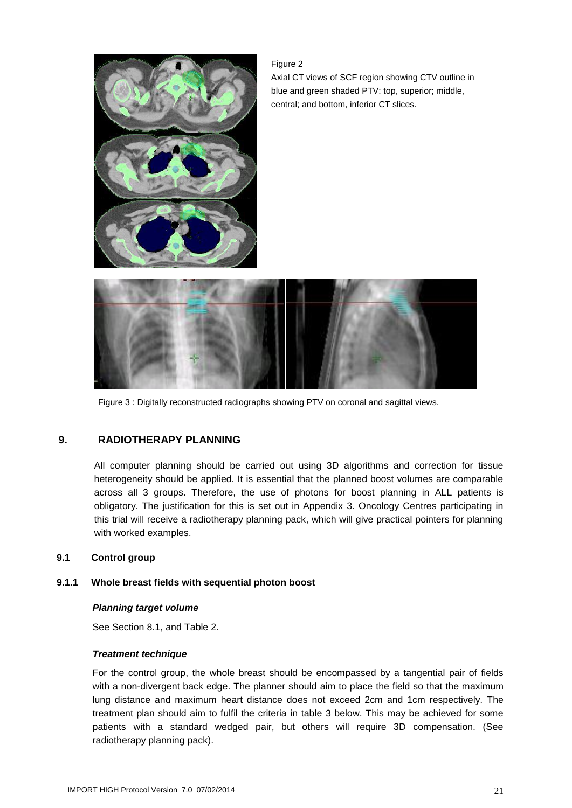

Figure 2 Axial CT views of SCF region showing CTV outline in blue and green shaded PTV: top, superior; middle, central; and bottom, inferior CT slices.



Figure 3 : Digitally reconstructed radiographs showing PTV on coronal and sagittal views.

#### <span id="page-20-0"></span>**9. RADIOTHERAPY PLANNING**

All computer planning should be carried out using 3D algorithms and correction for tissue heterogeneity should be applied. It is essential that the planned boost volumes are comparable across all 3 groups. Therefore, the use of photons for boost planning in ALL patients is obligatory. The justification for this is set out in Appendix 3. Oncology Centres participating in this trial will receive a radiotherapy planning pack, which will give practical pointers for planning with worked examples.

#### <span id="page-20-1"></span>**9.1 Control group**

#### <span id="page-20-2"></span>**9.1.1 Whole breast fields with sequential photon boost**

#### *Planning target volume*

See Section 8.1, and Table 2.

#### *Treatment technique*

For the control group, the whole breast should be encompassed by a tangential pair of fields with a non-divergent back edge. The planner should aim to place the field so that the maximum lung distance and maximum heart distance does not exceed 2cm and 1cm respectively. The treatment plan should aim to fulfil the criteria in table 3 below. This may be achieved for some patients with a standard wedged pair, but others will require 3D compensation. (See radiotherapy planning pack).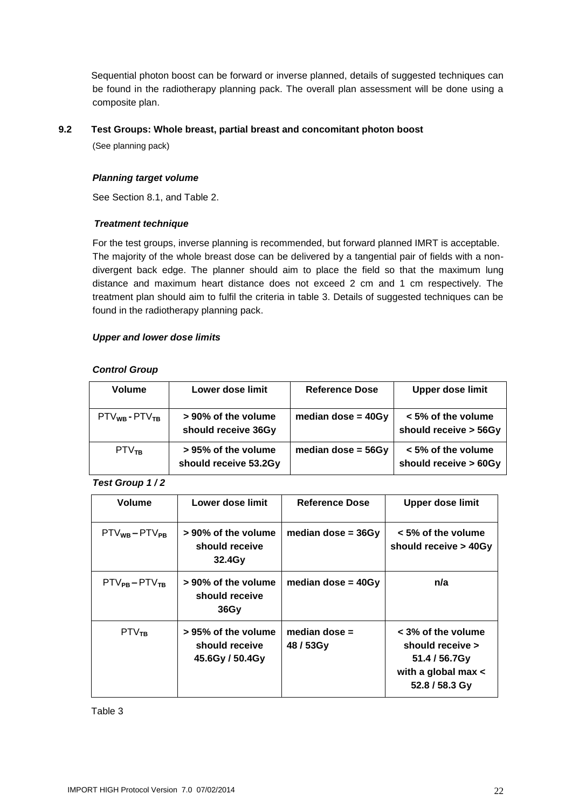Sequential photon boost can be forward or inverse planned, details of suggested techniques can be found in the radiotherapy planning pack. The overall plan assessment will be done using a composite plan.

#### <span id="page-21-0"></span>**9.2 Test Groups: Whole breast, partial breast and concomitant photon boost**

(See planning pack)

#### *Planning target volume*

See Section 8.1, and Table 2.

#### *Treatment technique*

For the test groups, inverse planning is recommended, but forward planned IMRT is acceptable. The majority of the whole breast dose can be delivered by a tangential pair of fields with a nondivergent back edge. The planner should aim to place the field so that the maximum lung distance and maximum heart distance does not exceed 2 cm and 1 cm respectively. The treatment plan should aim to fulfil the criteria in table 3. Details of suggested techniques can be found in the radiotherapy planning pack.

#### *Upper and lower dose limits*

#### *Control Group*

| <b>Volume</b>         | Lower dose limit                             | <b>Reference Dose</b> | <b>Upper dose limit</b>                     |
|-----------------------|----------------------------------------------|-----------------------|---------------------------------------------|
| $PTV_{WB} - PTV_{TB}$ | > 90% of the volume<br>should receive 36Gy   | median dose = $40Gy$  | < 5% of the volume<br>should receive > 56Gy |
| PTV <sub>TR</sub>     | > 95% of the volume<br>should receive 53.2Gy | median dose = $56Gy$  | < 5% of the volume<br>should receive > 60Gy |

*Test Group 1 / 2*

| <b>Volume</b>         | Lower dose limit                                            | Reference Dose               | <b>Upper dose limit</b>                                                                            |
|-----------------------|-------------------------------------------------------------|------------------------------|----------------------------------------------------------------------------------------------------|
| $PTV_{WB}-PTV_{PB}$   | > 90% of the volume<br>should receive<br>32.4G <sub>V</sub> | median dose = $36Gv$         | $< 5\%$ of the volume<br>should receive > 40Gy                                                     |
| $PTV_{PB} - PTV_{TB}$ | > 90% of the volume<br>should receive<br><b>36Gv</b>        | median dose = $40Gy$         | n/a                                                                                                |
| PTV <sub>TB</sub>     | > 95% of the volume<br>should receive<br>45.6Gy / 50.4Gy    | median dose $=$<br>48 / 53Gy | $<$ 3% of the volume<br>should receive ><br>51.4 / 56.7Gy<br>with a global max <<br>52.8 / 58.3 Gy |

Table 3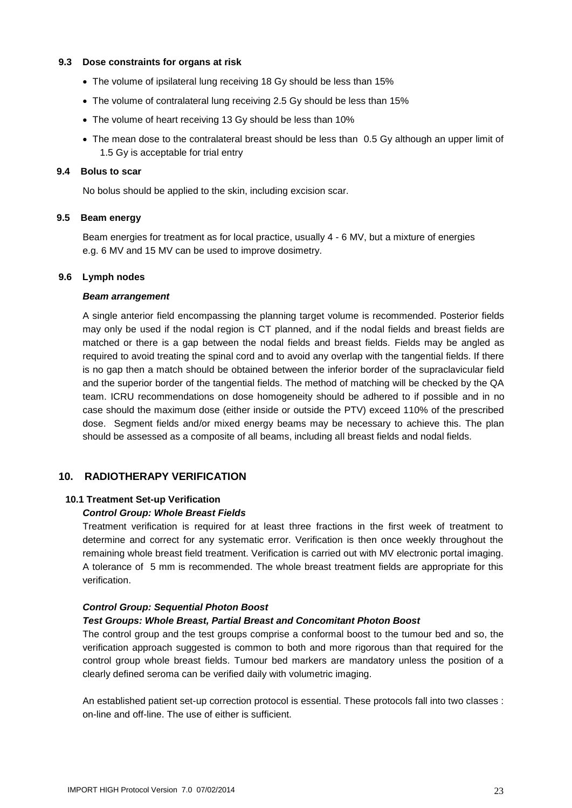#### <span id="page-22-0"></span>**9.3 Dose constraints for organs at risk**

- The volume of ipsilateral lung receiving 18 Gy should be less than 15%
- The volume of contralateral lung receiving 2.5 Gy should be less than 15%
- The volume of heart receiving 13 Gy should be less than 10%
- The mean dose to the contralateral breast should be less than 0.5 Gy although an upper limit of 1.5 Gy is acceptable for trial entry

#### <span id="page-22-1"></span>**9.4 Bolus to scar**

No bolus should be applied to the skin, including excision scar.

#### <span id="page-22-2"></span>**9.5 Beam energy**

Beam energies for treatment as for local practice, usually 4 - 6 MV, but a mixture of energies e.g. 6 MV and 15 MV can be used to improve dosimetry.

#### <span id="page-22-3"></span>**9.6 Lymph nodes**

#### *Beam arrangement*

A single anterior field encompassing the planning target volume is recommended. Posterior fields may only be used if the nodal region is CT planned, and if the nodal fields and breast fields are matched or there is a gap between the nodal fields and breast fields. Fields may be angled as required to avoid treating the spinal cord and to avoid any overlap with the tangential fields. If there is no gap then a match should be obtained between the inferior border of the supraclavicular field and the superior border of the tangential fields. The method of matching will be checked by the QA team. ICRU recommendations on dose homogeneity should be adhered to if possible and in no case should the maximum dose (either inside or outside the PTV) exceed 110% of the prescribed dose. Segment fields and/or mixed energy beams may be necessary to achieve this. The plan should be assessed as a composite of all beams, including all breast fields and nodal fields.

#### <span id="page-22-4"></span>**10. RADIOTHERAPY VERIFICATION**

#### <span id="page-22-5"></span>**10.1 Treatment Set-up Verification**

#### *Control Group: Whole Breast Fields*

Treatment verification is required for at least three fractions in the first week of treatment to determine and correct for any systematic error. Verification is then once weekly throughout the remaining whole breast field treatment. Verification is carried out with MV electronic portal imaging. A tolerance of 5 mm is recommended. The whole breast treatment fields are appropriate for this verification.

#### *Control Group: Sequential Photon Boost*

#### *Test Groups: Whole Breast, Partial Breast and Concomitant Photon Boost*

The control group and the test groups comprise a conformal boost to the tumour bed and so, the verification approach suggested is common to both and more rigorous than that required for the control group whole breast fields. Tumour bed markers are mandatory unless the position of a clearly defined seroma can be verified daily with volumetric imaging.

An established patient set-up correction protocol is essential. These protocols fall into two classes : on-line and off-line. The use of either is sufficient.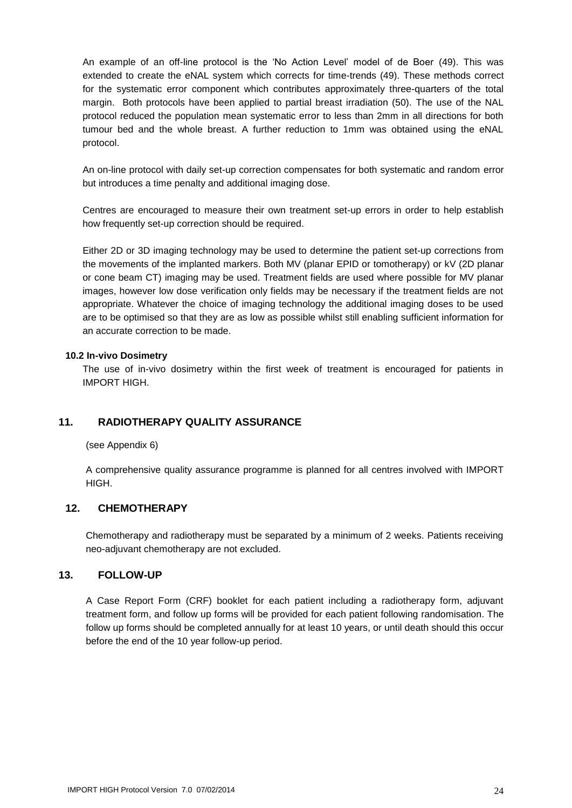An example of an off-line protocol is the 'No Action Level' model of de Boer (49). This was extended to create the eNAL system which corrects for time-trends (49). These methods correct for the systematic error component which contributes approximately three-quarters of the total margin. Both protocols have been applied to partial breast irradiation (50). The use of the NAL protocol reduced the population mean systematic error to less than 2mm in all directions for both tumour bed and the whole breast. A further reduction to 1mm was obtained using the eNAL protocol.

An on-line protocol with daily set-up correction compensates for both systematic and random error but introduces a time penalty and additional imaging dose.

Centres are encouraged to measure their own treatment set-up errors in order to help establish how frequently set-up correction should be required.

Either 2D or 3D imaging technology may be used to determine the patient set-up corrections from the movements of the implanted markers. Both MV (planar EPID or tomotherapy) or kV (2D planar or cone beam CT) imaging may be used. Treatment fields are used where possible for MV planar images, however low dose verification only fields may be necessary if the treatment fields are not appropriate. Whatever the choice of imaging technology the additional imaging doses to be used are to be optimised so that they are as low as possible whilst still enabling sufficient information for an accurate correction to be made.

#### <span id="page-23-0"></span>**10.2 In-vivo Dosimetry**

The use of in-vivo dosimetry within the first week of treatment is encouraged for patients in IMPORT HIGH.

#### <span id="page-23-1"></span>**11. RADIOTHERAPY QUALITY ASSURANCE**

(see Appendix 6)

A comprehensive quality assurance programme is planned for all centres involved with IMPORT HIGH.

#### <span id="page-23-2"></span>**12. CHEMOTHERAPY**

Chemotherapy and radiotherapy must be separated by a minimum of 2 weeks. Patients receiving neo-adjuvant chemotherapy are not excluded.

#### <span id="page-23-3"></span>**13. FOLLOW-UP**

A Case Report Form (CRF) booklet for each patient including a radiotherapy form, adjuvant treatment form, and follow up forms will be provided for each patient following randomisation. The follow up forms should be completed annually for at least 10 years, or until death should this occur before the end of the 10 year follow-up period.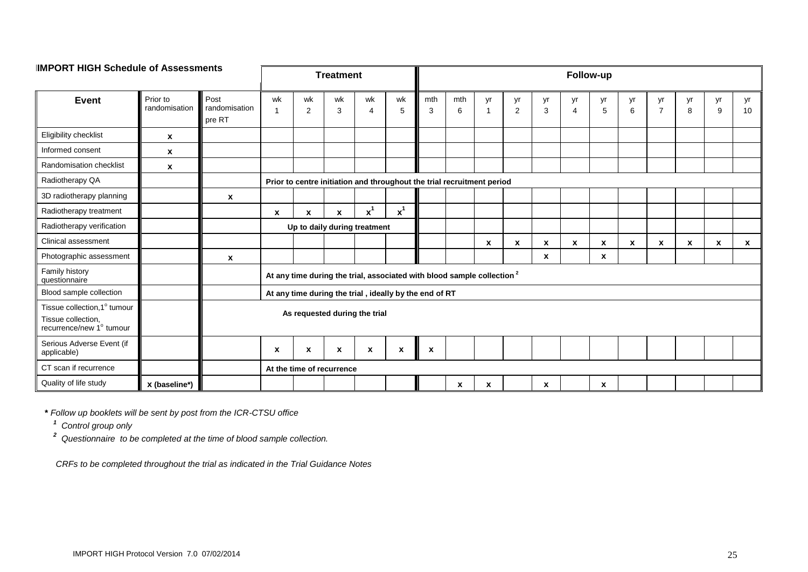| <b>IIMPORT HIGH Schedule of Assessments</b>                                    |                           |                                 | <b>Treatment</b>                                                                   |                           |              |                                                                        | Follow-up                 |          |                    |                           |                      |                  |                      |                  |                           |                      |         |         |          |
|--------------------------------------------------------------------------------|---------------------------|---------------------------------|------------------------------------------------------------------------------------|---------------------------|--------------|------------------------------------------------------------------------|---------------------------|----------|--------------------|---------------------------|----------------------|------------------|----------------------|------------------|---------------------------|----------------------|---------|---------|----------|
| <b>Event</b>                                                                   | Prior to<br>randomisation | Post<br>randomisation<br>pre RT | wk                                                                                 | wk<br>$\overline{2}$      | wk<br>3      | wk<br>$\overline{4}$                                                   | wk<br>5                   | mth<br>3 | mth<br>6           | yr<br>-1                  | yr<br>$\overline{2}$ | yr<br>3          | yr<br>$\overline{4}$ | yr<br>5          | yr<br>6                   | yr<br>$\overline{7}$ | yr<br>8 | yr<br>9 | yr<br>10 |
| Eligibility checklist                                                          | $\pmb{\mathsf{x}}$        |                                 |                                                                                    |                           |              |                                                                        |                           |          |                    |                           |                      |                  |                      |                  |                           |                      |         |         |          |
| Informed consent                                                               | X                         |                                 |                                                                                    |                           |              |                                                                        |                           |          |                    |                           |                      |                  |                      |                  |                           |                      |         |         |          |
| Randomisation checklist                                                        | x                         |                                 |                                                                                    |                           |              |                                                                        |                           |          |                    |                           |                      |                  |                      |                  |                           |                      |         |         |          |
| Radiotherapy QA                                                                |                           |                                 |                                                                                    |                           |              | Prior to centre initiation and throughout the trial recruitment period |                           |          |                    |                           |                      |                  |                      |                  |                           |                      |         |         |          |
| 3D radiotherapy planning                                                       |                           | $\mathbf{x}$                    |                                                                                    |                           |              |                                                                        |                           |          |                    |                           |                      |                  |                      |                  |                           |                      |         |         |          |
| Radiotherapy treatment                                                         |                           |                                 | $\mathbf{x}$                                                                       | $\boldsymbol{x}$          | $\mathbf{x}$ | $x^1$                                                                  | $x^1$                     |          |                    |                           |                      |                  |                      |                  |                           |                      |         |         |          |
| Radiotherapy verification                                                      |                           |                                 | Up to daily during treatment                                                       |                           |              |                                                                        |                           |          |                    |                           |                      |                  |                      |                  |                           |                      |         |         |          |
| Clinical assessment                                                            |                           |                                 |                                                                                    |                           |              |                                                                        |                           |          |                    | $\boldsymbol{\mathsf{x}}$ | $\boldsymbol{x}$     | X                | X                    | X                | $\boldsymbol{\mathsf{x}}$ | $\boldsymbol{x}$     | X       | X       | x        |
| Photographic assessment                                                        |                           | $\mathbf{x}$                    |                                                                                    |                           |              |                                                                        |                           |          |                    |                           |                      | X                |                      | $\pmb{\chi}$     |                           |                      |         |         |          |
| Family history<br>questionnaire                                                |                           |                                 | At any time during the trial, associated with blood sample collection <sup>2</sup> |                           |              |                                                                        |                           |          |                    |                           |                      |                  |                      |                  |                           |                      |         |         |          |
| Blood sample collection                                                        |                           |                                 |                                                                                    |                           |              | At any time during the trial, ideally by the end of RT                 |                           |          |                    |                           |                      |                  |                      |                  |                           |                      |         |         |          |
| Tissue collection, 1° tumour<br>Tissue collection,<br>recurrence/new 1° tumour |                           |                                 | As requested during the trial                                                      |                           |              |                                                                        |                           |          |                    |                           |                      |                  |                      |                  |                           |                      |         |         |          |
| Serious Adverse Event (if<br>applicable)                                       |                           |                                 | $\boldsymbol{\mathsf{x}}$                                                          | $\boldsymbol{\mathsf{x}}$ | X            | $\boldsymbol{\mathsf{x}}$                                              | $\boldsymbol{\mathsf{x}}$ | X        |                    |                           |                      |                  |                      |                  |                           |                      |         |         |          |
| CT scan if recurrence                                                          |                           |                                 | At the time of recurrence                                                          |                           |              |                                                                        |                           |          |                    |                           |                      |                  |                      |                  |                           |                      |         |         |          |
| Quality of life study                                                          | x (baseline*)             |                                 |                                                                                    |                           |              |                                                                        |                           |          | $\pmb{\mathsf{x}}$ | $\boldsymbol{\mathsf{x}}$ |                      | $\boldsymbol{x}$ |                      | $\boldsymbol{x}$ |                           |                      |         |         |          |

**\*** *Follow up booklets will be sent by post from the ICR-CTSU office*

*<sup>1</sup>Control group only*

*<sup>2</sup>Questionnaire to be completed at the time of blood sample collection.*

*CRFs to be completed throughout the trial as indicated in the Trial Guidance Notes*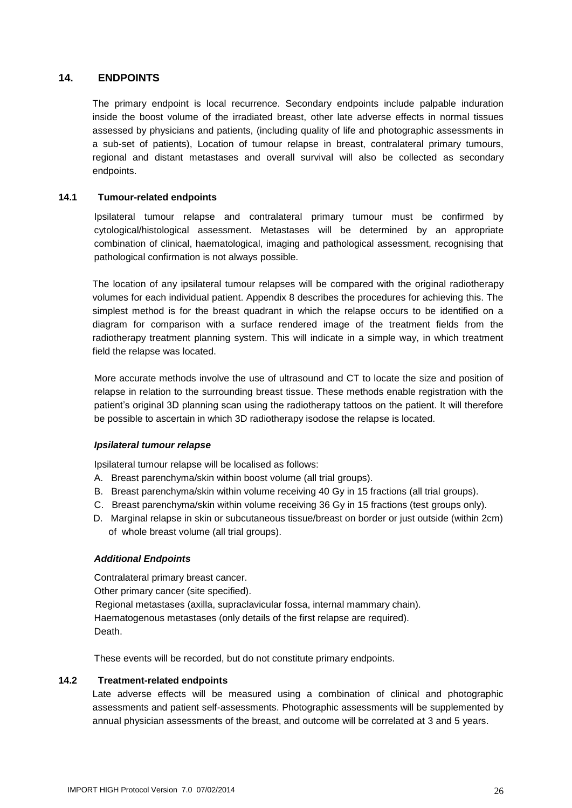#### <span id="page-25-0"></span>**14. ENDPOINTS**

The primary endpoint is local recurrence. Secondary endpoints include palpable induration inside the boost volume of the irradiated breast, other late adverse effects in normal tissues assessed by physicians and patients, (including quality of life and photographic assessments in a sub-set of patients), Location of tumour relapse in breast, contralateral primary tumours, regional and distant metastases and overall survival will also be collected as secondary endpoints.

#### <span id="page-25-1"></span>**14.1 Tumour-related endpoints**

Ipsilateral tumour relapse and contralateral primary tumour must be confirmed by cytological/histological assessment. Metastases will be determined by an appropriate combination of clinical, haematological, imaging and pathological assessment, recognising that pathological confirmation is not always possible.

The location of any ipsilateral tumour relapses will be compared with the original radiotherapy volumes for each individual patient. Appendix 8 describes the procedures for achieving this. The simplest method is for the breast quadrant in which the relapse occurs to be identified on a diagram for comparison with a surface rendered image of the treatment fields from the radiotherapy treatment planning system. This will indicate in a simple way, in which treatment field the relapse was located.

More accurate methods involve the use of ultrasound and CT to locate the size and position of relapse in relation to the surrounding breast tissue. These methods enable registration with the patient's original 3D planning scan using the radiotherapy tattoos on the patient. It will therefore be possible to ascertain in which 3D radiotherapy isodose the relapse is located.

#### *Ipsilateral tumour relapse*

Ipsilateral tumour relapse will be localised as follows:

- A. Breast parenchyma/skin within boost volume (all trial groups).
- B. Breast parenchyma/skin within volume receiving 40 Gy in 15 fractions (all trial groups).
- C. Breast parenchyma/skin within volume receiving 36 Gy in 15 fractions (test groups only).
- D. Marginal relapse in skin or subcutaneous tissue/breast on border or just outside (within 2cm) of whole breast volume (all trial groups).

#### *Additional Endpoints*

Contralateral primary breast cancer. Other primary cancer (site specified). Regional metastases (axilla, supraclavicular fossa, internal mammary chain). Haematogenous metastases (only details of the first relapse are required). Death.

These events will be recorded, but do not constitute primary endpoints.

#### <span id="page-25-2"></span>**14.2 Treatment-related endpoints**

Late adverse effects will be measured using a combination of clinical and photographic assessments and patient self-assessments. Photographic assessments will be supplemented by annual physician assessments of the breast, and outcome will be correlated at 3 and 5 years.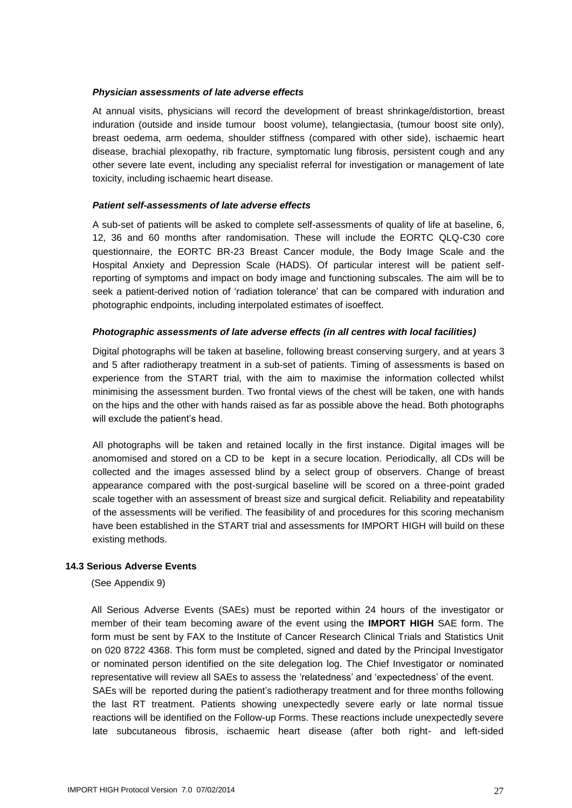#### *Physician assessments of late adverse effects*

At annual visits, physicians will record the development of breast shrinkage/distortion, breast induration (outside and inside tumour boost volume), telangiectasia, (tumour boost site only), breast oedema, arm oedema, shoulder stiffness (compared with other side), ischaemic heart disease, brachial plexopathy, rib fracture, symptomatic lung fibrosis, persistent cough and any other severe late event, including any specialist referral for investigation or management of late toxicity, including ischaemic heart disease.

#### *Patient self-assessments of late adverse effects*

A sub-set of patients will be asked to complete self-assessments of quality of life at baseline, 6, 12, 36 and 60 months after randomisation. These will include the EORTC QLQ-C30 core questionnaire, the EORTC BR-23 Breast Cancer module, the Body Image Scale and the Hospital Anxiety and Depression Scale (HADS). Of particular interest will be patient selfreporting of symptoms and impact on body image and functioning subscales. The aim will be to seek a patient-derived notion of 'radiation tolerance' that can be compared with induration and photographic endpoints, including interpolated estimates of isoeffect.

#### *Photographic assessments of late adverse effects (in all centres with local facilities)*

Digital photographs will be taken at baseline, following breast conserving surgery, and at years 3 and 5 after radiotherapy treatment in a sub-set of patients. Timing of assessments is based on experience from the START trial, with the aim to maximise the information collected whilst minimising the assessment burden. Two frontal views of the chest will be taken, one with hands on the hips and the other with hands raised as far as possible above the head. Both photographs will exclude the patient's head.

All photographs will be taken and retained locally in the first instance. Digital images will be anomomised and stored on a CD to be kept in a secure location. Periodically, all CDs will be collected and the images assessed blind by a select group of observers. Change of breast appearance compared with the post-surgical baseline will be scored on a three-point graded scale together with an assessment of breast size and surgical deficit. Reliability and repeatability of the assessments will be verified. The feasibility of and procedures for this scoring mechanism have been established in the START trial and assessments for IMPORT HIGH will build on these existing methods.

#### <span id="page-26-0"></span>**14.3 Serious Adverse Events**

(See Appendix 9)

All Serious Adverse Events (SAEs) must be reported within 24 hours of the investigator or member of their team becoming aware of the event using the **IMPORT HIGH** SAE form. The form must be sent by FAX to the Institute of Cancer Research Clinical Trials and Statistics Unit on 020 8722 4368. This form must be completed, signed and dated by the Principal Investigator or nominated person identified on the site delegation log. The Chief Investigator or nominated representative will review all SAEs to assess the 'relatedness' and 'expectedness' of the event.

SAEs will be reported during the patient's radiotherapy treatment and for three months following the last RT treatment. Patients showing unexpectedly severe early or late normal tissue reactions will be identified on the Follow-up Forms. These reactions include unexpectedly severe late subcutaneous fibrosis, ischaemic heart disease (after both right- and left-sided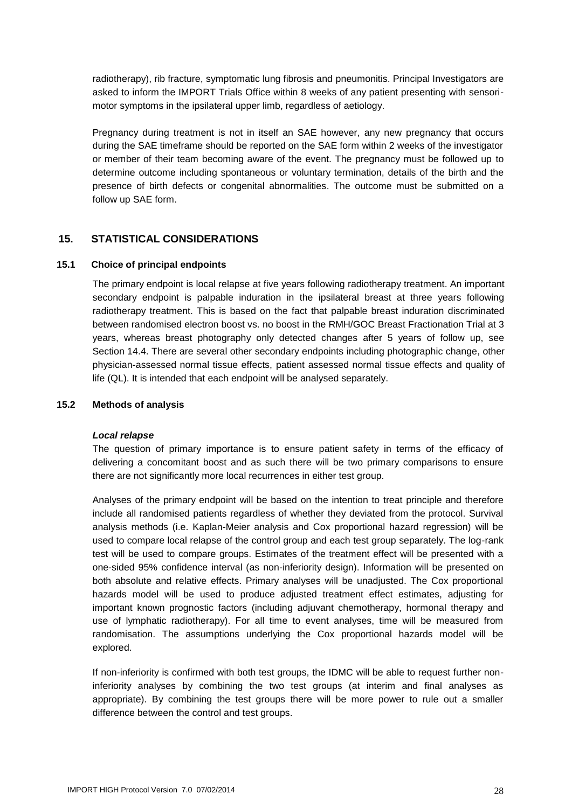radiotherapy), rib fracture, symptomatic lung fibrosis and pneumonitis. Principal Investigators are asked to inform the IMPORT Trials Office within 8 weeks of any patient presenting with sensorimotor symptoms in the ipsilateral upper limb, regardless of aetiology.

Pregnancy during treatment is not in itself an SAE however, any new pregnancy that occurs during the SAE timeframe should be reported on the SAE form within 2 weeks of the investigator or member of their team becoming aware of the event. The pregnancy must be followed up to determine outcome including spontaneous or voluntary termination, details of the birth and the presence of birth defects or congenital abnormalities. The outcome must be submitted on a follow up SAE form.

#### <span id="page-27-0"></span>**15. STATISTICAL CONSIDERATIONS**

#### <span id="page-27-1"></span>**15.1 Choice of principal endpoints**

The primary endpoint is local relapse at five years following radiotherapy treatment. An important secondary endpoint is palpable induration in the ipsilateral breast at three years following radiotherapy treatment. This is based on the fact that palpable breast induration discriminated between randomised electron boost vs. no boost in the RMH/GOC Breast Fractionation Trial at 3 years, whereas breast photography only detected changes after 5 years of follow up, see Section 14.4. There are several other secondary endpoints including photographic change, other physician-assessed normal tissue effects, patient assessed normal tissue effects and quality of life (QL). It is intended that each endpoint will be analysed separately.

#### <span id="page-27-2"></span>**15.2 Methods of analysis**

#### *Local relapse*

The question of primary importance is to ensure patient safety in terms of the efficacy of delivering a concomitant boost and as such there will be two primary comparisons to ensure there are not significantly more local recurrences in either test group.

Analyses of the primary endpoint will be based on the intention to treat principle and therefore include all randomised patients regardless of whether they deviated from the protocol. Survival analysis methods (i.e. Kaplan-Meier analysis and Cox proportional hazard regression) will be used to compare local relapse of the control group and each test group separately. The log-rank test will be used to compare groups. Estimates of the treatment effect will be presented with a one-sided 95% confidence interval (as non-inferiority design). Information will be presented on both absolute and relative effects. Primary analyses will be unadjusted. The Cox proportional hazards model will be used to produce adjusted treatment effect estimates, adjusting for important known prognostic factors (including adjuvant chemotherapy, hormonal therapy and use of lymphatic radiotherapy). For all time to event analyses, time will be measured from randomisation. The assumptions underlying the Cox proportional hazards model will be explored.

If non-inferiority is confirmed with both test groups, the IDMC will be able to request further noninferiority analyses by combining the two test groups (at interim and final analyses as appropriate). By combining the test groups there will be more power to rule out a smaller difference between the control and test groups.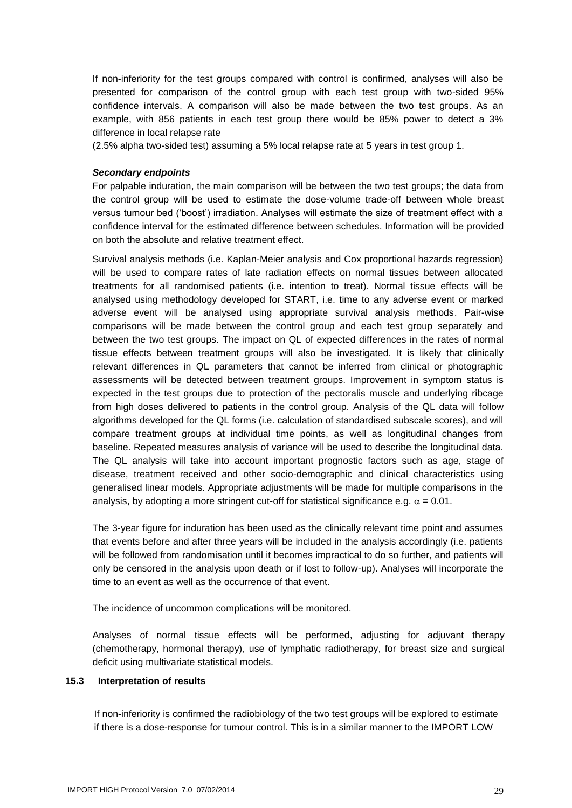If non-inferiority for the test groups compared with control is confirmed, analyses will also be presented for comparison of the control group with each test group with two-sided 95% confidence intervals. A comparison will also be made between the two test groups. As an example, with 856 patients in each test group there would be 85% power to detect a 3% difference in local relapse rate

(2.5% alpha two-sided test) assuming a 5% local relapse rate at 5 years in test group 1.

#### *Secondary endpoints*

For palpable induration, the main comparison will be between the two test groups; the data from the control group will be used to estimate the dose-volume trade-off between whole breast versus tumour bed ('boost') irradiation. Analyses will estimate the size of treatment effect with a confidence interval for the estimated difference between schedules. Information will be provided on both the absolute and relative treatment effect.

Survival analysis methods (i.e. Kaplan-Meier analysis and Cox proportional hazards regression) will be used to compare rates of late radiation effects on normal tissues between allocated treatments for all randomised patients (i.e. intention to treat). Normal tissue effects will be analysed using methodology developed for START, i.e. time to any adverse event or marked adverse event will be analysed using appropriate survival analysis methods. Pair-wise comparisons will be made between the control group and each test group separately and between the two test groups. The impact on QL of expected differences in the rates of normal tissue effects between treatment groups will also be investigated. It is likely that clinically relevant differences in QL parameters that cannot be inferred from clinical or photographic assessments will be detected between treatment groups. Improvement in symptom status is expected in the test groups due to protection of the pectoralis muscle and underlying ribcage from high doses delivered to patients in the control group. Analysis of the QL data will follow algorithms developed for the QL forms (i.e. calculation of standardised subscale scores), and will compare treatment groups at individual time points, as well as longitudinal changes from baseline. Repeated measures analysis of variance will be used to describe the longitudinal data. The QL analysis will take into account important prognostic factors such as age, stage of disease, treatment received and other socio-demographic and clinical characteristics using generalised linear models. Appropriate adjustments will be made for multiple comparisons in the analysis, by adopting a more stringent cut-off for statistical significance e.g.  $\alpha = 0.01$ .

The 3-year figure for induration has been used as the clinically relevant time point and assumes that events before and after three years will be included in the analysis accordingly (i.e. patients will be followed from randomisation until it becomes impractical to do so further, and patients will only be censored in the analysis upon death or if lost to follow-up). Analyses will incorporate the time to an event as well as the occurrence of that event.

The incidence of uncommon complications will be monitored.

Analyses of normal tissue effects will be performed, adjusting for adjuvant therapy (chemotherapy, hormonal therapy), use of lymphatic radiotherapy, for breast size and surgical deficit using multivariate statistical models.

#### <span id="page-28-0"></span>**15.3 Interpretation of results**

If non-inferiority is confirmed the radiobiology of the two test groups will be explored to estimate if there is a dose-response for tumour control. This is in a similar manner to the IMPORT LOW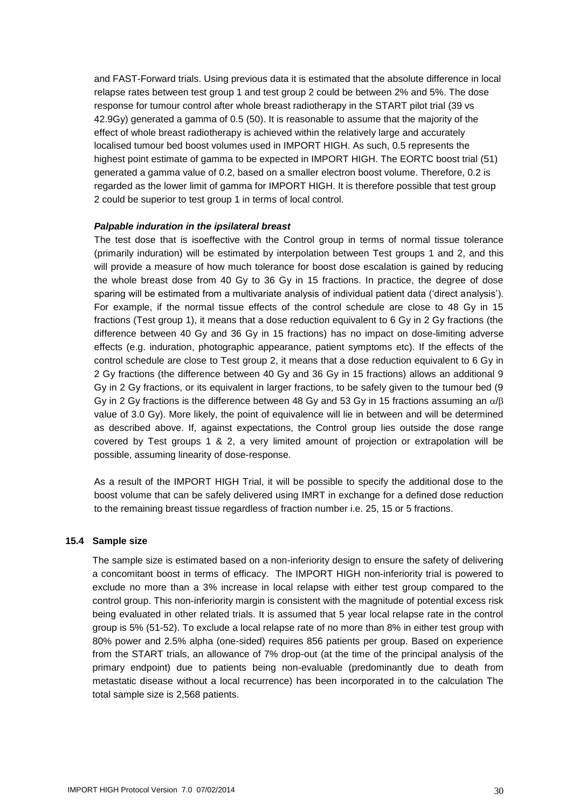and FAST-Forward trials. Using previous data it is estimated that the absolute difference in local relapse rates between test group 1 and test group 2 could be between 2% and 5%. The dose response for tumour control after whole breast radiotherapy in the START pilot trial (39 vs 42.9Gy) generated a gamma of 0.5 (50). It is reasonable to assume that the majority of the effect of whole breast radiotherapy is achieved within the relatively large and accurately localised tumour bed boost volumes used in IMPORT HIGH. As such, 0.5 represents the highest point estimate of gamma to be expected in IMPORT HIGH. The EORTC boost trial (51) generated a gamma value of 0.2, based on a smaller electron boost volume. Therefore, 0.2 is regarded as the lower limit of gamma for IMPORT HIGH. It is therefore possible that test group 2 could be superior to test group 1 in terms of local control.

#### *Palpable induration in the ipsilateral breast*

The test dose that is isoeffective with the Control group in terms of normal tissue tolerance (primarily induration) will be estimated by interpolation between Test groups 1 and 2, and this will provide a measure of how much tolerance for boost dose escalation is gained by reducing the whole breast dose from 40 Gy to 36 Gy in 15 fractions. In practice, the degree of dose sparing will be estimated from a multivariate analysis of individual patient data ('direct analysis'). For example, if the normal tissue effects of the control schedule are close to 48 Gy in 15 fractions (Test group 1), it means that a dose reduction equivalent to 6 Gy in 2 Gy fractions (the difference between 40 Gy and 36 Gy in 15 fractions) has no impact on dose-limiting adverse effects (e.g. induration, photographic appearance, patient symptoms etc). If the effects of the control schedule are close to Test group 2, it means that a dose reduction equivalent to 6 Gy in 2 Gy fractions (the difference between 40 Gy and 36 Gy in 15 fractions) allows an additional 9 Gy in 2 Gy fractions, or its equivalent in larger fractions, to be safely given to the tumour bed (9 Gy in 2 Gy fractions is the difference between 48 Gy and 53 Gy in 15 fractions assuming an  $\alpha/\beta$ value of 3.0 Gy). More likely, the point of equivalence will lie in between and will be determined as described above. If, against expectations, the Control group lies outside the dose range covered by Test groups 1 & 2, a very limited amount of projection or extrapolation will be possible, assuming linearity of dose-response.

As a result of the IMPORT HIGH Trial, it will be possible to specify the additional dose to the boost volume that can be safely delivered using IMRT in exchange for a defined dose reduction to the remaining breast tissue regardless of fraction number i.e. 25, 15 or 5 fractions.

#### <span id="page-29-0"></span>**15.4 Sample size**

The sample size is estimated based on a non-inferiority design to ensure the safety of delivering a concomitant boost in terms of efficacy. The IMPORT HIGH non-inferiority trial is powered to exclude no more than a 3% increase in local relapse with either test group compared to the control group. This non-inferiority margin is consistent with the magnitude of potential excess risk being evaluated in other related trials. It is assumed that 5 year local relapse rate in the control group is 5% (51-52). To exclude a local relapse rate of no more than 8% in either test group with 80% power and 2.5% alpha (one-sided) requires 856 patients per group. Based on experience from the START trials, an allowance of 7% drop-out (at the time of the principal analysis of the primary endpoint) due to patients being non-evaluable (predominantly due to death from metastatic disease without a local recurrence) has been incorporated in to the calculation The total sample size is 2,568 patients.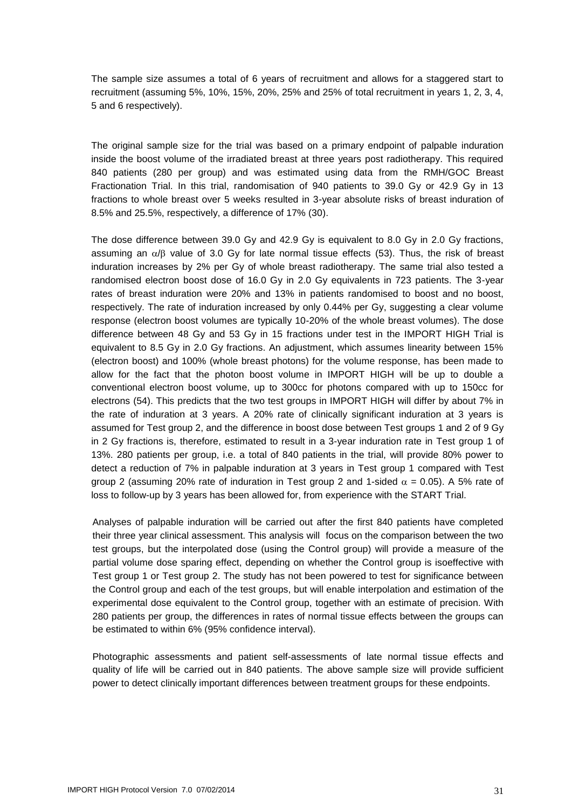The sample size assumes a total of 6 years of recruitment and allows for a staggered start to recruitment (assuming 5%, 10%, 15%, 20%, 25% and 25% of total recruitment in years 1, 2, 3, 4, 5 and 6 respectively).

The original sample size for the trial was based on a primary endpoint of palpable induration inside the boost volume of the irradiated breast at three years post radiotherapy. This required 840 patients (280 per group) and was estimated using data from the RMH/GOC Breast Fractionation Trial. In this trial, randomisation of 940 patients to 39.0 Gy or 42.9 Gy in 13 fractions to whole breast over 5 weeks resulted in 3-year absolute risks of breast induration of 8.5% and 25.5%, respectively, a difference of 17% (30).

The dose difference between 39.0 Gy and 42.9 Gy is equivalent to 8.0 Gy in 2.0 Gy fractions, assuming an  $\alpha$ / $\beta$  value of 3.0 Gy for late normal tissue effects (53). Thus, the risk of breast induration increases by 2% per Gy of whole breast radiotherapy. The same trial also tested a randomised electron boost dose of 16.0 Gy in 2.0 Gy equivalents in 723 patients. The 3-year rates of breast induration were 20% and 13% in patients randomised to boost and no boost, respectively. The rate of induration increased by only 0.44% per Gy, suggesting a clear volume response (electron boost volumes are typically 10-20% of the whole breast volumes). The dose difference between 48 Gy and 53 Gy in 15 fractions under test in the IMPORT HIGH Trial is equivalent to 8.5 Gy in 2.0 Gy fractions. An adjustment, which assumes linearity between 15% (electron boost) and 100% (whole breast photons) for the volume response, has been made to allow for the fact that the photon boost volume in IMPORT HIGH will be up to double a conventional electron boost volume, up to 300cc for photons compared with up to 150cc for electrons (54). This predicts that the two test groups in IMPORT HIGH will differ by about 7% in the rate of induration at 3 years. A 20% rate of clinically significant induration at 3 years is assumed for Test group 2, and the difference in boost dose between Test groups 1 and 2 of 9 Gy in 2 Gy fractions is, therefore, estimated to result in a 3-year induration rate in Test group 1 of 13%. 280 patients per group, i.e. a total of 840 patients in the trial, will provide 80% power to detect a reduction of 7% in palpable induration at 3 years in Test group 1 compared with Test group 2 (assuming 20% rate of induration in Test group 2 and 1-sided  $\alpha = 0.05$ ). A 5% rate of loss to follow-up by 3 years has been allowed for, from experience with the START Trial.

Analyses of palpable induration will be carried out after the first 840 patients have completed their three year clinical assessment. This analysis will focus on the comparison between the two test groups, but the interpolated dose (using the Control group) will provide a measure of the partial volume dose sparing effect, depending on whether the Control group is isoeffective with Test group 1 or Test group 2. The study has not been powered to test for significance between the Control group and each of the test groups, but will enable interpolation and estimation of the experimental dose equivalent to the Control group, together with an estimate of precision. With 280 patients per group, the differences in rates of normal tissue effects between the groups can be estimated to within 6% (95% confidence interval).

Photographic assessments and patient self-assessments of late normal tissue effects and quality of life will be carried out in 840 patients. The above sample size will provide sufficient power to detect clinically important differences between treatment groups for these endpoints.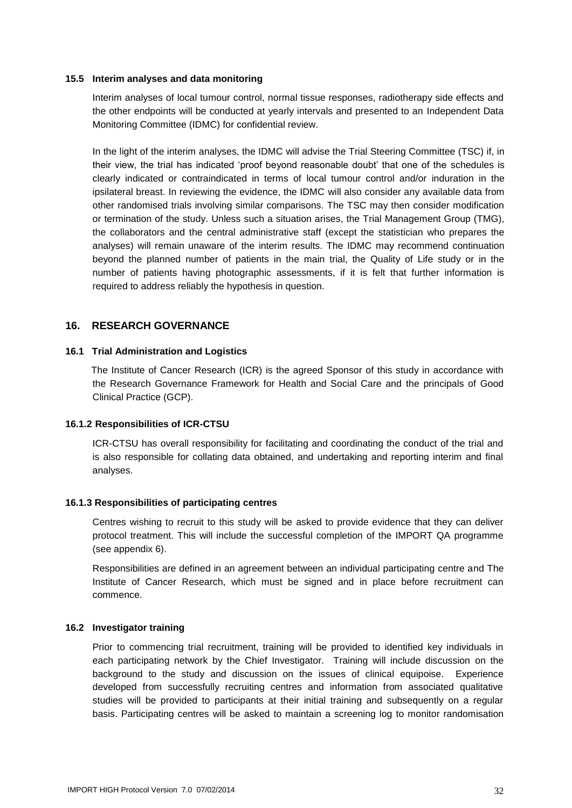#### <span id="page-31-0"></span>**15.5 Interim analyses and data monitoring**

Interim analyses of local tumour control, normal tissue responses, radiotherapy side effects and the other endpoints will be conducted at yearly intervals and presented to an Independent Data Monitoring Committee (IDMC) for confidential review.

In the light of the interim analyses, the IDMC will advise the Trial Steering Committee (TSC) if, in their view, the trial has indicated 'proof beyond reasonable doubt' that one of the schedules is clearly indicated or contraindicated in terms of local tumour control and/or induration in the ipsilateral breast. In reviewing the evidence, the IDMC will also consider any available data from other randomised trials involving similar comparisons. The TSC may then consider modification or termination of the study. Unless such a situation arises, the Trial Management Group (TMG), the collaborators and the central administrative staff (except the statistician who prepares the analyses) will remain unaware of the interim results. The IDMC may recommend continuation beyond the planned number of patients in the main trial, the Quality of Life study or in the number of patients having photographic assessments, if it is felt that further information is required to address reliably the hypothesis in question.

#### <span id="page-31-1"></span>**16. RESEARCH GOVERNANCE**

#### <span id="page-31-2"></span>**16.1 Trial Administration and Logistics**

The Institute of Cancer Research (ICR) is the agreed Sponsor of this study in accordance with the Research Governance Framework for Health and Social Care and the principals of Good Clinical Practice (GCP).

#### <span id="page-31-3"></span>**16.1.2 Responsibilities of ICR-CTSU**

ICR-CTSU has overall responsibility for facilitating and coordinating the conduct of the trial and is also responsible for collating data obtained, and undertaking and reporting interim and final analyses.

#### <span id="page-31-4"></span>**16.1.3 Responsibilities of participating centres**

Centres wishing to recruit to this study will be asked to provide evidence that they can deliver protocol treatment. This will include the successful completion of the IMPORT QA programme (see appendix 6).

Responsibilities are defined in an agreement between an individual participating centre and The Institute of Cancer Research, which must be signed and in place before recruitment can commence.

#### <span id="page-31-5"></span>**16.2 Investigator training**

Prior to commencing trial recruitment, training will be provided to identified key individuals in each participating network by the Chief Investigator. Training will include discussion on the background to the study and discussion on the issues of clinical equipoise. Experience developed from successfully recruiting centres and information from associated qualitative studies will be provided to participants at their initial training and subsequently on a regular basis. Participating centres will be asked to maintain a screening log to monitor randomisation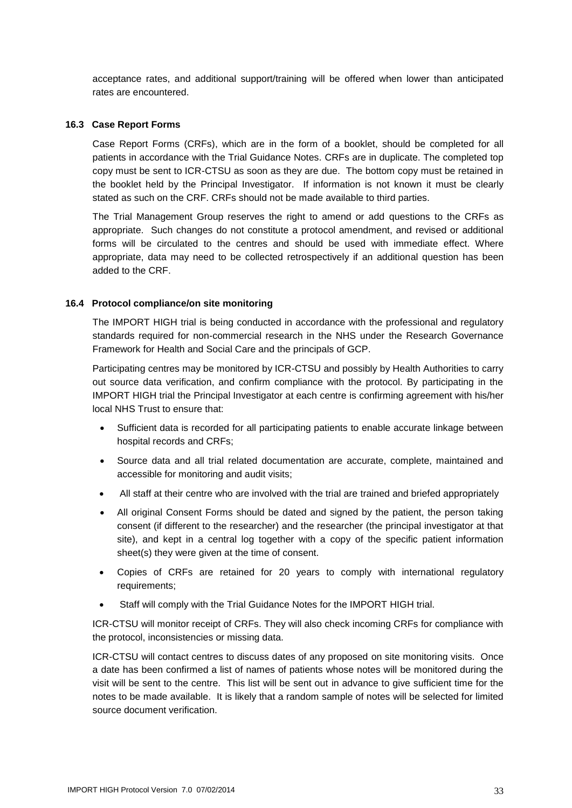acceptance rates, and additional support/training will be offered when lower than anticipated rates are encountered.

#### <span id="page-32-0"></span>**16.3 Case Report Forms**

Case Report Forms (CRFs), which are in the form of a booklet, should be completed for all patients in accordance with the Trial Guidance Notes. CRFs are in duplicate. The completed top copy must be sent to ICR-CTSU as soon as they are due. The bottom copy must be retained in the booklet held by the Principal Investigator. If information is not known it must be clearly stated as such on the CRF. CRFs should not be made available to third parties.

The Trial Management Group reserves the right to amend or add questions to the CRFs as appropriate. Such changes do not constitute a protocol amendment, and revised or additional forms will be circulated to the centres and should be used with immediate effect. Where appropriate, data may need to be collected retrospectively if an additional question has been added to the CRF.

#### <span id="page-32-1"></span>**16.4 Protocol compliance/on site monitoring**

The IMPORT HIGH trial is being conducted in accordance with the professional and regulatory standards required for non-commercial research in the NHS under the Research Governance Framework for Health and Social Care and the principals of GCP.

Participating centres may be monitored by ICR-CTSU and possibly by Health Authorities to carry out source data verification, and confirm compliance with the protocol. By participating in the IMPORT HIGH trial the Principal Investigator at each centre is confirming agreement with his/her local NHS Trust to ensure that:

- Sufficient data is recorded for all participating patients to enable accurate linkage between hospital records and CRFs;
- Source data and all trial related documentation are accurate, complete, maintained and accessible for monitoring and audit visits;
- All staff at their centre who are involved with the trial are trained and briefed appropriately
- All original Consent Forms should be dated and signed by the patient, the person taking consent (if different to the researcher) and the researcher (the principal investigator at that site), and kept in a central log together with a copy of the specific patient information sheet(s) they were given at the time of consent.
- Copies of CRFs are retained for 20 years to comply with international regulatory requirements;
- Staff will comply with the Trial Guidance Notes for the IMPORT HIGH trial.

ICR-CTSU will monitor receipt of CRFs. They will also check incoming CRFs for compliance with the protocol, inconsistencies or missing data.

ICR-CTSU will contact centres to discuss dates of any proposed on site monitoring visits. Once a date has been confirmed a list of names of patients whose notes will be monitored during the visit will be sent to the centre. This list will be sent out in advance to give sufficient time for the notes to be made available. It is likely that a random sample of notes will be selected for limited source document verification.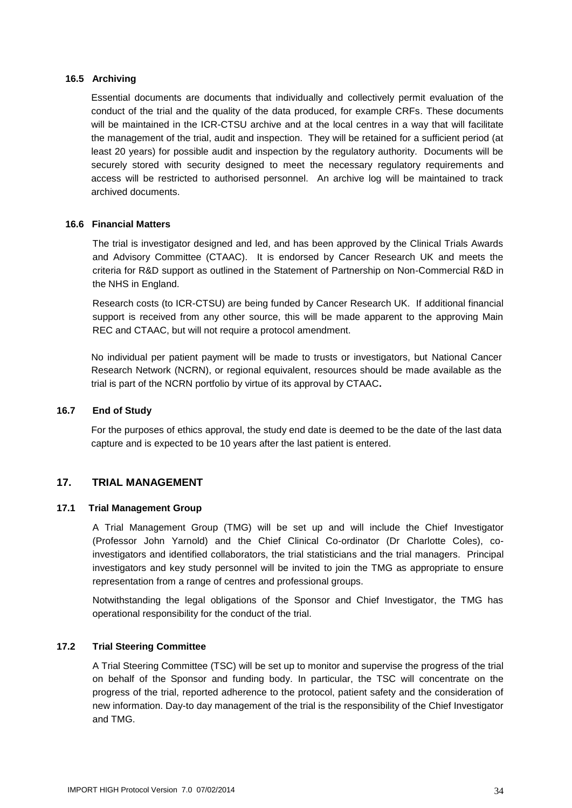#### <span id="page-33-0"></span>**16.5 Archiving**

Essential documents are documents that individually and collectively permit evaluation of the conduct of the trial and the quality of the data produced, for example CRFs. These documents will be maintained in the ICR-CTSU archive and at the local centres in a way that will facilitate the management of the trial, audit and inspection. They will be retained for a sufficient period (at least 20 years) for possible audit and inspection by the regulatory authority. Documents will be securely stored with security designed to meet the necessary regulatory requirements and access will be restricted to authorised personnel. An archive log will be maintained to track archived documents.

#### <span id="page-33-1"></span>**16.6 Financial Matters**

The trial is investigator designed and led, and has been approved by the Clinical Trials Awards and Advisory Committee (CTAAC). It is endorsed by Cancer Research UK and meets the criteria for R&D support as outlined in the Statement of Partnership on Non-Commercial R&D in the NHS in England.

Research costs (to ICR-CTSU) are being funded by Cancer Research UK. If additional financial support is received from any other source, this will be made apparent to the approving Main REC and CTAAC, but will not require a protocol amendment.

No individual per patient payment will be made to trusts or investigators, but National Cancer Research Network (NCRN), or regional equivalent, resources should be made available as the trial is part of the NCRN portfolio by virtue of its approval by CTAAC**.**

#### <span id="page-33-2"></span>**16.7 End of Study**

For the purposes of ethics approval, the study end date is deemed to be the date of the last data capture and is expected to be 10 years after the last patient is entered.

#### <span id="page-33-3"></span>**17. TRIAL MANAGEMENT**

#### <span id="page-33-4"></span>**17.1 Trial Management Group**

A Trial Management Group (TMG) will be set up and will include the Chief Investigator (Professor John Yarnold) and the Chief Clinical Co-ordinator (Dr Charlotte Coles), coinvestigators and identified collaborators, the trial statisticians and the trial managers. Principal investigators and key study personnel will be invited to join the TMG as appropriate to ensure representation from a range of centres and professional groups.

Notwithstanding the legal obligations of the Sponsor and Chief Investigator, the TMG has operational responsibility for the conduct of the trial.

#### <span id="page-33-5"></span>**17.2 Trial Steering Committee**

A Trial Steering Committee (TSC) will be set up to monitor and supervise the progress of the trial on behalf of the Sponsor and funding body. In particular, the TSC will concentrate on the progress of the trial, reported adherence to the protocol, patient safety and the consideration of new information. Day-to day management of the trial is the responsibility of the Chief Investigator and TMG.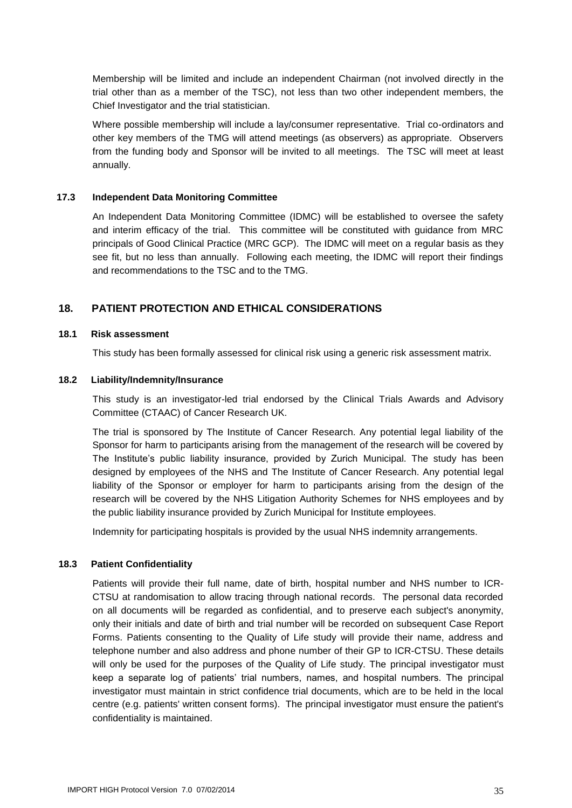Membership will be limited and include an independent Chairman (not involved directly in the trial other than as a member of the TSC), not less than two other independent members, the Chief Investigator and the trial statistician.

Where possible membership will include a lay/consumer representative. Trial co-ordinators and other key members of the TMG will attend meetings (as observers) as appropriate. Observers from the funding body and Sponsor will be invited to all meetings. The TSC will meet at least annually.

#### <span id="page-34-0"></span>**17.3 Independent Data Monitoring Committee**

An Independent Data Monitoring Committee (IDMC) will be established to oversee the safety and interim efficacy of the trial. This committee will be constituted with guidance from MRC principals of Good Clinical Practice (MRC GCP). The IDMC will meet on a regular basis as they see fit, but no less than annually. Following each meeting, the IDMC will report their findings and recommendations to the TSC and to the TMG.

#### <span id="page-34-1"></span>**18. PATIENT PROTECTION AND ETHICAL CONSIDERATIONS**

#### <span id="page-34-2"></span>**18.1 Risk assessment**

This study has been formally assessed for clinical risk using a generic risk assessment matrix.

#### <span id="page-34-3"></span>**18.2 Liability/Indemnity/Insurance**

This study is an investigator-led trial endorsed by the Clinical Trials Awards and Advisory Committee (CTAAC) of Cancer Research UK.

The trial is sponsored by The Institute of Cancer Research. Any potential legal liability of the Sponsor for harm to participants arising from the management of the research will be covered by The Institute's public liability insurance, provided by Zurich Municipal. The study has been designed by employees of the NHS and The Institute of Cancer Research. Any potential legal liability of the Sponsor or employer for harm to participants arising from the design of the research will be covered by the NHS Litigation Authority Schemes for NHS employees and by the public liability insurance provided by Zurich Municipal for Institute employees.

Indemnity for participating hospitals is provided by the usual NHS indemnity arrangements.

#### <span id="page-34-4"></span>**18.3 Patient Confidentiality**

Patients will provide their full name, date of birth, hospital number and NHS number to ICR-CTSU at randomisation to allow tracing through national records. The personal data recorded on all documents will be regarded as confidential, and to preserve each subject's anonymity, only their initials and date of birth and trial number will be recorded on subsequent Case Report Forms. Patients consenting to the Quality of Life study will provide their name, address and telephone number and also address and phone number of their GP to ICR-CTSU. These details will only be used for the purposes of the Quality of Life study. The principal investigator must keep a separate log of patients' trial numbers, names, and hospital numbers. The principal investigator must maintain in strict confidence trial documents, which are to be held in the local centre (e.g. patients' written consent forms). The principal investigator must ensure the patient's confidentiality is maintained.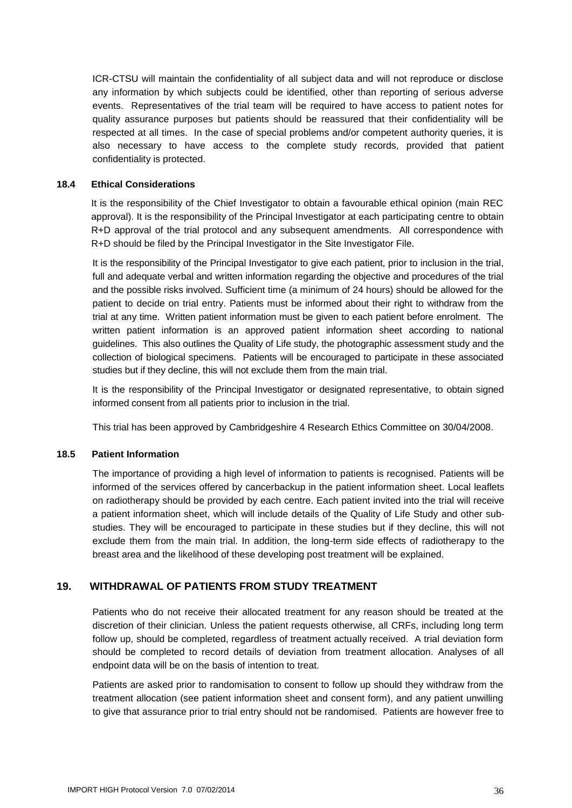ICR-CTSU will maintain the confidentiality of all subject data and will not reproduce or disclose any information by which subjects could be identified, other than reporting of serious adverse events. Representatives of the trial team will be required to have access to patient notes for quality assurance purposes but patients should be reassured that their confidentiality will be respected at all times. In the case of special problems and/or competent authority queries, it is also necessary to have access to the complete study records, provided that patient confidentiality is protected.

#### <span id="page-35-0"></span>**18.4 Ethical Considerations**

It is the responsibility of the Chief Investigator to obtain a favourable ethical opinion (main REC approval). It is the responsibility of the Principal Investigator at each participating centre to obtain R+D approval of the trial protocol and any subsequent amendments. All correspondence with R+D should be filed by the Principal Investigator in the Site Investigator File.

It is the responsibility of the Principal Investigator to give each patient, prior to inclusion in the trial, full and adequate verbal and written information regarding the objective and procedures of the trial and the possible risks involved. Sufficient time (a minimum of 24 hours) should be allowed for the patient to decide on trial entry. Patients must be informed about their right to withdraw from the trial at any time. Written patient information must be given to each patient before enrolment. The written patient information is an approved patient information sheet according to national guidelines. This also outlines the Quality of Life study, the photographic assessment study and the collection of biological specimens. Patients will be encouraged to participate in these associated studies but if they decline, this will not exclude them from the main trial.

It is the responsibility of the Principal Investigator or designated representative, to obtain signed informed consent from all patients prior to inclusion in the trial.

This trial has been approved by Cambridgeshire 4 Research Ethics Committee on 30/04/2008.

#### <span id="page-35-1"></span>**18.5 Patient Information**

The importance of providing a high level of information to patients is recognised. Patients will be informed of the services offered by cancerbackup in the patient information sheet. Local leaflets on radiotherapy should be provided by each centre. Each patient invited into the trial will receive a patient information sheet, which will include details of the Quality of Life Study and other substudies. They will be encouraged to participate in these studies but if they decline, this will not exclude them from the main trial. In addition, the long-term side effects of radiotherapy to the breast area and the likelihood of these developing post treatment will be explained.

#### <span id="page-35-2"></span>**19. WITHDRAWAL OF PATIENTS FROM STUDY TREATMENT**

Patients who do not receive their allocated treatment for any reason should be treated at the discretion of their clinician. Unless the patient requests otherwise, all CRFs, including long term follow up, should be completed, regardless of treatment actually received. A trial deviation form should be completed to record details of deviation from treatment allocation. Analyses of all endpoint data will be on the basis of intention to treat.

Patients are asked prior to randomisation to consent to follow up should they withdraw from the treatment allocation (see patient information sheet and consent form), and any patient unwilling to give that assurance prior to trial entry should not be randomised. Patients are however free to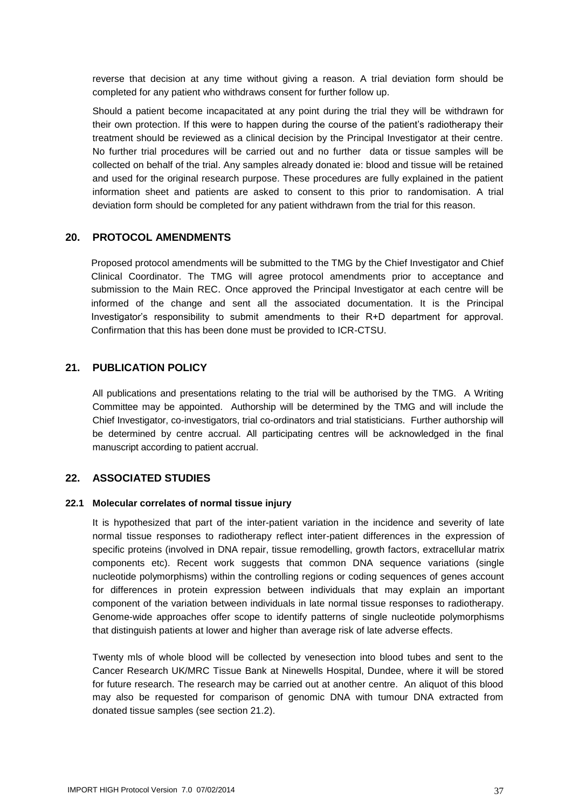reverse that decision at any time without giving a reason. A trial deviation form should be completed for any patient who withdraws consent for further follow up.

Should a patient become incapacitated at any point during the trial they will be withdrawn for their own protection. If this were to happen during the course of the patient's radiotherapy their treatment should be reviewed as a clinical decision by the Principal Investigator at their centre. No further trial procedures will be carried out and no further data or tissue samples will be collected on behalf of the trial. Any samples already donated ie: blood and tissue will be retained and used for the original research purpose. These procedures are fully explained in the patient information sheet and patients are asked to consent to this prior to randomisation. A trial deviation form should be completed for any patient withdrawn from the trial for this reason.

#### <span id="page-36-0"></span>**20. PROTOCOL AMENDMENTS**

Proposed protocol amendments will be submitted to the TMG by the Chief Investigator and Chief Clinical Coordinator. The TMG will agree protocol amendments prior to acceptance and submission to the Main REC. Once approved the Principal Investigator at each centre will be informed of the change and sent all the associated documentation. It is the Principal Investigator's responsibility to submit amendments to their R+D department for approval. Confirmation that this has been done must be provided to ICR-CTSU.

#### <span id="page-36-1"></span>**21. PUBLICATION POLICY**

All publications and presentations relating to the trial will be authorised by the TMG. A Writing Committee may be appointed. Authorship will be determined by the TMG and will include the Chief Investigator, co-investigators, trial co-ordinators and trial statisticians. Further authorship will be determined by centre accrual. All participating centres will be acknowledged in the final manuscript according to patient accrual.

#### <span id="page-36-2"></span>**22. ASSOCIATED STUDIES**

#### <span id="page-36-3"></span>**22.1 Molecular correlates of normal tissue injury**

It is hypothesized that part of the inter-patient variation in the incidence and severity of late normal tissue responses to radiotherapy reflect inter-patient differences in the expression of specific proteins (involved in DNA repair, tissue remodelling, growth factors, extracellular matrix components etc). Recent work suggests that common DNA sequence variations (single nucleotide polymorphisms) within the controlling regions or coding sequences of genes account for differences in protein expression between individuals that may explain an important component of the variation between individuals in late normal tissue responses to radiotherapy. Genome-wide approaches offer scope to identify patterns of single nucleotide polymorphisms that distinguish patients at lower and higher than average risk of late adverse effects.

Twenty mls of whole blood will be collected by venesection into blood tubes and sent to the Cancer Research UK/MRC Tissue Bank at Ninewells Hospital, Dundee, where it will be stored for future research. The research may be carried out at another centre. An aliquot of this blood may also be requested for comparison of genomic DNA with tumour DNA extracted from donated tissue samples (see section 21.2).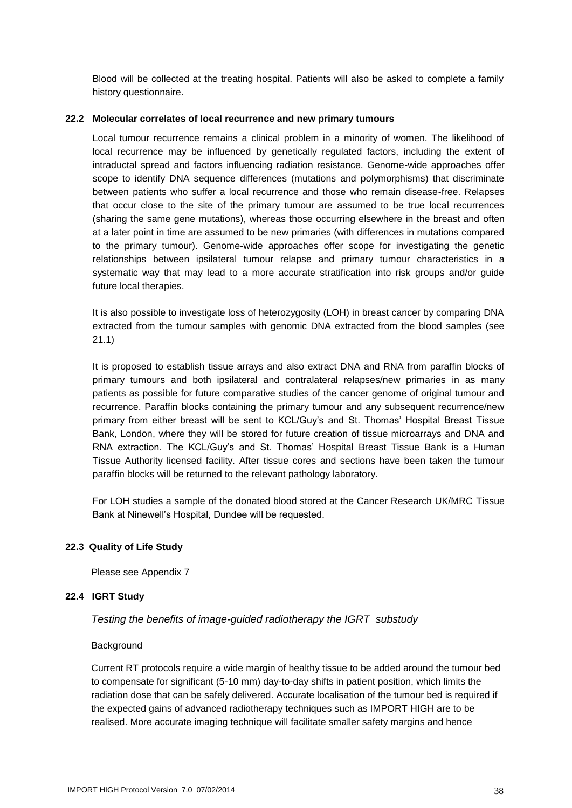Blood will be collected at the treating hospital. Patients will also be asked to complete a family history questionnaire.

#### <span id="page-37-0"></span>**22.2 Molecular correlates of local recurrence and new primary tumours**

Local tumour recurrence remains a clinical problem in a minority of women. The likelihood of local recurrence may be influenced by genetically regulated factors, including the extent of intraductal spread and factors influencing radiation resistance. Genome-wide approaches offer scope to identify DNA sequence differences (mutations and polymorphisms) that discriminate between patients who suffer a local recurrence and those who remain disease-free. Relapses that occur close to the site of the primary tumour are assumed to be true local recurrences (sharing the same gene mutations), whereas those occurring elsewhere in the breast and often at a later point in time are assumed to be new primaries (with differences in mutations compared to the primary tumour). Genome-wide approaches offer scope for investigating the genetic relationships between ipsilateral tumour relapse and primary tumour characteristics in a systematic way that may lead to a more accurate stratification into risk groups and/or guide future local therapies.

It is also possible to investigate loss of heterozygosity (LOH) in breast cancer by comparing DNA extracted from the tumour samples with genomic DNA extracted from the blood samples (see 21.1)

It is proposed to establish tissue arrays and also extract DNA and RNA from paraffin blocks of primary tumours and both ipsilateral and contralateral relapses/new primaries in as many patients as possible for future comparative studies of the cancer genome of original tumour and recurrence. Paraffin blocks containing the primary tumour and any subsequent recurrence/new primary from either breast will be sent to KCL/Guy's and St. Thomas' Hospital Breast Tissue Bank, London, where they will be stored for future creation of tissue microarrays and DNA and RNA extraction. The KCL/Guy's and St. Thomas' Hospital Breast Tissue Bank is a Human Tissue Authority licensed facility. After tissue cores and sections have been taken the tumour paraffin blocks will be returned to the relevant pathology laboratory.

For LOH studies a sample of the donated blood stored at the Cancer Research UK/MRC Tissue Bank at Ninewell's Hospital, Dundee will be requested.

#### <span id="page-37-1"></span>**22.3 Quality of Life Study**

Please see Appendix 7

#### <span id="page-37-2"></span>**22.4 IGRT Study**

*Testing the benefits of image-guided radiotherapy the IGRT substudy*

#### **Background**

Current RT protocols require a wide margin of healthy tissue to be added around the tumour bed to compensate for significant (5-10 mm) day-to-day shifts in patient position, which limits the radiation dose that can be safely delivered. Accurate localisation of the tumour bed is required if the expected gains of advanced radiotherapy techniques such as IMPORT HIGH are to be realised. More accurate imaging technique will facilitate smaller safety margins and hence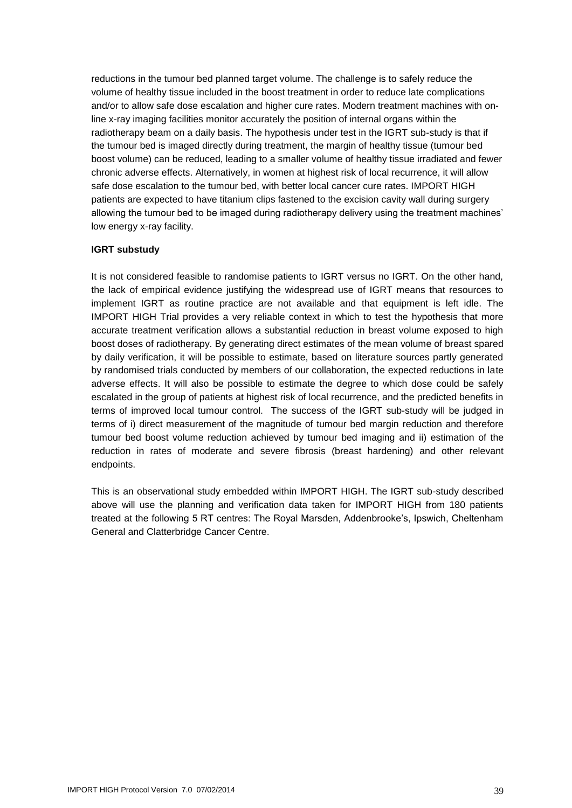reductions in the tumour bed planned target volume. The challenge is to safely reduce the volume of healthy tissue included in the boost treatment in order to reduce late complications and/or to allow safe dose escalation and higher cure rates. Modern treatment machines with online x-ray imaging facilities monitor accurately the position of internal organs within the radiotherapy beam on a daily basis. The hypothesis under test in the IGRT sub-study is that if the tumour bed is imaged directly during treatment, the margin of healthy tissue (tumour bed boost volume) can be reduced, leading to a smaller volume of healthy tissue irradiated and fewer chronic adverse effects. Alternatively, in women at highest risk of local recurrence, it will allow safe dose escalation to the tumour bed, with better local cancer cure rates. IMPORT HIGH patients are expected to have titanium clips fastened to the excision cavity wall during surgery allowing the tumour bed to be imaged during radiotherapy delivery using the treatment machines' low energy x-ray facility.

#### **IGRT substudy**

It is not considered feasible to randomise patients to IGRT versus no IGRT. On the other hand, the lack of empirical evidence justifying the widespread use of IGRT means that resources to implement IGRT as routine practice are not available and that equipment is left idle. The IMPORT HIGH Trial provides a very reliable context in which to test the hypothesis that more accurate treatment verification allows a substantial reduction in breast volume exposed to high boost doses of radiotherapy. By generating direct estimates of the mean volume of breast spared by daily verification, it will be possible to estimate, based on literature sources partly generated by randomised trials conducted by members of our collaboration, the expected reductions in late adverse effects. It will also be possible to estimate the degree to which dose could be safely escalated in the group of patients at highest risk of local recurrence, and the predicted benefits in terms of improved local tumour control. The success of the IGRT sub-study will be judged in terms of i) direct measurement of the magnitude of tumour bed margin reduction and therefore tumour bed boost volume reduction achieved by tumour bed imaging and ii) estimation of the reduction in rates of moderate and severe fibrosis (breast hardening) and other relevant endpoints.

This is an observational study embedded within IMPORT HIGH. The IGRT sub-study described above will use the planning and verification data taken for IMPORT HIGH from 180 patients treated at the following 5 RT centres: The Royal Marsden, Addenbrooke's, Ipswich, Cheltenham General and Clatterbridge Cancer Centre.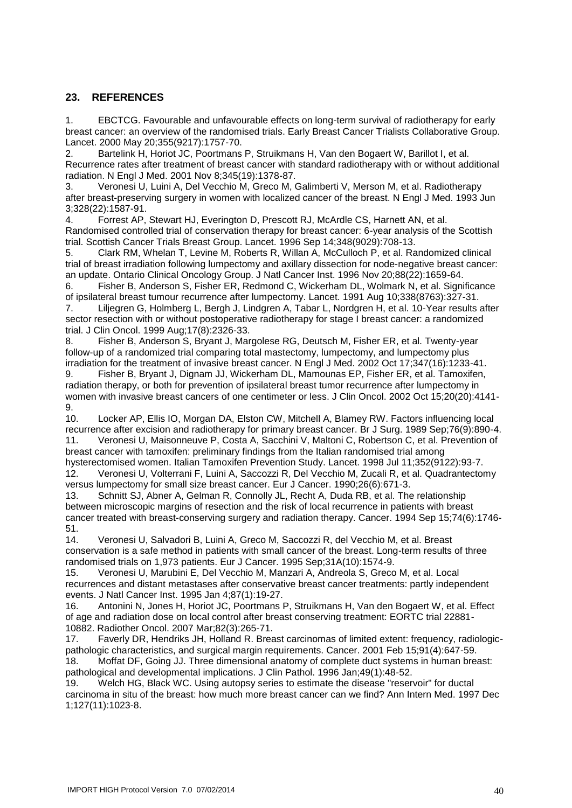#### <span id="page-39-0"></span>**23. REFERENCES**

1. EBCTCG. Favourable and unfavourable effects on long-term survival of radiotherapy for early breast cancer: an overview of the randomised trials. Early Breast Cancer Trialists Collaborative Group. Lancet. 2000 May 20;355(9217):1757-70.

2. Bartelink H, Horiot JC, Poortmans P, Struikmans H, Van den Bogaert W, Barillot I, et al. Recurrence rates after treatment of breast cancer with standard radiotherapy with or without additional radiation. N Engl J Med. 2001 Nov 8;345(19):1378-87.

3. Veronesi U, Luini A, Del Vecchio M, Greco M, Galimberti V, Merson M, et al. Radiotherapy after breast-preserving surgery in women with localized cancer of the breast. N Engl J Med. 1993 Jun 3;328(22):1587-91.

4. Forrest AP, Stewart HJ, Everington D, Prescott RJ, McArdle CS, Harnett AN, et al. Randomised controlled trial of conservation therapy for breast cancer: 6-year analysis of the Scottish trial. Scottish Cancer Trials Breast Group. Lancet. 1996 Sep 14;348(9029):708-13.

5. Clark RM, Whelan T, Levine M, Roberts R, Willan A, McCulloch P, et al. Randomized clinical trial of breast irradiation following lumpectomy and axillary dissection for node-negative breast cancer: an update. Ontario Clinical Oncology Group. J Natl Cancer Inst. 1996 Nov 20;88(22):1659-64.

6. Fisher B, Anderson S, Fisher ER, Redmond C, Wickerham DL, Wolmark N, et al. Significance of ipsilateral breast tumour recurrence after lumpectomy. Lancet. 1991 Aug 10;338(8763):327-31. 7. Liljegren G, Holmberg L, Bergh J, Lindgren A, Tabar L, Nordgren H, et al. 10-Year results after sector resection with or without postoperative radiotherapy for stage I breast cancer: a randomized trial. J Clin Oncol. 1999 Aug;17(8):2326-33.

8. Fisher B, Anderson S, Bryant J, Margolese RG, Deutsch M, Fisher ER, et al. Twenty-year follow-up of a randomized trial comparing total mastectomy, lumpectomy, and lumpectomy plus irradiation for the treatment of invasive breast cancer. N Engl J Med. 2002 Oct 17;347(16):1233-41.

9. Fisher B, Bryant J, Dignam JJ, Wickerham DL, Mamounas EP, Fisher ER, et al. Tamoxifen, radiation therapy, or both for prevention of ipsilateral breast tumor recurrence after lumpectomy in women with invasive breast cancers of one centimeter or less. J Clin Oncol. 2002 Oct 15;20(20):4141-  $\frac{9}{10}$ 

Locker AP, Ellis IO, Morgan DA, Elston CW, Mitchell A, Blamey RW. Factors influencing local recurrence after excision and radiotherapy for primary breast cancer. Br J Surg. 1989 Sep;76(9):890-4. 11. Veronesi U, Maisonneuve P, Costa A, Sacchini V, Maltoni C, Robertson C, et al. Prevention of breast cancer with tamoxifen: preliminary findings from the Italian randomised trial among hysterectomised women. Italian Tamoxifen Prevention Study. Lancet. 1998 Jul 11;352(9122):93-7. 12. Veronesi U, Volterrani F, Luini A, Saccozzi R, Del Vecchio M, Zucali R, et al. Quadrantectomy versus lumpectomy for small size breast cancer. Eur J Cancer. 1990;26(6):671-3.

13. Schnitt SJ, Abner A, Gelman R, Connolly JL, Recht A, Duda RB, et al. The relationship between microscopic margins of resection and the risk of local recurrence in patients with breast cancer treated with breast-conserving surgery and radiation therapy. Cancer. 1994 Sep 15;74(6):1746- 51.

14. Veronesi U, Salvadori B, Luini A, Greco M, Saccozzi R, del Vecchio M, et al. Breast conservation is a safe method in patients with small cancer of the breast. Long-term results of three randomised trials on 1,973 patients. Eur J Cancer. 1995 Sep;31A(10):1574-9.

15. Veronesi U, Marubini E, Del Vecchio M, Manzari A, Andreola S, Greco M, et al. Local recurrences and distant metastases after conservative breast cancer treatments: partly independent events. J Natl Cancer Inst. 1995 Jan 4;87(1):19-27.

16. Antonini N, Jones H, Horiot JC, Poortmans P, Struikmans H, Van den Bogaert W, et al. Effect of age and radiation dose on local control after breast conserving treatment: EORTC trial 22881- 10882. Radiother Oncol. 2007 Mar;82(3):265-71.

17. Faverly DR, Hendriks JH, Holland R. Breast carcinomas of limited extent: frequency, radiologicpathologic characteristics, and surgical margin requirements. Cancer. 2001 Feb 15;91(4):647-59. 18. Moffat DF, Going JJ. Three dimensional anatomy of complete duct systems in human breast:

pathological and developmental implications. J Clin Pathol. 1996 Jan;49(1):48-52.

19. Welch HG, Black WC. Using autopsy series to estimate the disease "reservoir" for ductal carcinoma in situ of the breast: how much more breast cancer can we find? Ann Intern Med. 1997 Dec 1;127(11):1023-8.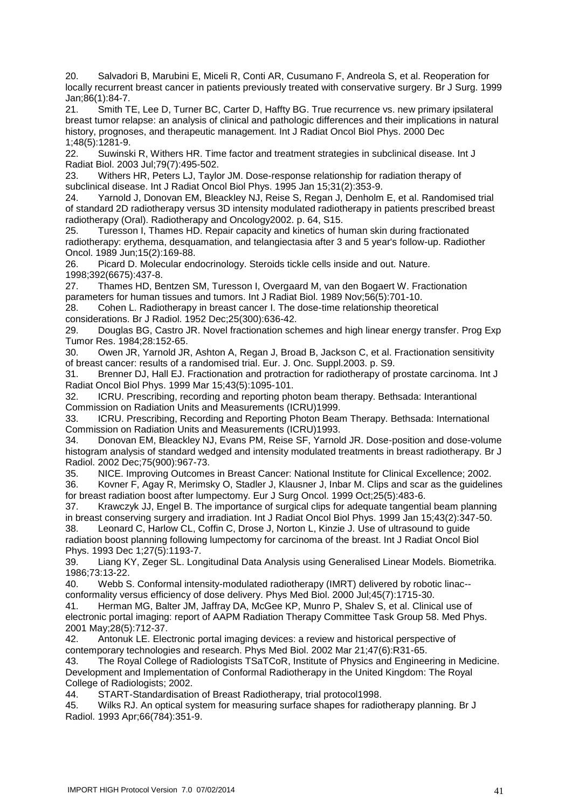20. Salvadori B, Marubini E, Miceli R, Conti AR, Cusumano F, Andreola S, et al. Reoperation for locally recurrent breast cancer in patients previously treated with conservative surgery. Br J Surg. 1999 Jan;86(1):84-7.

21. Smith TE, Lee D, Turner BC, Carter D, Haffty BG. True recurrence vs. new primary ipsilateral breast tumor relapse: an analysis of clinical and pathologic differences and their implications in natural history, prognoses, and therapeutic management. Int J Radiat Oncol Biol Phys. 2000 Dec 1;48(5):1281-9.

22. Suwinski R, Withers HR. Time factor and treatment strategies in subclinical disease. Int J Radiat Biol. 2003 Jul;79(7):495-502.

23. Withers HR, Peters LJ, Taylor JM. Dose-response relationship for radiation therapy of subclinical disease. Int J Radiat Oncol Biol Phys. 1995 Jan 15;31(2):353-9.

24. Yarnold J, Donovan EM, Bleackley NJ, Reise S, Regan J, Denholm E, et al. Randomised trial of standard 2D radiotherapy versus 3D intensity modulated radiotherapy in patients prescribed breast radiotherapy (Oral). Radiotherapy and Oncology2002. p. 64, S15.

25. Turesson I, Thames HD. Repair capacity and kinetics of human skin during fractionated radiotherapy: erythema, desquamation, and telangiectasia after 3 and 5 year's follow-up. Radiother Oncol. 1989 Jun;15(2):169-88.

26. Picard D. Molecular endocrinology. Steroids tickle cells inside and out. Nature. 1998;392(6675):437-8.

27. Thames HD, Bentzen SM, Turesson I, Overgaard M, van den Bogaert W. Fractionation parameters for human tissues and tumors. Int J Radiat Biol. 1989 Nov;56(5):701-10.

28. Cohen L. Radiotherapy in breast cancer I. The dose-time relationship theoretical considerations. Br J Radiol. 1952 Dec;25(300):636-42.

29. Douglas BG, Castro JR. Novel fractionation schemes and high linear energy transfer. Prog Exp Tumor Res. 1984;28:152-65.

30. Owen JR, Yarnold JR, Ashton A, Regan J, Broad B, Jackson C, et al. Fractionation sensitivity of breast cancer: results of a randomised trial. Eur. J. Onc. Suppl.2003. p. S9.

31. Brenner DJ, Hall EJ. Fractionation and protraction for radiotherapy of prostate carcinoma. Int J Radiat Oncol Biol Phys. 1999 Mar 15;43(5):1095-101.

32. ICRU. Prescribing, recording and reporting photon beam therapy. Bethsada: Interantional Commission on Radiation Units and Measurements (ICRU)1999.

33. ICRU. Prescribing, Recording and Reporting Photon Beam Therapy. Bethsada: International Commission on Radiation Units and Measurements (ICRU)1993.

34. Donovan EM, Bleackley NJ, Evans PM, Reise SF, Yarnold JR. Dose-position and dose-volume histogram analysis of standard wedged and intensity modulated treatments in breast radiotherapy. Br J Radiol. 2002 Dec;75(900):967-73.

35. NICE. Improving Outcomes in Breast Cancer: National Institute for Clinical Excellence; 2002. 36. Kovner F, Agay R, Merimsky O, Stadler J, Klausner J, Inbar M. Clips and scar as the guidelines

for breast radiation boost after lumpectomy. Eur J Surg Oncol. 1999 Oct;25(5):483-6.

37. Krawczyk JJ, Engel B. The importance of surgical clips for adequate tangential beam planning in breast conserving surgery and irradiation. Int J Radiat Oncol Biol Phys. 1999 Jan 15;43(2):347-50.

38. Leonard C, Harlow CL, Coffin C, Drose J, Norton L, Kinzie J. Use of ultrasound to guide radiation boost planning following lumpectomy for carcinoma of the breast. Int J Radiat Oncol Biol Phys. 1993 Dec 1;27(5):1193-7.

39. Liang KY, Zeger SL. Longitudinal Data Analysis using Generalised Linear Models. Biometrika. 1986;73:13-22.

40. Webb S. Conformal intensity-modulated radiotherapy (IMRT) delivered by robotic linac- conformality versus efficiency of dose delivery. Phys Med Biol. 2000 Jul;45(7):1715-30.

41. Herman MG, Balter JM, Jaffray DA, McGee KP, Munro P, Shalev S, et al. Clinical use of electronic portal imaging: report of AAPM Radiation Therapy Committee Task Group 58. Med Phys. 2001 May;28(5):712-37.

42. Antonuk LE. Electronic portal imaging devices: a review and historical perspective of contemporary technologies and research. Phys Med Biol. 2002 Mar 21;47(6):R31-65.

43. The Royal College of Radiologists TSaTCoR, Institute of Physics and Engineering in Medicine. Development and Implementation of Conformal Radiotherapy in the United Kingdom: The Royal College of Radiologists; 2002.

44. START-Standardisation of Breast Radiotherapy, trial protocol1998.

45. Wilks RJ. An optical system for measuring surface shapes for radiotherapy planning. Br J Radiol. 1993 Apr;66(784):351-9.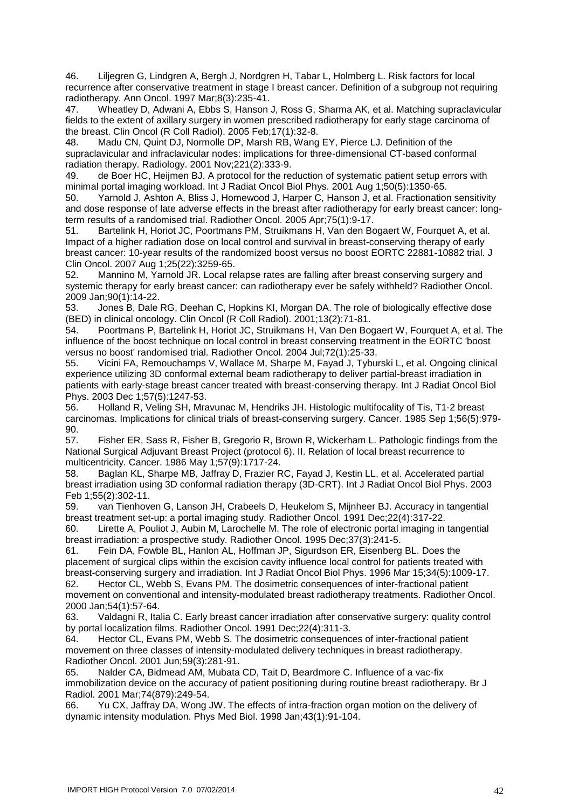46. Liljegren G, Lindgren A, Bergh J, Nordgren H, Tabar L, Holmberg L. Risk factors for local recurrence after conservative treatment in stage I breast cancer. Definition of a subgroup not requiring radiotherapy. Ann Oncol. 1997 Mar;8(3):235-41.

47. Wheatley D, Adwani A, Ebbs S, Hanson J, Ross G, Sharma AK, et al. Matching supraclavicular fields to the extent of axillary surgery in women prescribed radiotherapy for early stage carcinoma of the breast. Clin Oncol (R Coll Radiol). 2005 Feb;17(1):32-8.

48. Madu CN, Quint DJ, Normolle DP, Marsh RB, Wang EY, Pierce LJ. Definition of the supraclavicular and infraclavicular nodes: implications for three-dimensional CT-based conformal radiation therapy. Radiology. 2001 Nov;221(2):333-9.

49. de Boer HC, Heijmen BJ. A protocol for the reduction of systematic patient setup errors with minimal portal imaging workload. Int J Radiat Oncol Biol Phys. 2001 Aug 1;50(5):1350-65.

50. Yarnold J, Ashton A, Bliss J, Homewood J, Harper C, Hanson J, et al. Fractionation sensitivity and dose response of late adverse effects in the breast after radiotherapy for early breast cancer: longterm results of a randomised trial. Radiother Oncol. 2005 Apr;75(1):9-17.

51. Bartelink H, Horiot JC, Poortmans PM, Struikmans H, Van den Bogaert W, Fourquet A, et al. Impact of a higher radiation dose on local control and survival in breast-conserving therapy of early breast cancer: 10-year results of the randomized boost versus no boost EORTC 22881-10882 trial. J Clin Oncol. 2007 Aug 1;25(22):3259-65.

52. Mannino M, Yarnold JR. Local relapse rates are falling after breast conserving surgery and systemic therapy for early breast cancer: can radiotherapy ever be safely withheld? Radiother Oncol. 2009 Jan;90(1):14-22.

53. Jones B, Dale RG, Deehan C, Hopkins KI, Morgan DA. The role of biologically effective dose (BED) in clinical oncology. Clin Oncol (R Coll Radiol). 2001;13(2):71-81.

54. Poortmans P, Bartelink H, Horiot JC, Struikmans H, Van Den Bogaert W, Fourquet A, et al. The influence of the boost technique on local control in breast conserving treatment in the EORTC 'boost versus no boost' randomised trial. Radiother Oncol. 2004 Jul;72(1):25-33.

55. Vicini FA, Remouchamps V, Wallace M, Sharpe M, Fayad J, Tyburski L, et al. Ongoing clinical experience utilizing 3D conformal external beam radiotherapy to deliver partial-breast irradiation in patients with early-stage breast cancer treated with breast-conserving therapy. Int J Radiat Oncol Biol Phys. 2003 Dec 1;57(5):1247-53.

56. Holland R, Veling SH, Mravunac M, Hendriks JH. Histologic multifocality of Tis, T1-2 breast carcinomas. Implications for clinical trials of breast-conserving surgery. Cancer. 1985 Sep 1;56(5):979- 90.

57. Fisher ER, Sass R, Fisher B, Gregorio R, Brown R, Wickerham L. Pathologic findings from the National Surgical Adjuvant Breast Project (protocol 6). II. Relation of local breast recurrence to multicentricity. Cancer. 1986 May 1;57(9):1717-24.

58. Baglan KL, Sharpe MB, Jaffray D, Frazier RC, Fayad J, Kestin LL, et al. Accelerated partial breast irradiation using 3D conformal radiation therapy (3D-CRT). Int J Radiat Oncol Biol Phys. 2003 Feb 1;55(2):302-11.

59. van Tienhoven G, Lanson JH, Crabeels D, Heukelom S, Mijnheer BJ. Accuracy in tangential breast treatment set-up: a portal imaging study. Radiother Oncol. 1991 Dec;22(4):317-22.

60. Lirette A, Pouliot J, Aubin M, Larochelle M. The role of electronic portal imaging in tangential breast irradiation: a prospective study. Radiother Oncol. 1995 Dec;37(3):241-5.

61. Fein DA, Fowble BL, Hanlon AL, Hoffman JP, Sigurdson ER, Eisenberg BL. Does the placement of surgical clips within the excision cavity influence local control for patients treated with breast-conserving surgery and irradiation. Int J Radiat Oncol Biol Phys. 1996 Mar 15;34(5):1009-17. 62. Hector CL, Webb S, Evans PM. The dosimetric consequences of inter-fractional patient

movement on conventional and intensity-modulated breast radiotherapy treatments. Radiother Oncol. 2000 Jan;54(1):57-64.

63. Valdagni R, Italia C. Early breast cancer irradiation after conservative surgery: quality control by portal localization films. Radiother Oncol. 1991 Dec;22(4):311-3.

64. Hector CL, Evans PM, Webb S. The dosimetric consequences of inter-fractional patient movement on three classes of intensity-modulated delivery techniques in breast radiotherapy. Radiother Oncol. 2001 Jun;59(3):281-91.

65. Nalder CA, Bidmead AM, Mubata CD, Tait D, Beardmore C. Influence of a vac-fix immobilization device on the accuracy of patient positioning during routine breast radiotherapy. Br J Radiol. 2001 Mar;74(879):249-54.

66. Yu CX, Jaffray DA, Wong JW. The effects of intra-fraction organ motion on the delivery of dynamic intensity modulation. Phys Med Biol. 1998 Jan;43(1):91-104.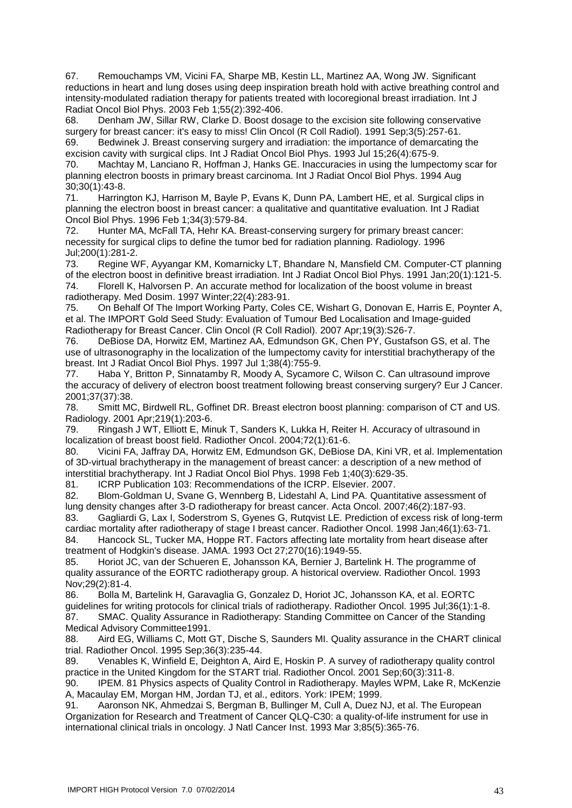67. Remouchamps VM, Vicini FA, Sharpe MB, Kestin LL, Martinez AA, Wong JW. Significant reductions in heart and lung doses using deep inspiration breath hold with active breathing control and intensity-modulated radiation therapy for patients treated with locoregional breast irradiation. Int J Radiat Oncol Biol Phys. 2003 Feb 1;55(2):392-406.

68. Denham JW, Sillar RW, Clarke D. Boost dosage to the excision site following conservative surgery for breast cancer: it's easy to miss! Clin Oncol (R Coll Radiol). 1991 Sep;3(5):257-61.

69. Bedwinek J. Breast conserving surgery and irradiation: the importance of demarcating the excision cavity with surgical clips. Int J Radiat Oncol Biol Phys. 1993 Jul 15;26(4):675-9.

70. Machtay M, Lanciano R, Hoffman J, Hanks GE. Inaccuracies in using the lumpectomy scar for planning electron boosts in primary breast carcinoma. Int J Radiat Oncol Biol Phys. 1994 Aug 30;30(1):43-8.

71. Harrington KJ, Harrison M, Bayle P, Evans K, Dunn PA, Lambert HE, et al. Surgical clips in planning the electron boost in breast cancer: a qualitative and quantitative evaluation. Int J Radiat Oncol Biol Phys. 1996 Feb 1;34(3):579-84.

72. Hunter MA, McFall TA, Hehr KA. Breast-conserving surgery for primary breast cancer: necessity for surgical clips to define the tumor bed for radiation planning. Radiology. 1996 Jul;200(1):281-2.

73. Regine WF, Ayyangar KM, Komarnicky LT, Bhandare N, Mansfield CM. Computer-CT planning of the electron boost in definitive breast irradiation. Int J Radiat Oncol Biol Phys. 1991 Jan;20(1):121-5. 74. Florell K, Halvorsen P. An accurate method for localization of the boost volume in breast radiotherapy. Med Dosim. 1997 Winter;22(4):283-91.

75. On Behalf Of The Import Working Party, Coles CE, Wishart G, Donovan E, Harris E, Poynter A, et al. The IMPORT Gold Seed Study: Evaluation of Tumour Bed Localisation and Image-guided Radiotherapy for Breast Cancer. Clin Oncol (R Coll Radiol). 2007 Apr;19(3):S26-7.

76. DeBiose DA, Horwitz EM, Martinez AA, Edmundson GK, Chen PY, Gustafson GS, et al. The use of ultrasonography in the localization of the lumpectomy cavity for interstitial brachytherapy of the breast. Int J Radiat Oncol Biol Phys. 1997 Jul 1;38(4):755-9.

77. Haba Y, Britton P, Sinnatamby R, Moody A, Sycamore C, Wilson C. Can ultrasound improve the accuracy of delivery of electron boost treatment following breast conserving surgery? Eur J Cancer. 2001;37(37):38.

78. Smitt MC, Birdwell RL, Goffinet DR. Breast electron boost planning: comparison of CT and US. Radiology. 2001 Apr;219(1):203-6.

79. Ringash J WT, Elliott E, Minuk T, Sanders K, Lukka H, Reiter H. Accuracy of ultrasound in localization of breast boost field. Radiother Oncol. 2004;72(1):61-6.

80. Vicini FA, Jaffray DA, Horwitz EM, Edmundson GK, DeBiose DA, Kini VR, et al. Implementation of 3D-virtual brachytherapy in the management of breast cancer: a description of a new method of interstitial brachytherapy. Int J Radiat Oncol Biol Phys. 1998 Feb 1;40(3):629-35.

81. ICRP Publication 103: Recommendations of the ICRP. Elsevier. 2007.

82. Blom-Goldman U, Svane G, Wennberg B, Lidestahl A, Lind PA. Quantitative assessment of lung density changes after 3-D radiotherapy for breast cancer. Acta Oncol. 2007;46(2):187-93.

83. Gagliardi G, Lax I, Soderstrom S, Gyenes G, Rutqvist LE. Prediction of excess risk of long-term cardiac mortality after radiotherapy of stage I breast cancer. Radiother Oncol. 1998 Jan;46(1):63-71. 84. Hancock SL, Tucker MA, Hoppe RT. Factors affecting late mortality from heart disease after treatment of Hodgkin's disease. JAMA. 1993 Oct 27;270(16):1949-55.

85. Horiot JC, van der Schueren E, Johansson KA, Bernier J, Bartelink H. The programme of quality assurance of the EORTC radiotherapy group. A historical overview. Radiother Oncol. 1993 Nov;29(2):81-4.

86. Bolla M, Bartelink H, Garavaglia G, Gonzalez D, Horiot JC, Johansson KA, et al. EORTC guidelines for writing protocols for clinical trials of radiotherapy. Radiother Oncol. 1995 Jul;36(1):1-8. 87. SMAC. Quality Assurance in Radiotherapy: Standing Committee on Cancer of the Standing Medical Advisory Committee1991.

88. Aird EG, Williams C, Mott GT, Dische S, Saunders MI. Quality assurance in the CHART clinical trial. Radiother Oncol. 1995 Sep;36(3):235-44.

89. Venables K, Winfield E, Deighton A, Aird E, Hoskin P. A survey of radiotherapy quality control practice in the United Kingdom for the START trial. Radiother Oncol. 2001 Sep;60(3):311-8.

90. IPEM. 81 Physics aspects of Quality Control in Radiotherapy. Mayles WPM, Lake R, McKenzie A, Macaulay EM, Morgan HM, Jordan TJ, et al., editors. York: IPEM; 1999.

91. Aaronson NK, Ahmedzai S, Bergman B, Bullinger M, Cull A, Duez NJ, et al. The European Organization for Research and Treatment of Cancer QLQ-C30: a quality-of-life instrument for use in international clinical trials in oncology. J Natl Cancer Inst. 1993 Mar 3;85(5):365-76.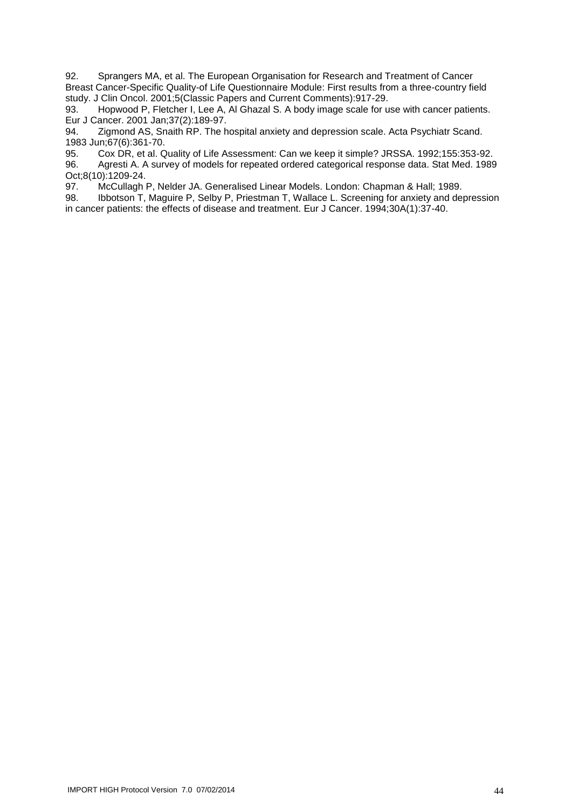92. Sprangers MA, et al. The European Organisation for Research and Treatment of Cancer Breast Cancer-Specific Quality-of Life Questionnaire Module: First results from a three-country field study. J Clin Oncol. 2001;5(Classic Papers and Current Comments):917-29.

93. Hopwood P, Fletcher I, Lee A, Al Ghazal S. A body image scale for use with cancer patients. Eur J Cancer. 2001 Jan;37(2):189-97.

94. Zigmond AS, Snaith RP. The hospital anxiety and depression scale. Acta Psychiatr Scand. 1983 Jun;67(6):361-70.

95. Cox DR, et al. Quality of Life Assessment: Can we keep it simple? JRSSA. 1992;155:353-92.

96. Agresti A. A survey of models for repeated ordered categorical response data. Stat Med. 1989 Oct;8(10):1209-24.

97. McCullagh P, Nelder JA. Generalised Linear Models. London: Chapman & Hall; 1989.

98. Ibbotson T, Maguire P, Selby P, Priestman T, Wallace L. Screening for anxiety and depression in cancer patients: the effects of disease and treatment. Eur J Cancer. 1994;30A(1):37-40.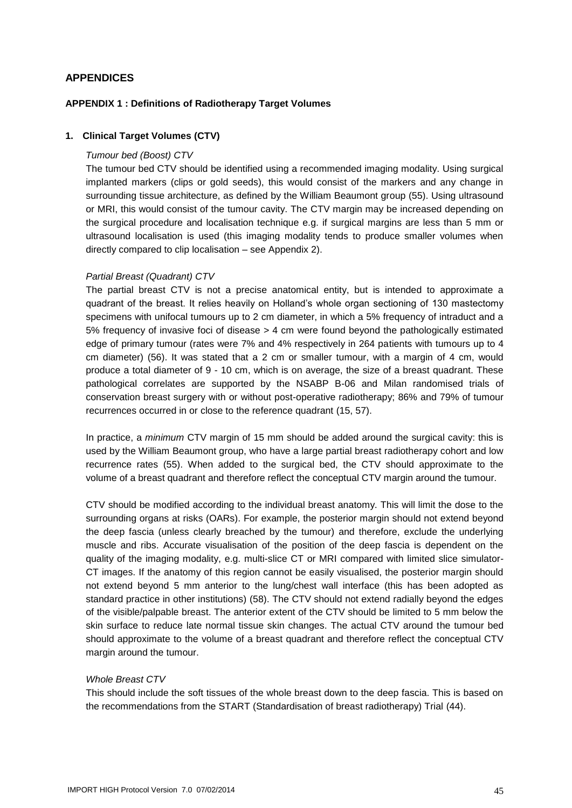#### <span id="page-44-0"></span>**APPENDICES**

#### <span id="page-44-1"></span>**APPENDIX 1 : Definitions of Radiotherapy Target Volumes**

#### **1. Clinical Target Volumes (CTV)**

#### *Tumour bed (Boost) CTV*

The tumour bed CTV should be identified using a recommended imaging modality. Using surgical implanted markers (clips or gold seeds), this would consist of the markers and any change in surrounding tissue architecture, as defined by the William Beaumont group (55). Using ultrasound or MRI, this would consist of the tumour cavity. The CTV margin may be increased depending on the surgical procedure and localisation technique e.g. if surgical margins are less than 5 mm or ultrasound localisation is used (this imaging modality tends to produce smaller volumes when directly compared to clip localisation – see Appendix 2).

#### *Partial Breast (Quadrant) CTV*

The partial breast CTV is not a precise anatomical entity, but is intended to approximate a quadrant of the breast. It relies heavily on Holland's whole organ sectioning of 130 mastectomy specimens with unifocal tumours up to 2 cm diameter, in which a 5% frequency of intraduct and a 5% frequency of invasive foci of disease > 4 cm were found beyond the pathologically estimated edge of primary tumour (rates were 7% and 4% respectively in 264 patients with tumours up to 4 cm diameter) (56). It was stated that a 2 cm or smaller tumour, with a margin of 4 cm, would produce a total diameter of 9 - 10 cm, which is on average, the size of a breast quadrant. These pathological correlates are supported by the NSABP B-06 and Milan randomised trials of conservation breast surgery with or without post-operative radiotherapy; 86% and 79% of tumour recurrences occurred in or close to the reference quadrant (15, 57).

In practice, a *minimum* CTV margin of 15 mm should be added around the surgical cavity: this is used by the William Beaumont group, who have a large partial breast radiotherapy cohort and low recurrence rates (55). When added to the surgical bed, the CTV should approximate to the volume of a breast quadrant and therefore reflect the conceptual CTV margin around the tumour.

CTV should be modified according to the individual breast anatomy. This will limit the dose to the surrounding organs at risks (OARs). For example, the posterior margin should not extend beyond the deep fascia (unless clearly breached by the tumour) and therefore, exclude the underlying muscle and ribs. Accurate visualisation of the position of the deep fascia is dependent on the quality of the imaging modality, e.g. multi-slice CT or MRI compared with limited slice simulator-CT images. If the anatomy of this region cannot be easily visualised, the posterior margin should not extend beyond 5 mm anterior to the lung/chest wall interface (this has been adopted as standard practice in other institutions) (58). The CTV should not extend radially beyond the edges of the visible/palpable breast. The anterior extent of the CTV should be limited to 5 mm below the skin surface to reduce late normal tissue skin changes. The actual CTV around the tumour bed should approximate to the volume of a breast quadrant and therefore reflect the conceptual CTV margin around the tumour.

#### *Whole Breast CTV*

This should include the soft tissues of the whole breast down to the deep fascia. This is based on the recommendations from the START (Standardisation of breast radiotherapy) Trial (44).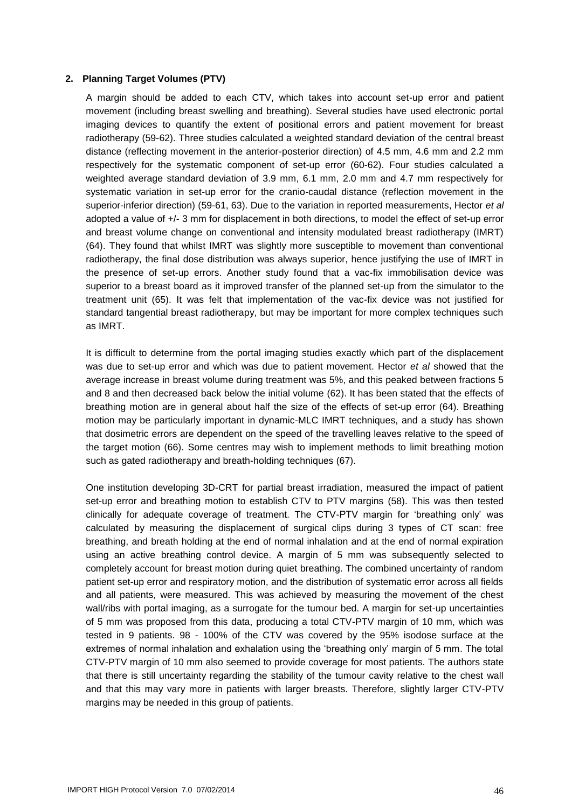#### **2. Planning Target Volumes (PTV)**

A margin should be added to each CTV, which takes into account set-up error and patient movement (including breast swelling and breathing). Several studies have used electronic portal imaging devices to quantify the extent of positional errors and patient movement for breast radiotherapy (59-62). Three studies calculated a weighted standard deviation of the central breast distance (reflecting movement in the anterior-posterior direction) of 4.5 mm, 4.6 mm and 2.2 mm respectively for the systematic component of set-up error (60-62). Four studies calculated a weighted average standard deviation of 3.9 mm, 6.1 mm, 2.0 mm and 4.7 mm respectively for systematic variation in set-up error for the cranio-caudal distance (reflection movement in the superior-inferior direction) (59-61, 63). Due to the variation in reported measurements, Hector *et al* adopted a value of +/- 3 mm for displacement in both directions, to model the effect of set-up error and breast volume change on conventional and intensity modulated breast radiotherapy (IMRT) (64). They found that whilst IMRT was slightly more susceptible to movement than conventional radiotherapy, the final dose distribution was always superior, hence justifying the use of IMRT in the presence of set-up errors. Another study found that a vac-fix immobilisation device was superior to a breast board as it improved transfer of the planned set-up from the simulator to the treatment unit (65). It was felt that implementation of the vac-fix device was not justified for standard tangential breast radiotherapy, but may be important for more complex techniques such as IMRT.

It is difficult to determine from the portal imaging studies exactly which part of the displacement was due to set-up error and which was due to patient movement. Hector *et al* showed that the average increase in breast volume during treatment was 5%, and this peaked between fractions 5 and 8 and then decreased back below the initial volume (62). It has been stated that the effects of breathing motion are in general about half the size of the effects of set-up error (64). Breathing motion may be particularly important in dynamic-MLC IMRT techniques, and a study has shown that dosimetric errors are dependent on the speed of the travelling leaves relative to the speed of the target motion (66). Some centres may wish to implement methods to limit breathing motion such as gated radiotherapy and breath-holding techniques (67).

One institution developing 3D-CRT for partial breast irradiation, measured the impact of patient set-up error and breathing motion to establish CTV to PTV margins (58). This was then tested clinically for adequate coverage of treatment. The CTV-PTV margin for 'breathing only' was calculated by measuring the displacement of surgical clips during 3 types of CT scan: free breathing, and breath holding at the end of normal inhalation and at the end of normal expiration using an active breathing control device. A margin of 5 mm was subsequently selected to completely account for breast motion during quiet breathing. The combined uncertainty of random patient set-up error and respiratory motion, and the distribution of systematic error across all fields and all patients, were measured. This was achieved by measuring the movement of the chest wall/ribs with portal imaging, as a surrogate for the tumour bed. A margin for set-up uncertainties of 5 mm was proposed from this data, producing a total CTV-PTV margin of 10 mm, which was tested in 9 patients. 98 - 100% of the CTV was covered by the 95% isodose surface at the extremes of normal inhalation and exhalation using the 'breathing only' margin of 5 mm. The total CTV-PTV margin of 10 mm also seemed to provide coverage for most patients. The authors state that there is still uncertainty regarding the stability of the tumour cavity relative to the chest wall and that this may vary more in patients with larger breasts. Therefore, slightly larger CTV-PTV margins may be needed in this group of patients.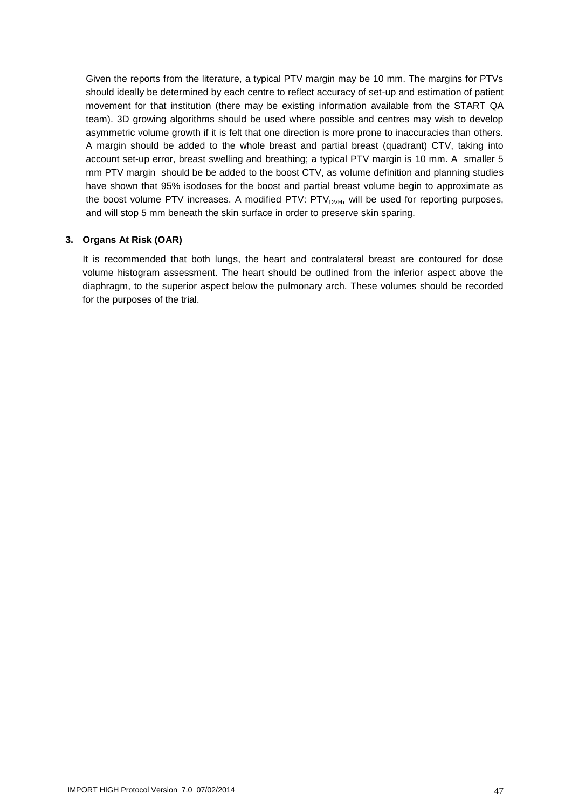Given the reports from the literature, a typical PTV margin may be 10 mm. The margins for PTVs should ideally be determined by each centre to reflect accuracy of set-up and estimation of patient movement for that institution (there may be existing information available from the START QA team). 3D growing algorithms should be used where possible and centres may wish to develop asymmetric volume growth if it is felt that one direction is more prone to inaccuracies than others. A margin should be added to the whole breast and partial breast (quadrant) CTV, taking into account set-up error, breast swelling and breathing; a typical PTV margin is 10 mm. A smaller 5 mm PTV margin should be be added to the boost CTV, as volume definition and planning studies have shown that 95% isodoses for the boost and partial breast volume begin to approximate as the boost volume PTV increases. A modified PTV: PTV<sub>DVH</sub>, will be used for reporting purposes, and will stop 5 mm beneath the skin surface in order to preserve skin sparing.

#### **3. Organs At Risk (OAR)**

It is recommended that both lungs, the heart and contralateral breast are contoured for dose volume histogram assessment. The heart should be outlined from the inferior aspect above the diaphragm, to the superior aspect below the pulmonary arch. These volumes should be recorded for the purposes of the trial.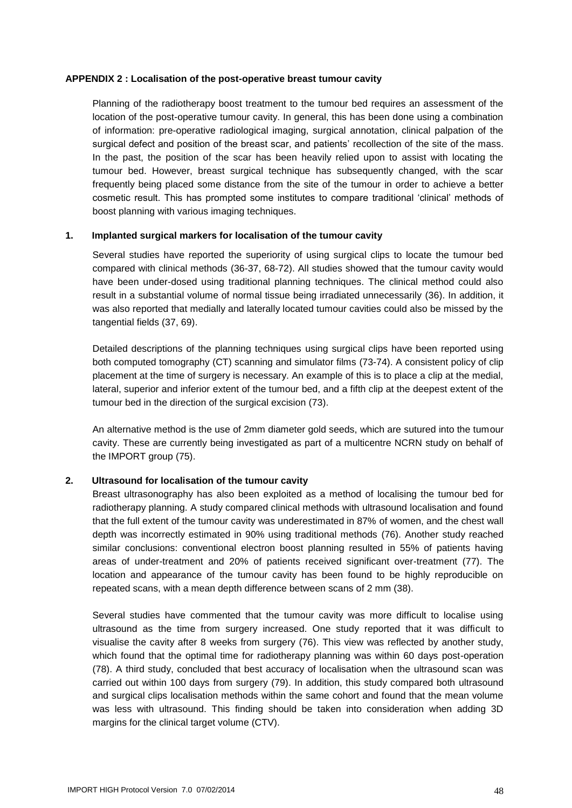#### <span id="page-47-0"></span>**APPENDIX 2 : Localisation of the post-operative breast tumour cavity**

Planning of the radiotherapy boost treatment to the tumour bed requires an assessment of the location of the post-operative tumour cavity. In general, this has been done using a combination of information: pre-operative radiological imaging, surgical annotation, clinical palpation of the surgical defect and position of the breast scar, and patients' recollection of the site of the mass. In the past, the position of the scar has been heavily relied upon to assist with locating the tumour bed. However, breast surgical technique has subsequently changed, with the scar frequently being placed some distance from the site of the tumour in order to achieve a better cosmetic result. This has prompted some institutes to compare traditional 'clinical' methods of boost planning with various imaging techniques.

#### **1. Implanted surgical markers for localisation of the tumour cavity**

Several studies have reported the superiority of using surgical clips to locate the tumour bed compared with clinical methods (36-37, 68-72). All studies showed that the tumour cavity would have been under-dosed using traditional planning techniques. The clinical method could also result in a substantial volume of normal tissue being irradiated unnecessarily (36). In addition, it was also reported that medially and laterally located tumour cavities could also be missed by the tangential fields (37, 69).

Detailed descriptions of the planning techniques using surgical clips have been reported using both computed tomography (CT) scanning and simulator films (73-74). A consistent policy of clip placement at the time of surgery is necessary. An example of this is to place a clip at the medial, lateral, superior and inferior extent of the tumour bed, and a fifth clip at the deepest extent of the tumour bed in the direction of the surgical excision (73).

An alternative method is the use of 2mm diameter gold seeds, which are sutured into the tumour cavity. These are currently being investigated as part of a multicentre NCRN study on behalf of the IMPORT group (75).

#### **2. Ultrasound for localisation of the tumour cavity**

Breast ultrasonography has also been exploited as a method of localising the tumour bed for radiotherapy planning. A study compared clinical methods with ultrasound localisation and found that the full extent of the tumour cavity was underestimated in 87% of women, and the chest wall depth was incorrectly estimated in 90% using traditional methods (76). Another study reached similar conclusions: conventional electron boost planning resulted in 55% of patients having areas of under-treatment and 20% of patients received significant over-treatment (77). The location and appearance of the tumour cavity has been found to be highly reproducible on repeated scans, with a mean depth difference between scans of 2 mm (38).

Several studies have commented that the tumour cavity was more difficult to localise using ultrasound as the time from surgery increased. One study reported that it was difficult to visualise the cavity after 8 weeks from surgery (76). This view was reflected by another study, which found that the optimal time for radiotherapy planning was within 60 days post-operation (78). A third study, concluded that best accuracy of localisation when the ultrasound scan was carried out within 100 days from surgery (79). In addition, this study compared both ultrasound and surgical clips localisation methods within the same cohort and found that the mean volume was less with ultrasound. This finding should be taken into consideration when adding 3D margins for the clinical target volume (CTV).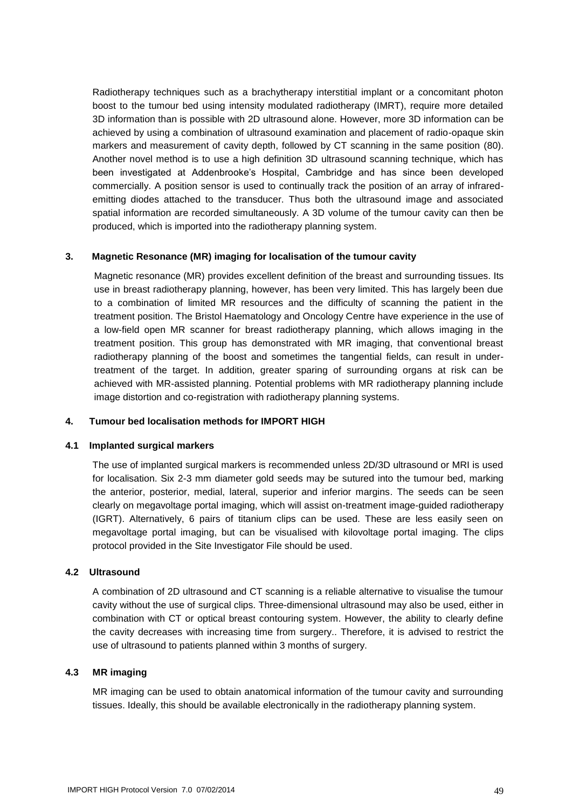Radiotherapy techniques such as a brachytherapy interstitial implant or a concomitant photon boost to the tumour bed using intensity modulated radiotherapy (IMRT), require more detailed 3D information than is possible with 2D ultrasound alone. However, more 3D information can be achieved by using a combination of ultrasound examination and placement of radio-opaque skin markers and measurement of cavity depth, followed by CT scanning in the same position (80). Another novel method is to use a high definition 3D ultrasound scanning technique, which has been investigated at Addenbrooke's Hospital, Cambridge and has since been developed commercially. A position sensor is used to continually track the position of an array of infraredemitting diodes attached to the transducer. Thus both the ultrasound image and associated spatial information are recorded simultaneously. A 3D volume of the tumour cavity can then be produced, which is imported into the radiotherapy planning system.

#### **3. Magnetic Resonance (MR) imaging for localisation of the tumour cavity**

Magnetic resonance (MR) provides excellent definition of the breast and surrounding tissues. Its use in breast radiotherapy planning, however, has been very limited. This has largely been due to a combination of limited MR resources and the difficulty of scanning the patient in the treatment position. The Bristol Haematology and Oncology Centre have experience in the use of a low-field open MR scanner for breast radiotherapy planning, which allows imaging in the treatment position. This group has demonstrated with MR imaging, that conventional breast radiotherapy planning of the boost and sometimes the tangential fields, can result in undertreatment of the target. In addition, greater sparing of surrounding organs at risk can be achieved with MR-assisted planning. Potential problems with MR radiotherapy planning include image distortion and co-registration with radiotherapy planning systems.

#### **4. Tumour bed localisation methods for IMPORT HIGH**

#### **4.1 Implanted surgical markers**

The use of implanted surgical markers is recommended unless 2D/3D ultrasound or MRI is used for localisation. Six 2-3 mm diameter gold seeds may be sutured into the tumour bed, marking the anterior, posterior, medial, lateral, superior and inferior margins. The seeds can be seen clearly on megavoltage portal imaging, which will assist on-treatment image-guided radiotherapy (IGRT). Alternatively, 6 pairs of titanium clips can be used. These are less easily seen on megavoltage portal imaging, but can be visualised with kilovoltage portal imaging. The clips protocol provided in the Site Investigator File should be used.

#### **4.2 Ultrasound**

A combination of 2D ultrasound and CT scanning is a reliable alternative to visualise the tumour cavity without the use of surgical clips. Three-dimensional ultrasound may also be used, either in combination with CT or optical breast contouring system. However, the ability to clearly define the cavity decreases with increasing time from surgery.. Therefore, it is advised to restrict the use of ultrasound to patients planned within 3 months of surgery.

#### **4.3 MR imaging**

MR imaging can be used to obtain anatomical information of the tumour cavity and surrounding tissues. Ideally, this should be available electronically in the radiotherapy planning system.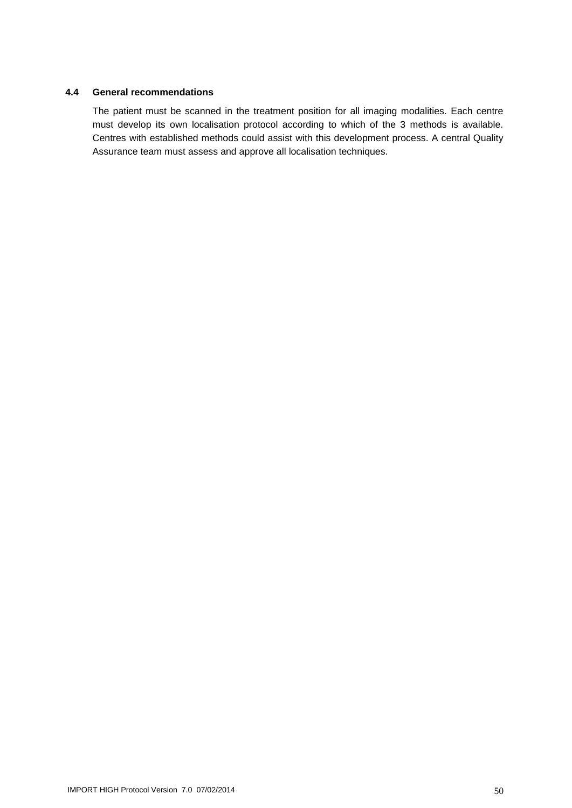#### **4.4 General recommendations**

The patient must be scanned in the treatment position for all imaging modalities. Each centre must develop its own localisation protocol according to which of the 3 methods is available. Centres with established methods could assist with this development process. A central Quality Assurance team must assess and approve all localisation techniques.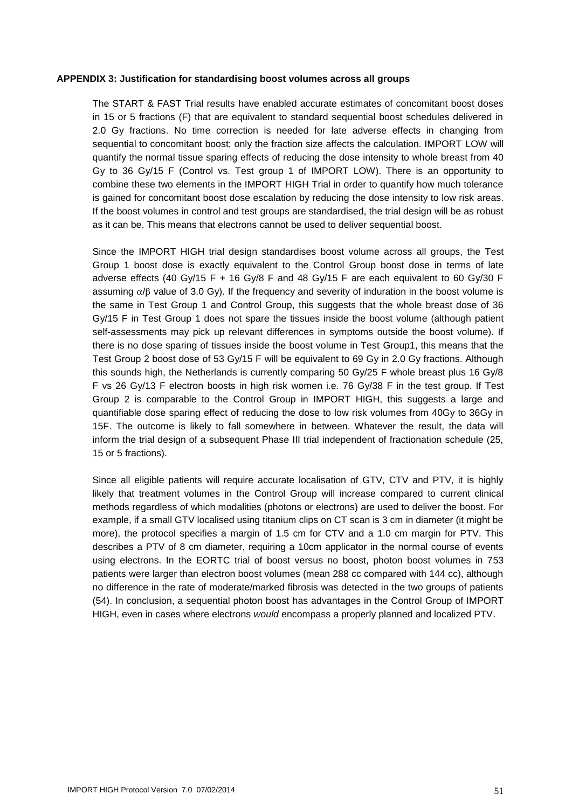#### <span id="page-50-0"></span>**APPENDIX 3: Justification for standardising boost volumes across all groups**

The START & FAST Trial results have enabled accurate estimates of concomitant boost doses in 15 or 5 fractions (F) that are equivalent to standard sequential boost schedules delivered in 2.0 Gy fractions. No time correction is needed for late adverse effects in changing from sequential to concomitant boost; only the fraction size affects the calculation. IMPORT LOW will quantify the normal tissue sparing effects of reducing the dose intensity to whole breast from 40 Gy to 36 Gy/15 F (Control vs. Test group 1 of IMPORT LOW). There is an opportunity to combine these two elements in the IMPORT HIGH Trial in order to quantify how much tolerance is gained for concomitant boost dose escalation by reducing the dose intensity to low risk areas. If the boost volumes in control and test groups are standardised, the trial design will be as robust as it can be. This means that electrons cannot be used to deliver sequential boost.

Since the IMPORT HIGH trial design standardises boost volume across all groups, the Test Group 1 boost dose is exactly equivalent to the Control Group boost dose in terms of late adverse effects (40 Gy/15 F + 16 Gy/8 F and 48 Gy/15 F are each equivalent to 60 Gy/30 F assuming  $\alpha/\beta$  value of 3.0 Gy). If the frequency and severity of induration in the boost volume is the same in Test Group 1 and Control Group, this suggests that the whole breast dose of 36 Gy/15 F in Test Group 1 does not spare the tissues inside the boost volume (although patient self-assessments may pick up relevant differences in symptoms outside the boost volume). If there is no dose sparing of tissues inside the boost volume in Test Group1, this means that the Test Group 2 boost dose of 53 Gy/15 F will be equivalent to 69 Gy in 2.0 Gy fractions. Although this sounds high, the Netherlands is currently comparing 50 Gy/25 F whole breast plus 16 Gy/8 F vs 26 Gy/13 F electron boosts in high risk women i.e. 76 Gy/38 F in the test group. If Test Group 2 is comparable to the Control Group in IMPORT HIGH, this suggests a large and quantifiable dose sparing effect of reducing the dose to low risk volumes from 40Gy to 36Gy in 15F. The outcome is likely to fall somewhere in between. Whatever the result, the data will inform the trial design of a subsequent Phase III trial independent of fractionation schedule (25, 15 or 5 fractions).

Since all eligible patients will require accurate localisation of GTV, CTV and PTV, it is highly likely that treatment volumes in the Control Group will increase compared to current clinical methods regardless of which modalities (photons or electrons) are used to deliver the boost. For example, if a small GTV localised using titanium clips on CT scan is 3 cm in diameter (it might be more), the protocol specifies a margin of 1.5 cm for CTV and a 1.0 cm margin for PTV. This describes a PTV of 8 cm diameter, requiring a 10cm applicator in the normal course of events using electrons. In the EORTC trial of boost versus no boost, photon boost volumes in 753 patients were larger than electron boost volumes (mean 288 cc compared with 144 cc), although no difference in the rate of moderate/marked fibrosis was detected in the two groups of patients (54). In conclusion, a sequential photon boost has advantages in the Control Group of IMPORT HIGH, even in cases where electrons *would* encompass a properly planned and localized PTV.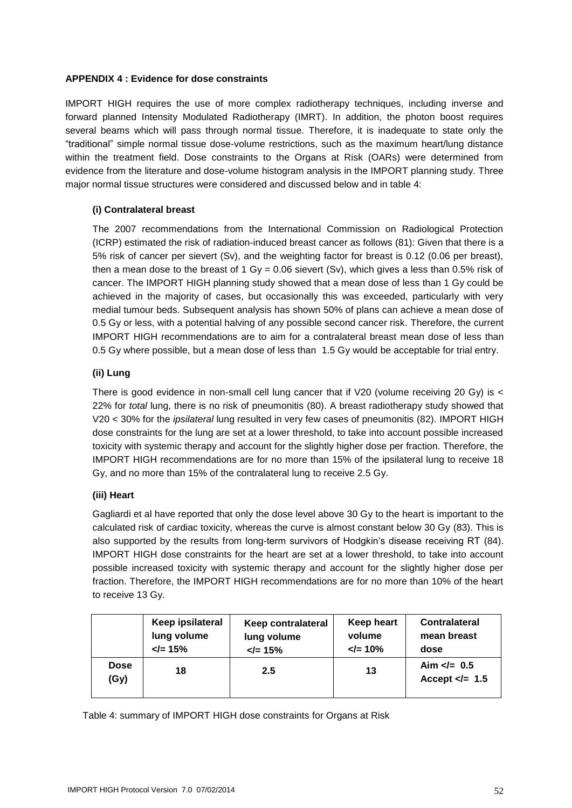#### <span id="page-51-0"></span>**APPENDIX 4 : Evidence for dose constraints**

IMPORT HIGH requires the use of more complex radiotherapy techniques, including inverse and forward planned Intensity Modulated Radiotherapy (IMRT). In addition, the photon boost requires several beams which will pass through normal tissue. Therefore, it is inadequate to state only the "traditional" simple normal tissue dose-volume restrictions, such as the maximum heart/lung distance within the treatment field. Dose constraints to the Organs at Risk (OARs) were determined from evidence from the literature and dose-volume histogram analysis in the IMPORT planning study. Three major normal tissue structures were considered and discussed below and in table 4:

#### **(i) Contralateral breast**

The 2007 recommendations from the International Commission on Radiological Protection (ICRP) estimated the risk of radiation-induced breast cancer as follows (81): Given that there is a 5% risk of cancer per sievert (Sv), and the weighting factor for breast is 0.12 (0.06 per breast), then a mean dose to the breast of 1 Gy = 0.06 sievert (Sv), which gives a less than 0.5% risk of cancer. The IMPORT HIGH planning study showed that a mean dose of less than 1 Gy could be achieved in the majority of cases, but occasionally this was exceeded, particularly with very medial tumour beds. Subsequent analysis has shown 50% of plans can achieve a mean dose of 0.5 Gy or less, with a potential halving of any possible second cancer risk. Therefore, the current IMPORT HIGH recommendations are to aim for a contralateral breast mean dose of less than 0.5 Gy where possible, but a mean dose of less than 1.5 Gy would be acceptable for trial entry.

#### **(ii) Lung**

There is good evidence in non-small cell lung cancer that if V20 (volume receiving 20 Gy) is < 22% for *total* lung, there is no risk of pneumonitis (80). A breast radiotherapy study showed that V20 < 30% for the *ipsilateral* lung resulted in very few cases of pneumonitis (82). IMPORT HIGH dose constraints for the lung are set at a lower threshold, to take into account possible increased toxicity with systemic therapy and account for the slightly higher dose per fraction. Therefore, the IMPORT HIGH recommendations are for no more than 15% of the ipsilateral lung to receive 18 Gy, and no more than 15% of the contralateral lung to receive 2.5 Gy.

#### **(iii) Heart**

Gagliardi et al have reported that only the dose level above 30 Gy to the heart is important to the calculated risk of cardiac toxicity, whereas the curve is almost constant below 30 Gy (83). This is also supported by the results from long-term survivors of Hodgkin's disease receiving RT (84). IMPORT HIGH dose constraints for the heart are set at a lower threshold, to take into account possible increased toxicity with systemic therapy and account for the slightly higher dose per fraction. Therefore, the IMPORT HIGH recommendations are for no more than 10% of the heart to receive 13 Gy.

|                     | Keep ipsilateral    | Keep contralateral  | <b>Keep heart</b> | <b>Contralateral</b>                |  |  |
|---------------------|---------------------|---------------------|-------------------|-------------------------------------|--|--|
|                     | lung volume         | lung volume         | volume            | mean breast                         |  |  |
|                     | $\mathsf{d} = 15\%$ | $\mathsf{L} = 15\%$ | $\le$ = 10%       | dose                                |  |  |
| <b>Dose</b><br>(Gy) | 18                  | 2.5                 | 13                | Aim $\ll$ 0.5<br>Accept $\lt$ = 1.5 |  |  |

Table 4: summary of IMPORT HIGH dose constraints for Organs at Risk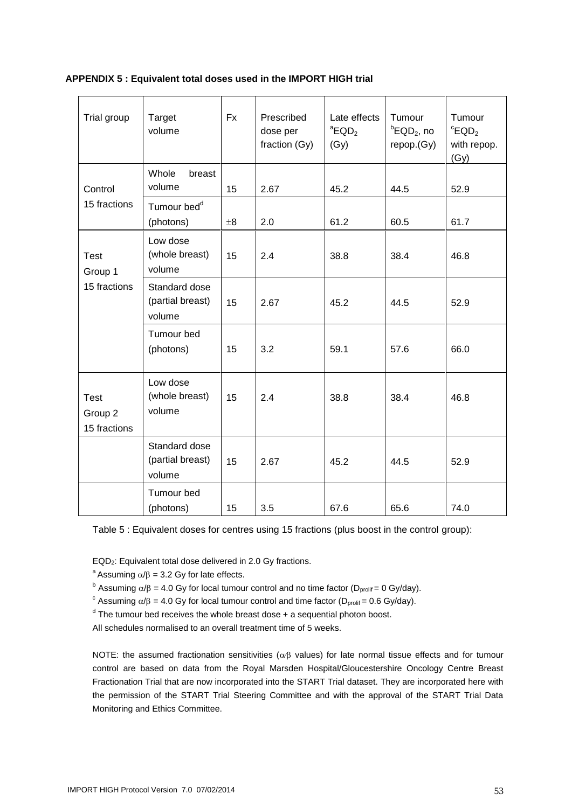#### <span id="page-52-0"></span>**APPENDIX 5 : Equivalent total doses used in the IMPORT HIGH trial**

| Trial group                            | Target<br>volume                            | <b>Fx</b> | Prescribed<br>dose per<br>fraction (Gy) | Late effects<br>${}^a$ EQD <sub>2</sub><br>(Gy) | Tumour<br>${}^{\text{b}}$ EQD <sub>2</sub> , no<br>repop.(Gy) | Tumour<br>${}^c$ EQD <sub>2</sub><br>with repop.<br>(Gy) |
|----------------------------------------|---------------------------------------------|-----------|-----------------------------------------|-------------------------------------------------|---------------------------------------------------------------|----------------------------------------------------------|
| Control                                | Whole<br>breast<br>volume                   | 15        | 2.67                                    | 45.2                                            | 44.5                                                          | 52.9                                                     |
| 15 fractions                           | Tumour bed <sup>d</sup><br>(photons)        | $\pm 8$   | 2.0                                     | 61.2                                            | 60.5                                                          | 61.7                                                     |
| <b>Test</b><br>Group 1<br>15 fractions | Low dose<br>(whole breast)<br>volume        | 15        | 2.4                                     | 38.8                                            | 38.4                                                          | 46.8                                                     |
|                                        | Standard dose<br>(partial breast)<br>volume | 15        | 2.67                                    | 45.2                                            | 44.5                                                          | 52.9                                                     |
|                                        | Tumour bed<br>(photons)                     | 15        | 3.2                                     | 59.1                                            | 57.6                                                          | 66.0                                                     |
| <b>Test</b><br>Group 2<br>15 fractions | Low dose<br>(whole breast)<br>volume        | 15        | 2.4                                     | 38.8                                            | 38.4                                                          | 46.8                                                     |
|                                        | Standard dose<br>(partial breast)<br>volume | 15        | 2.67                                    | 45.2                                            | 44.5                                                          | 52.9                                                     |
|                                        | Tumour bed<br>(photons)                     | 15        | 3.5                                     | 67.6                                            | 65.6                                                          | 74.0                                                     |

Table 5 : Equivalent doses for centres using 15 fractions (plus boost in the control group):

EQD2: Equivalent total dose delivered in 2.0 Gy fractions.

<sup>a</sup> Assuming  $\alpha/\beta$  = 3.2 Gy for late effects.

<sup>b</sup> Assuming  $\alpha/\beta$  = 4.0 Gy for local tumour control and no time factor (D<sub>prolif</sub> = 0 Gy/day).

<sup>c</sup> Assuming  $\alpha/\beta$  = 4.0 Gy for local tumour control and time factor (D<sub>prolif</sub> = 0.6 Gy/day).

<sup>d</sup> The tumour bed receives the whole breast dose + a sequential photon boost.

All schedules normalised to an overall treatment time of 5 weeks.

NOTE: the assumed fractionation sensitivities ( $\alpha\beta$  values) for late normal tissue effects and for tumour control are based on data from the Royal Marsden Hospital/Gloucestershire Oncology Centre Breast Fractionation Trial that are now incorporated into the START Trial dataset. They are incorporated here with the permission of the START Trial Steering Committee and with the approval of the START Trial Data Monitoring and Ethics Committee.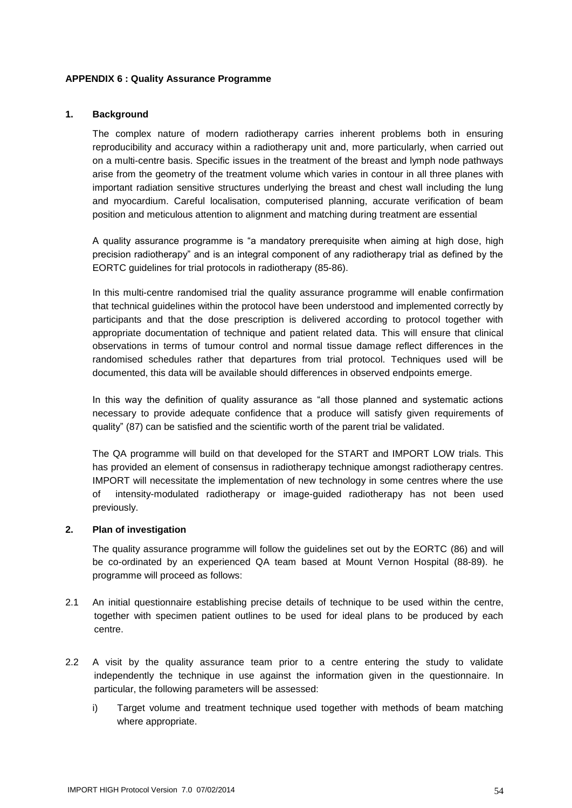#### <span id="page-53-0"></span>**APPENDIX 6 : Quality Assurance Programme**

#### **1. Background**

The complex nature of modern radiotherapy carries inherent problems both in ensuring reproducibility and accuracy within a radiotherapy unit and, more particularly, when carried out on a multi-centre basis. Specific issues in the treatment of the breast and lymph node pathways arise from the geometry of the treatment volume which varies in contour in all three planes with important radiation sensitive structures underlying the breast and chest wall including the lung and myocardium. Careful localisation, computerised planning, accurate verification of beam position and meticulous attention to alignment and matching during treatment are essential

A quality assurance programme is "a mandatory prerequisite when aiming at high dose, high precision radiotherapy" and is an integral component of any radiotherapy trial as defined by the EORTC guidelines for trial protocols in radiotherapy (85-86).

In this multi-centre randomised trial the quality assurance programme will enable confirmation that technical guidelines within the protocol have been understood and implemented correctly by participants and that the dose prescription is delivered according to protocol together with appropriate documentation of technique and patient related data. This will ensure that clinical observations in terms of tumour control and normal tissue damage reflect differences in the randomised schedules rather that departures from trial protocol. Techniques used will be documented, this data will be available should differences in observed endpoints emerge.

In this way the definition of quality assurance as "all those planned and systematic actions necessary to provide adequate confidence that a produce will satisfy given requirements of quality" (87) can be satisfied and the scientific worth of the parent trial be validated.

The QA programme will build on that developed for the START and IMPORT LOW trials. This has provided an element of consensus in radiotherapy technique amongst radiotherapy centres. IMPORT will necessitate the implementation of new technology in some centres where the use of intensity-modulated radiotherapy or image-guided radiotherapy has not been used previously.

#### **2. Plan of investigation**

The quality assurance programme will follow the guidelines set out by the EORTC (86) and will be co-ordinated by an experienced QA team based at Mount Vernon Hospital (88-89). he programme will proceed as follows:

- 2.1 An initial questionnaire establishing precise details of technique to be used within the centre, together with specimen patient outlines to be used for ideal plans to be produced by each centre.
- 2.2 A visit by the quality assurance team prior to a centre entering the study to validate independently the technique in use against the information given in the questionnaire. In particular, the following parameters will be assessed:
	- i) Target volume and treatment technique used together with methods of beam matching where appropriate.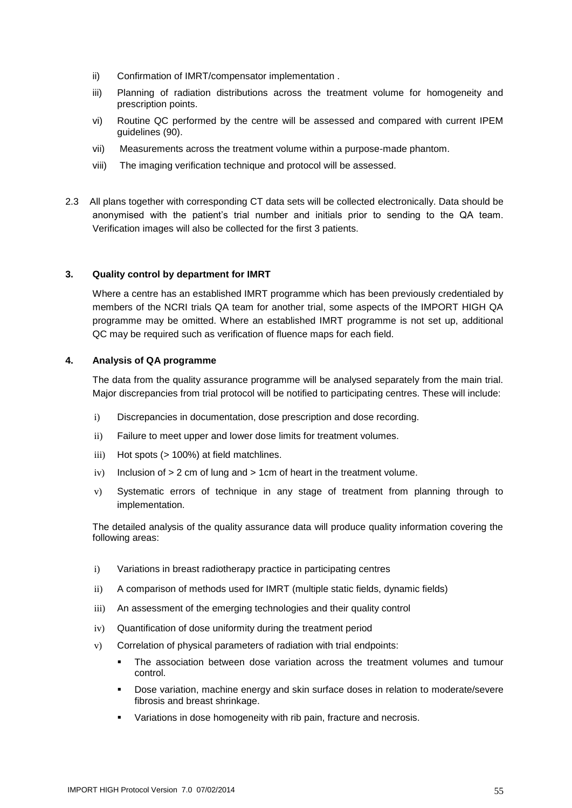- ii) Confirmation of IMRT/compensator implementation .
- iii) Planning of radiation distributions across the treatment volume for homogeneity and prescription points.
- vi) Routine QC performed by the centre will be assessed and compared with current IPEM guidelines (90).
- vii) Measurements across the treatment volume within a purpose-made phantom.
- viii) The imaging verification technique and protocol will be assessed.
- 2.3 All plans together with corresponding CT data sets will be collected electronically. Data should be anonymised with the patient's trial number and initials prior to sending to the QA team. Verification images will also be collected for the first 3 patients.

#### **3. Quality control by department for IMRT**

Where a centre has an established IMRT programme which has been previously credentialed by members of the NCRI trials QA team for another trial, some aspects of the IMPORT HIGH QA programme may be omitted. Where an established IMRT programme is not set up, additional QC may be required such as verification of fluence maps for each field.

#### **4. Analysis of QA programme**

The data from the quality assurance programme will be analysed separately from the main trial. Major discrepancies from trial protocol will be notified to participating centres. These will include:

- i) Discrepancies in documentation, dose prescription and dose recording.
- ii) Failure to meet upper and lower dose limits for treatment volumes.
- iii) Hot spots (> 100%) at field matchlines.
- $iv)$  Inclusion of  $> 2$  cm of lung and  $> 1$ cm of heart in the treatment volume.
- v) Systematic errors of technique in any stage of treatment from planning through to implementation.

The detailed analysis of the quality assurance data will produce quality information covering the following areas:

- i) Variations in breast radiotherapy practice in participating centres
- ii) A comparison of methods used for IMRT (multiple static fields, dynamic fields)
- iii) An assessment of the emerging technologies and their quality control
- iv) Quantification of dose uniformity during the treatment period
- v) Correlation of physical parameters of radiation with trial endpoints:
	- The association between dose variation across the treatment volumes and tumour control.
	- Dose variation, machine energy and skin surface doses in relation to moderate/severe fibrosis and breast shrinkage.
	- **Variations in dose homogeneity with rib pain, fracture and necrosis.**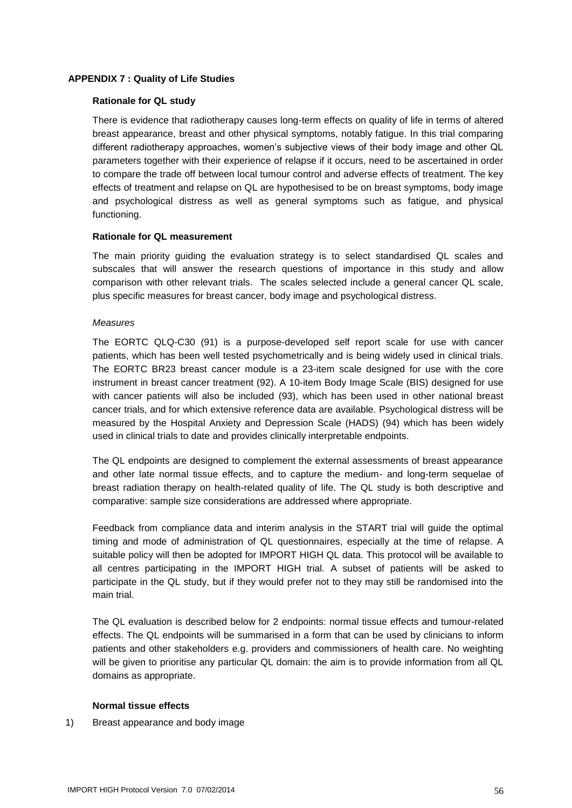#### <span id="page-55-0"></span>**APPENDIX 7 : Quality of Life Studies**

#### **Rationale for QL study**

There is evidence that radiotherapy causes long-term effects on quality of life in terms of altered breast appearance, breast and other physical symptoms, notably fatigue. In this trial comparing different radiotherapy approaches, women's subjective views of their body image and other QL parameters together with their experience of relapse if it occurs, need to be ascertained in order to compare the trade off between local tumour control and adverse effects of treatment. The key effects of treatment and relapse on QL are hypothesised to be on breast symptoms, body image and psychological distress as well as general symptoms such as fatigue, and physical functioning.

#### **Rationale for QL measurement**

The main priority guiding the evaluation strategy is to select standardised QL scales and subscales that will answer the research questions of importance in this study and allow comparison with other relevant trials. The scales selected include a general cancer QL scale, plus specific measures for breast cancer, body image and psychological distress.

#### *Measures*

The EORTC QLQ-C30 (91) is a purpose-developed self report scale for use with cancer patients, which has been well tested psychometrically and is being widely used in clinical trials. The EORTC BR23 breast cancer module is a 23-item scale designed for use with the core instrument in breast cancer treatment (92). A 10-item Body Image Scale (BIS) designed for use with cancer patients will also be included (93), which has been used in other national breast cancer trials, and for which extensive reference data are available. Psychological distress will be measured by the Hospital Anxiety and Depression Scale (HADS) (94) which has been widely used in clinical trials to date and provides clinically interpretable endpoints.

The QL endpoints are designed to complement the external assessments of breast appearance and other late normal tissue effects, and to capture the medium- and long-term sequelae of breast radiation therapy on health-related quality of life. The QL study is both descriptive and comparative: sample size considerations are addressed where appropriate.

Feedback from compliance data and interim analysis in the START trial will guide the optimal timing and mode of administration of QL questionnaires, especially at the time of relapse. A suitable policy will then be adopted for IMPORT HIGH QL data. This protocol will be available to all centres participating in the IMPORT HIGH trial. A subset of patients will be asked to participate in the QL study, but if they would prefer not to they may still be randomised into the main trial.

The QL evaluation is described below for 2 endpoints: normal tissue effects and tumour-related effects. The QL endpoints will be summarised in a form that can be used by clinicians to inform patients and other stakeholders e.g. providers and commissioners of health care. No weighting will be given to prioritise any particular QL domain: the aim is to provide information from all QL domains as appropriate.

#### **Normal tissue effects**

1) Breast appearance and body image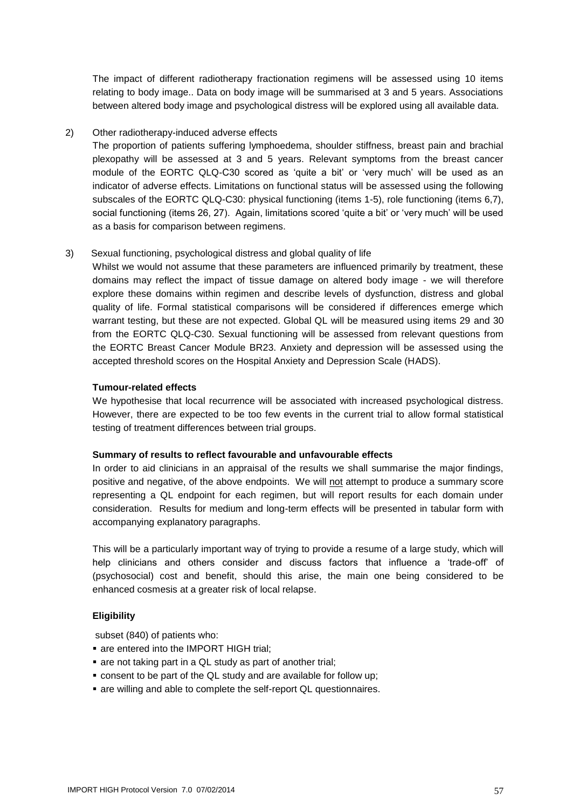The impact of different radiotherapy fractionation regimens will be assessed using 10 items relating to body image.. Data on body image will be summarised at 3 and 5 years. Associations between altered body image and psychological distress will be explored using all available data.

#### 2) Other radiotherapy-induced adverse effects

The proportion of patients suffering lymphoedema, shoulder stiffness, breast pain and brachial plexopathy will be assessed at 3 and 5 years. Relevant symptoms from the breast cancer module of the EORTC QLQ-C30 scored as 'quite a bit' or 'very much' will be used as an indicator of adverse effects. Limitations on functional status will be assessed using the following subscales of the EORTC QLQ-C30: physical functioning (items 1-5), role functioning (items 6,7), social functioning (items 26, 27). Again, limitations scored 'quite a bit' or 'very much' will be used as a basis for comparison between regimens.

#### 3) Sexual functioning, psychological distress and global quality of life

Whilst we would not assume that these parameters are influenced primarily by treatment, these domains may reflect the impact of tissue damage on altered body image - we will therefore explore these domains within regimen and describe levels of dysfunction, distress and global quality of life. Formal statistical comparisons will be considered if differences emerge which warrant testing, but these are not expected. Global QL will be measured using items 29 and 30 from the EORTC QLQ-C30. Sexual functioning will be assessed from relevant questions from the EORTC Breast Cancer Module BR23. Anxiety and depression will be assessed using the accepted threshold scores on the Hospital Anxiety and Depression Scale (HADS).

#### **Tumour-related effects**

We hypothesise that local recurrence will be associated with increased psychological distress. However, there are expected to be too few events in the current trial to allow formal statistical testing of treatment differences between trial groups.

#### **Summary of results to reflect favourable and unfavourable effects**

In order to aid clinicians in an appraisal of the results we shall summarise the major findings, positive and negative, of the above endpoints. We will not attempt to produce a summary score representing a QL endpoint for each regimen, but will report results for each domain under consideration. Results for medium and long-term effects will be presented in tabular form with accompanying explanatory paragraphs.

This will be a particularly important way of trying to provide a resume of a large study, which will help clinicians and others consider and discuss factors that influence a 'trade-off' of (psychosocial) cost and benefit, should this arise, the main one being considered to be enhanced cosmesis at a greater risk of local relapse.

#### **Eligibility**

subset (840) of patients who:

- are entered into the IMPORT HIGH trial:
- are not taking part in a QL study as part of another trial;
- consent to be part of the QL study and are available for follow up;
- are willing and able to complete the self-report QL questionnaires.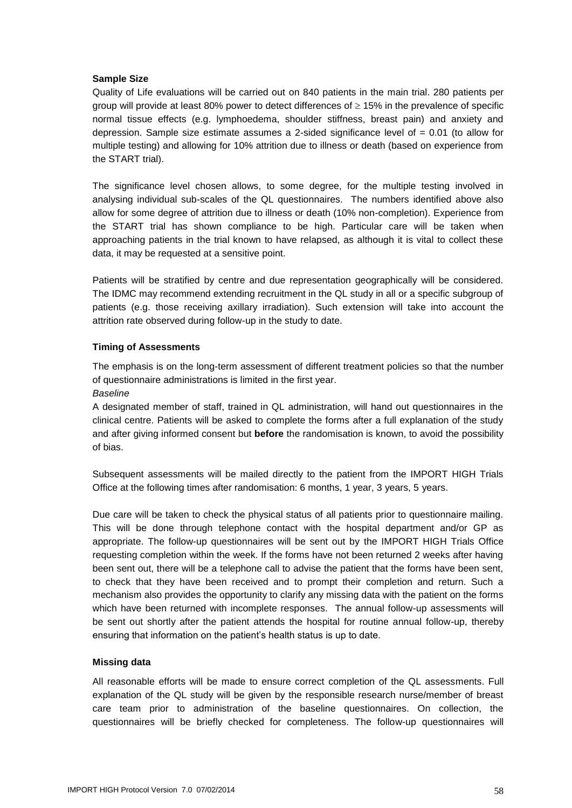#### **Sample Size**

Quality of Life evaluations will be carried out on 840 patients in the main trial. 280 patients per group will provide at least 80% power to detect differences of  $\geq$  15% in the prevalence of specific normal tissue effects (e.g. lymphoedema, shoulder stiffness, breast pain) and anxiety and depression. Sample size estimate assumes a 2-sided significance level of  $= 0.01$  (to allow for multiple testing) and allowing for 10% attrition due to illness or death (based on experience from the START trial).

The significance level chosen allows, to some degree, for the multiple testing involved in analysing individual sub-scales of the QL questionnaires. The numbers identified above also allow for some degree of attrition due to illness or death (10% non-completion). Experience from the START trial has shown compliance to be high. Particular care will be taken when approaching patients in the trial known to have relapsed, as although it is vital to collect these data, it may be requested at a sensitive point.

Patients will be stratified by centre and due representation geographically will be considered. The IDMC may recommend extending recruitment in the QL study in all or a specific subgroup of patients (e.g. those receiving axillary irradiation). Such extension will take into account the attrition rate observed during follow-up in the study to date.

#### **Timing of Assessments**

The emphasis is on the long-term assessment of different treatment policies so that the number of questionnaire administrations is limited in the first year.

#### *Baseline*

A designated member of staff, trained in QL administration, will hand out questionnaires in the clinical centre. Patients will be asked to complete the forms after a full explanation of the study and after giving informed consent but **before** the randomisation is known, to avoid the possibility of bias.

Subsequent assessments will be mailed directly to the patient from the IMPORT HIGH Trials Office at the following times after randomisation: 6 months, 1 year, 3 years, 5 years.

Due care will be taken to check the physical status of all patients prior to questionnaire mailing. This will be done through telephone contact with the hospital department and/or GP as appropriate. The follow-up questionnaires will be sent out by the IMPORT HIGH Trials Office requesting completion within the week. If the forms have not been returned 2 weeks after having been sent out, there will be a telephone call to advise the patient that the forms have been sent, to check that they have been received and to prompt their completion and return. Such a mechanism also provides the opportunity to clarify any missing data with the patient on the forms which have been returned with incomplete responses. The annual follow-up assessments will be sent out shortly after the patient attends the hospital for routine annual follow-up, thereby ensuring that information on the patient's health status is up to date.

#### **Missing data**

All reasonable efforts will be made to ensure correct completion of the QL assessments. Full explanation of the QL study will be given by the responsible research nurse/member of breast care team prior to administration of the baseline questionnaires. On collection, the questionnaires will be briefly checked for completeness. The follow-up questionnaires will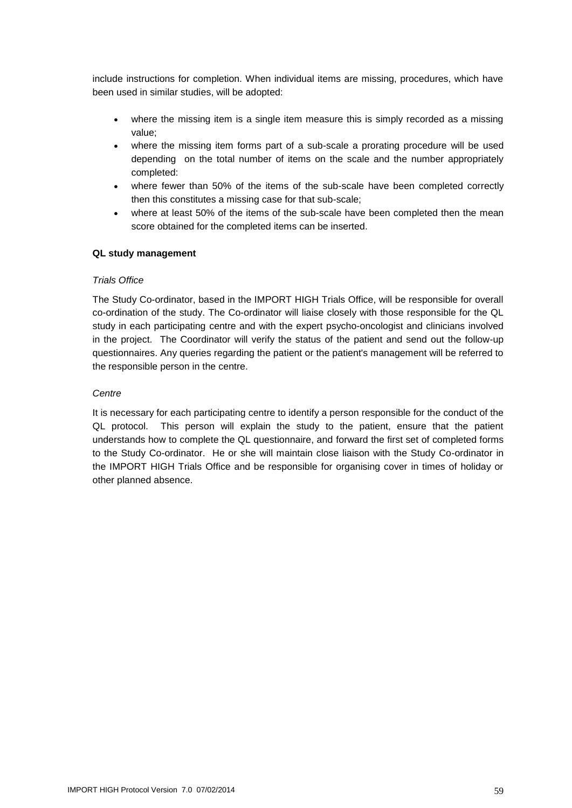include instructions for completion. When individual items are missing, procedures, which have been used in similar studies, will be adopted:

- where the missing item is a single item measure this is simply recorded as a missing value;
- where the missing item forms part of a sub-scale a prorating procedure will be used depending on the total number of items on the scale and the number appropriately completed:
- where fewer than 50% of the items of the sub-scale have been completed correctly then this constitutes a missing case for that sub-scale;
- where at least 50% of the items of the sub-scale have been completed then the mean score obtained for the completed items can be inserted.

#### **QL study management**

#### *Trials Office*

The Study Co-ordinator, based in the IMPORT HIGH Trials Office, will be responsible for overall co-ordination of the study. The Co-ordinator will liaise closely with those responsible for the QL study in each participating centre and with the expert psycho-oncologist and clinicians involved in the project. The Coordinator will verify the status of the patient and send out the follow-up questionnaires. Any queries regarding the patient or the patient's management will be referred to the responsible person in the centre.

#### *Centre*

It is necessary for each participating centre to identify a person responsible for the conduct of the QL protocol. This person will explain the study to the patient, ensure that the patient understands how to complete the QL questionnaire, and forward the first set of completed forms to the Study Co-ordinator. He or she will maintain close liaison with the Study Co-ordinator in the IMPORT HIGH Trials Office and be responsible for organising cover in times of holiday or other planned absence.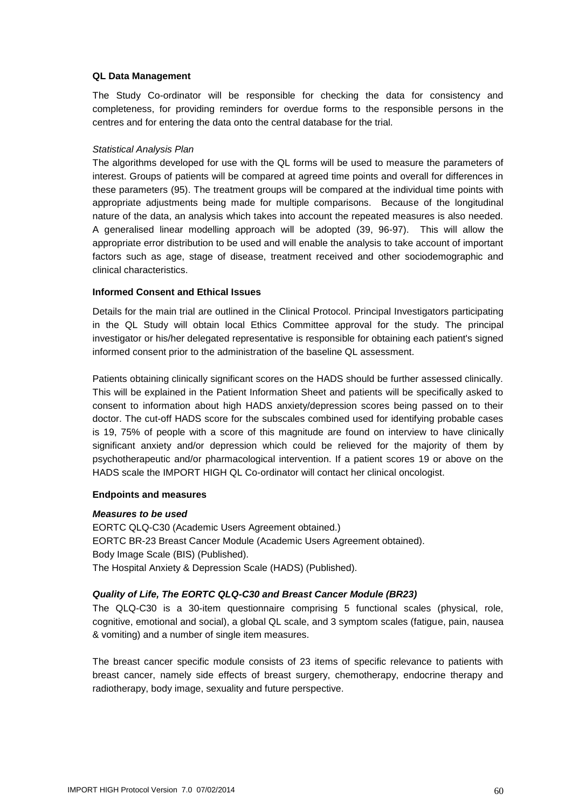#### **QL Data Management**

The Study Co-ordinator will be responsible for checking the data for consistency and completeness, for providing reminders for overdue forms to the responsible persons in the centres and for entering the data onto the central database for the trial.

#### *Statistical Analysis Plan*

The algorithms developed for use with the QL forms will be used to measure the parameters of interest. Groups of patients will be compared at agreed time points and overall for differences in these parameters (95). The treatment groups will be compared at the individual time points with appropriate adjustments being made for multiple comparisons. Because of the longitudinal nature of the data, an analysis which takes into account the repeated measures is also needed. A generalised linear modelling approach will be adopted (39, 96-97). This will allow the appropriate error distribution to be used and will enable the analysis to take account of important factors such as age, stage of disease, treatment received and other sociodemographic and clinical characteristics.

#### **Informed Consent and Ethical Issues**

Details for the main trial are outlined in the Clinical Protocol. Principal Investigators participating in the QL Study will obtain local Ethics Committee approval for the study. The principal investigator or his/her delegated representative is responsible for obtaining each patient's signed informed consent prior to the administration of the baseline QL assessment.

Patients obtaining clinically significant scores on the HADS should be further assessed clinically. This will be explained in the Patient Information Sheet and patients will be specifically asked to consent to information about high HADS anxiety/depression scores being passed on to their doctor. The cut-off HADS score for the subscales combined used for identifying probable cases is 19, 75% of people with a score of this magnitude are found on interview to have clinically significant anxiety and/or depression which could be relieved for the majority of them by psychotherapeutic and/or pharmacological intervention. If a patient scores 19 or above on the HADS scale the IMPORT HIGH QL Co-ordinator will contact her clinical oncologist.

#### **Endpoints and measures**

#### *Measures to be used*

EORTC QLQ-C30 (Academic Users Agreement obtained.) EORTC BR-23 Breast Cancer Module (Academic Users Agreement obtained). Body Image Scale (BIS) (Published). The Hospital Anxiety & Depression Scale (HADS) (Published).

#### *Quality of Life, The EORTC QLQ-C30 and Breast Cancer Module (BR23)*

The QLQ-C30 is a 30-item questionnaire comprising 5 functional scales (physical, role, cognitive, emotional and social), a global QL scale, and 3 symptom scales (fatigue, pain, nausea & vomiting) and a number of single item measures.

The breast cancer specific module consists of 23 items of specific relevance to patients with breast cancer, namely side effects of breast surgery, chemotherapy, endocrine therapy and radiotherapy, body image, sexuality and future perspective.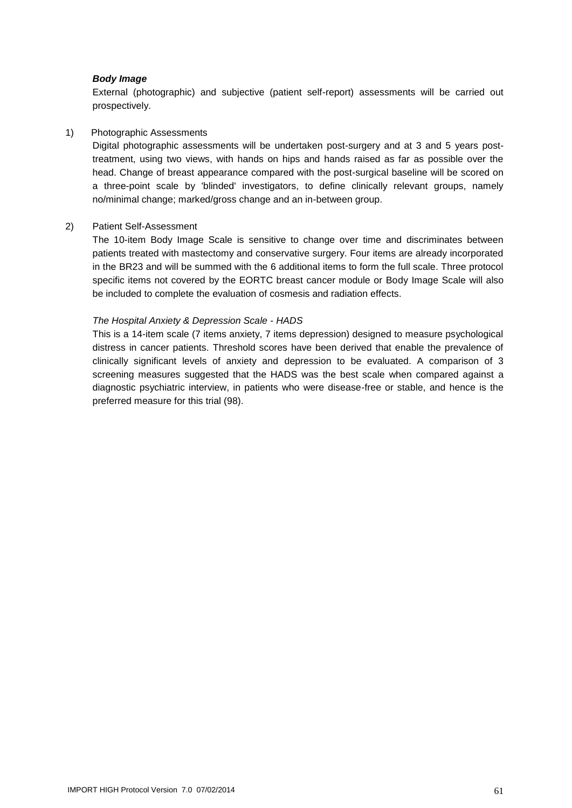#### *Body Image*

External (photographic) and subjective (patient self-report) assessments will be carried out prospectively.

#### 1) Photographic Assessments

Digital photographic assessments will be undertaken post-surgery and at 3 and 5 years posttreatment, using two views, with hands on hips and hands raised as far as possible over the head. Change of breast appearance compared with the post-surgical baseline will be scored on a three-point scale by 'blinded' investigators, to define clinically relevant groups, namely no/minimal change; marked/gross change and an in-between group.

#### 2) Patient Self-Assessment

The 10-item Body Image Scale is sensitive to change over time and discriminates between patients treated with mastectomy and conservative surgery. Four items are already incorporated in the BR23 and will be summed with the 6 additional items to form the full scale. Three protocol specific items not covered by the EORTC breast cancer module or Body Image Scale will also be included to complete the evaluation of cosmesis and radiation effects.

#### *The Hospital Anxiety & Depression Scale - HADS*

This is a 14-item scale (7 items anxiety, 7 items depression) designed to measure psychological distress in cancer patients. Threshold scores have been derived that enable the prevalence of clinically significant levels of anxiety and depression to be evaluated. A comparison of 3 screening measures suggested that the HADS was the best scale when compared against a diagnostic psychiatric interview, in patients who were disease-free or stable, and hence is the preferred measure for this trial (98).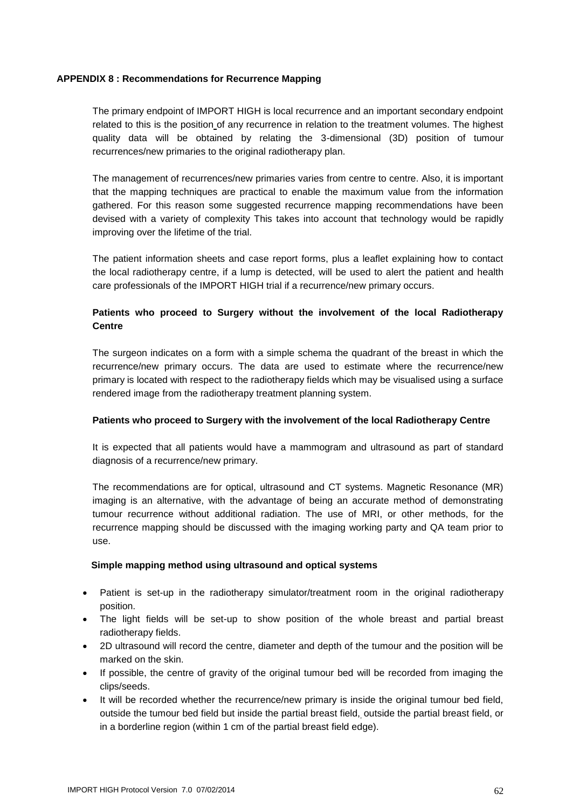#### <span id="page-61-0"></span>**APPENDIX 8 : Recommendations for Recurrence Mapping**

The primary endpoint of IMPORT HIGH is local recurrence and an important secondary endpoint related to this is the position of any recurrence in relation to the treatment volumes. The highest quality data will be obtained by relating the 3-dimensional (3D) position of tumour recurrences/new primaries to the original radiotherapy plan.

The management of recurrences/new primaries varies from centre to centre. Also, it is important that the mapping techniques are practical to enable the maximum value from the information gathered. For this reason some suggested recurrence mapping recommendations have been devised with a variety of complexity This takes into account that technology would be rapidly improving over the lifetime of the trial.

The patient information sheets and case report forms, plus a leaflet explaining how to contact the local radiotherapy centre, if a lump is detected, will be used to alert the patient and health care professionals of the IMPORT HIGH trial if a recurrence/new primary occurs.

#### **Patients who proceed to Surgery without the involvement of the local Radiotherapy Centre**

The surgeon indicates on a form with a simple schema the quadrant of the breast in which the recurrence/new primary occurs. The data are used to estimate where the recurrence/new primary is located with respect to the radiotherapy fields which may be visualised using a surface rendered image from the radiotherapy treatment planning system.

#### **Patients who proceed to Surgery with the involvement of the local Radiotherapy Centre**

It is expected that all patients would have a mammogram and ultrasound as part of standard diagnosis of a recurrence/new primary.

The recommendations are for optical, ultrasound and CT systems. Magnetic Resonance (MR) imaging is an alternative, with the advantage of being an accurate method of demonstrating tumour recurrence without additional radiation. The use of MRI, or other methods, for the recurrence mapping should be discussed with the imaging working party and QA team prior to use.

#### **Simple mapping method using ultrasound and optical systems**

- Patient is set-up in the radiotherapy simulator/treatment room in the original radiotherapy position.
- The light fields will be set-up to show position of the whole breast and partial breast radiotherapy fields.
- 2D ultrasound will record the centre, diameter and depth of the tumour and the position will be marked on the skin.
- If possible, the centre of gravity of the original tumour bed will be recorded from imaging the clips/seeds.
- It will be recorded whether the recurrence/new primary is inside the original tumour bed field, outside the tumour bed field but inside the partial breast field,, outside the partial breast field, or in a borderline region (within 1 cm of the partial breast field edge).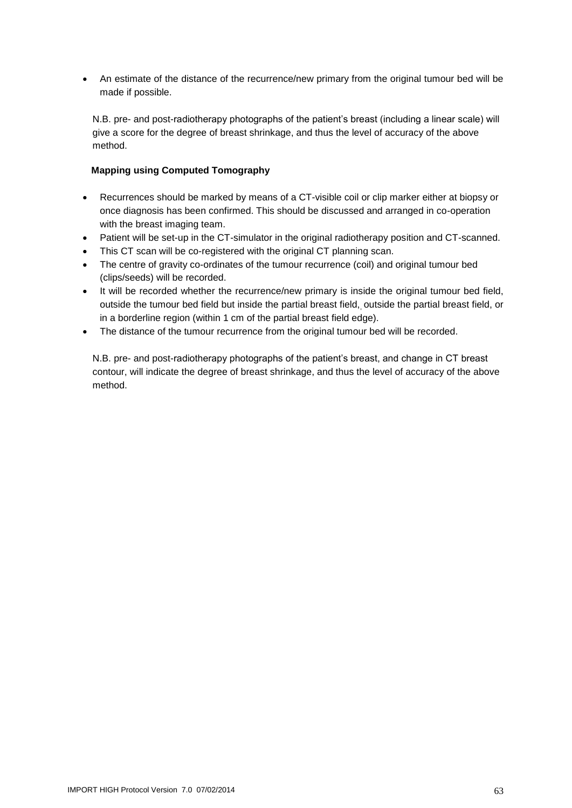An estimate of the distance of the recurrence/new primary from the original tumour bed will be made if possible.

N.B. pre- and post-radiotherapy photographs of the patient's breast (including a linear scale) will give a score for the degree of breast shrinkage, and thus the level of accuracy of the above method.

#### **Mapping using Computed Tomography**

- Recurrences should be marked by means of a CT-visible coil or clip marker either at biopsy or once diagnosis has been confirmed. This should be discussed and arranged in co-operation with the breast imaging team.
- Patient will be set-up in the CT-simulator in the original radiotherapy position and CT-scanned.
- This CT scan will be co-registered with the original CT planning scan.
- The centre of gravity co-ordinates of the tumour recurrence (coil) and original tumour bed (clips/seeds) will be recorded.
- It will be recorded whether the recurrence/new primary is inside the original tumour bed field, outside the tumour bed field but inside the partial breast field,, outside the partial breast field, or in a borderline region (within 1 cm of the partial breast field edge).
- The distance of the tumour recurrence from the original tumour bed will be recorded.

N.B. pre- and post-radiotherapy photographs of the patient's breast, and change in CT breast contour, will indicate the degree of breast shrinkage, and thus the level of accuracy of the above method.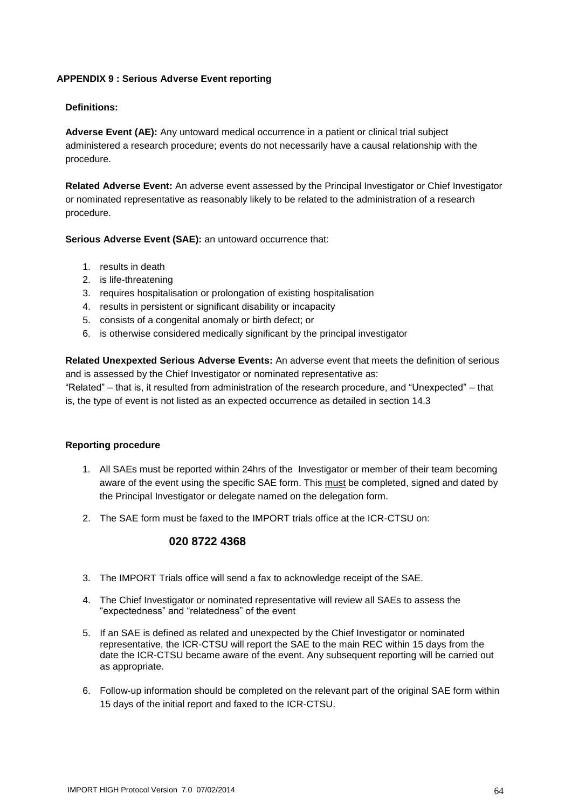#### <span id="page-63-0"></span>**APPENDIX 9 : Serious Adverse Event reporting**

#### **Definitions:**

**Adverse Event (AE):** Any untoward medical occurrence in a patient or clinical trial subject administered a research procedure; events do not necessarily have a causal relationship with the procedure.

**Related Adverse Event:** An adverse event assessed by the Principal Investigator or Chief Investigator or nominated representative as reasonably likely to be related to the administration of a research procedure.

**Serious Adverse Event (SAE):** an untoward occurrence that:

- 1. results in death
- 2. is life-threatening
- 3. requires hospitalisation or prolongation of existing hospitalisation
- 4. results in persistent or significant disability or incapacity
- 5. consists of a congenital anomaly or birth defect; or
- 6. is otherwise considered medically significant by the principal investigator

**Related Unexpexted Serious Adverse Events:** An adverse event that meets the definition of serious and is assessed by the Chief Investigator or nominated representative as:

"Related" – that is, it resulted from administration of the research procedure, and "Unexpected" – that is, the type of event is not listed as an expected occurrence as detailed in section 14.3

#### **Reporting procedure**

- 1. All SAEs must be reported within 24hrs of the Investigator or member of their team becoming aware of the event using the specific SAE form. This must be completed, signed and dated by the Principal Investigator or delegate named on the delegation form.
- 2. The SAE form must be faxed to the IMPORT trials office at the ICR-CTSU on:

#### **020 8722 4368**

- 3. The IMPORT Trials office will send a fax to acknowledge receipt of the SAE.
- 4. The Chief Investigator or nominated representative will review all SAEs to assess the "expectedness" and "relatedness" of the event
- 5. If an SAE is defined as related and unexpected by the Chief Investigator or nominated representative, the ICR-CTSU will report the SAE to the main REC within 15 days from the date the ICR-CTSU became aware of the event. Any subsequent reporting will be carried out as appropriate.
- 6. Follow-up information should be completed on the relevant part of the original SAE form within 15 days of the initial report and faxed to the ICR-CTSU.